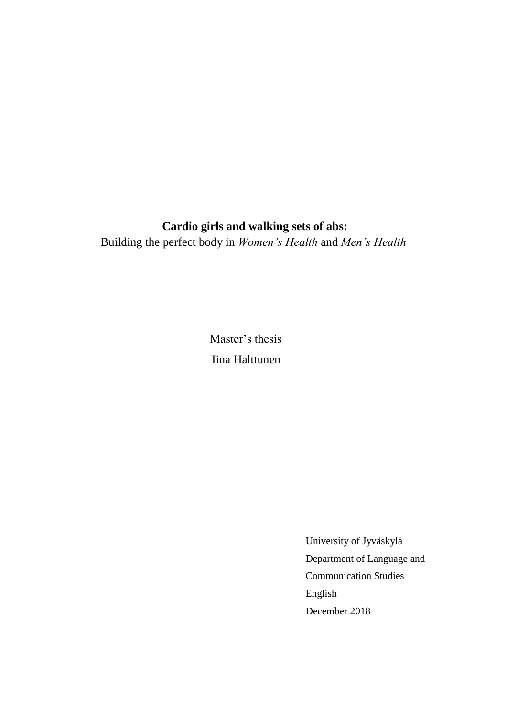## **Cardio girls and walking sets of abs:**

Building the perfect body in *Women's Health* and *Men's Health*

 Master's thesis Iina Halttunen

> University of Jyväskylä Department of Language and Communication Studies English December 2018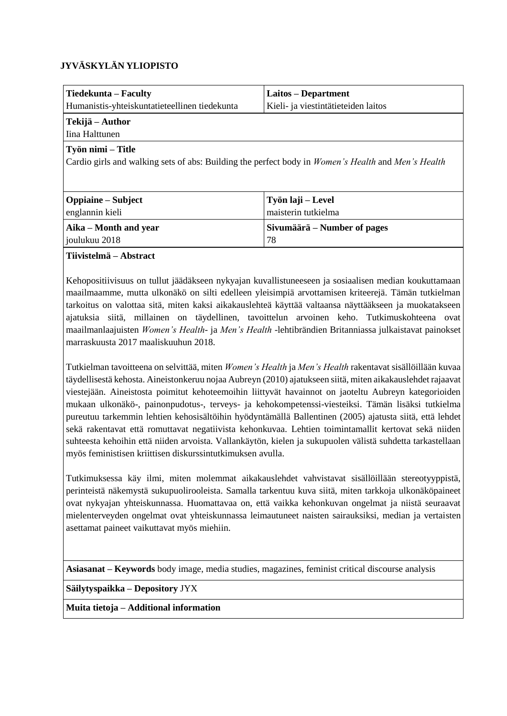## **JYVÄSKYLÄN YLIOPISTO**

| Tiedekunta – Faculty                                                                                                                  | Laitos – Department                 |  |  |
|---------------------------------------------------------------------------------------------------------------------------------------|-------------------------------------|--|--|
| Humanistis-yhteiskuntatieteellinen tiedekunta                                                                                         | Kieli- ja viestintätieteiden laitos |  |  |
| Tekijä – Author                                                                                                                       |                                     |  |  |
| Iina Halttunen                                                                                                                        |                                     |  |  |
| Työn nimi – Title<br>Cardio girls and walking sets of abs: Building the perfect body in <i>Women's Health</i> and <i>Men's Health</i> |                                     |  |  |
| <b>Oppiaine</b> – Subject                                                                                                             | Työn laji – Level                   |  |  |
| englannin kieli                                                                                                                       | maisterin tutkielma                 |  |  |
| Aika – Month and year                                                                                                                 | Sivumäärä – Number of pages         |  |  |
| joulukuu 2018                                                                                                                         | 78                                  |  |  |

**Tiivistelmä – Abstract**

Kehopositiivisuus on tullut jäädäkseen nykyajan kuvallistuneeseen ja sosiaalisen median koukuttamaan maailmaamme, mutta ulkonäkö on silti edelleen yleisimpiä arvottamisen kriteerejä. Tämän tutkielman tarkoitus on valottaa sitä, miten kaksi aikakauslehteä käyttää valtaansa näyttääkseen ja muokatakseen ajatuksia siitä, millainen on täydellinen, tavoittelun arvoinen keho. Tutkimuskohteena ovat maailmanlaajuisten *Women's Health-* ja *Men's Health* -lehtibrändien Britanniassa julkaistavat painokset marraskuusta 2017 maaliskuuhun 2018.

Tutkielman tavoitteena on selvittää, miten *Women's Health* ja *Men's Health* rakentavat sisällöillään kuvaa täydellisestä kehosta. Aineistonkeruu nojaa Aubreyn (2010) ajatukseen siitä, miten aikakauslehdet rajaavat viestejään. Aineistosta poimitut kehoteemoihin liittyvät havainnot on jaoteltu Aubreyn kategorioiden mukaan ulkonäkö-, painonpudotus-, terveys- ja kehokompetenssi-viesteiksi. Tämän lisäksi tutkielma pureutuu tarkemmin lehtien kehosisältöihin hyödyntämällä Ballentinen (2005) ajatusta siitä, että lehdet sekä rakentavat että romuttavat negatiivista kehonkuvaa. Lehtien toimintamallit kertovat sekä niiden suhteesta kehoihin että niiden arvoista. Vallankäytön, kielen ja sukupuolen välistä suhdetta tarkastellaan myös feministisen kriittisen diskurssintutkimuksen avulla.

Tutkimuksessa käy ilmi, miten molemmat aikakauslehdet vahvistavat sisällöillään stereotyyppistä, perinteistä näkemystä sukupuolirooleista. Samalla tarkentuu kuva siitä, miten tarkkoja ulkonäköpaineet ovat nykyajan yhteiskunnassa. Huomattavaa on, että vaikka kehonkuvan ongelmat ja niistä seuraavat mielenterveyden ongelmat ovat yhteiskunnassa leimautuneet naisten sairauksiksi, median ja vertaisten asettamat paineet vaikuttavat myös miehiin.

**Asiasanat – Keywords** body image, media studies, magazines, feminist critical discourse analysis

**Säilytyspaikka – Depository** JYX

**Muita tietoja – Additional information**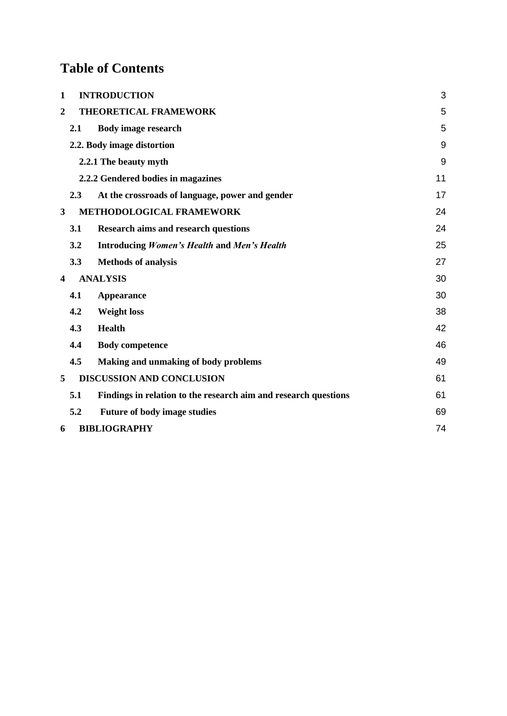# **Table of Contents**

| $\mathbf{1}$            | <b>INTRODUCTION</b>                                             | 3  |
|-------------------------|-----------------------------------------------------------------|----|
| $\overline{2}$          | THEORETICAL FRAMEWORK                                           | 5  |
| 2.1                     | <b>Body image research</b>                                      | 5  |
|                         | 2.2. Body image distortion                                      | 9  |
|                         | 2.2.1 The beauty myth                                           | 9  |
|                         | 2.2.2 Gendered bodies in magazines                              | 11 |
| 2.3                     | At the crossroads of language, power and gender                 | 17 |
| 3                       | METHODOLOGICAL FRAMEWORK                                        | 24 |
| <b>3.1</b>              | <b>Research aims and research questions</b>                     | 24 |
| 3.2                     | <b>Introducing Women's Health and Men's Health</b>              | 25 |
| 3.3                     | <b>Methods of analysis</b>                                      | 27 |
| $\overline{\mathbf{4}}$ | <b>ANALYSIS</b>                                                 | 30 |
| 4.1                     | Appearance                                                      | 30 |
| 4.2                     | <b>Weight loss</b>                                              | 38 |
| 4.3                     | <b>Health</b>                                                   | 42 |
| 4.4                     | <b>Body competence</b>                                          | 46 |
| 4.5                     | Making and unmaking of body problems                            | 49 |
| 5                       | <b>DISCUSSION AND CONCLUSION</b>                                | 61 |
| 5.1                     | Findings in relation to the research aim and research questions | 61 |
| 5.2                     | <b>Future of body image studies</b>                             | 69 |
| 6                       | <b>BIBLIOGRAPHY</b>                                             | 74 |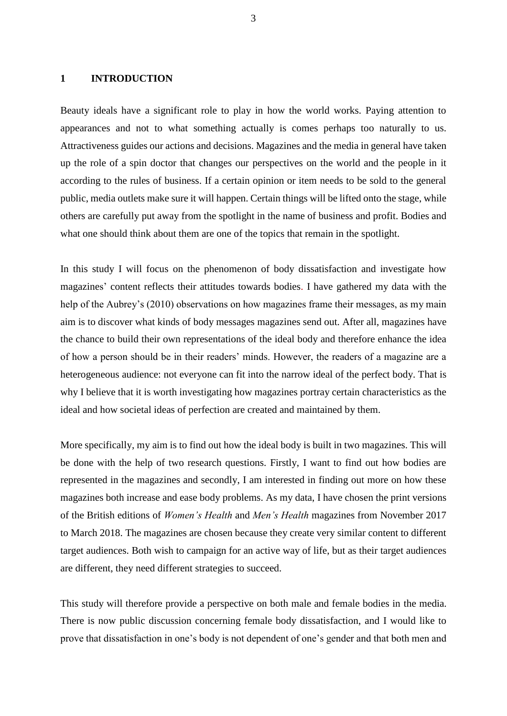#### <span id="page-3-0"></span>**1 INTRODUCTION**

Beauty ideals have a significant role to play in how the world works. Paying attention to appearances and not to what something actually is comes perhaps too naturally to us. Attractiveness guides our actions and decisions. Magazines and the media in general have taken up the role of a spin doctor that changes our perspectives on the world and the people in it according to the rules of business. If a certain opinion or item needs to be sold to the general public, media outlets make sure it will happen. Certain things will be lifted onto the stage, while others are carefully put away from the spotlight in the name of business and profit. Bodies and what one should think about them are one of the topics that remain in the spotlight.

In this study I will focus on the phenomenon of body dissatisfaction and investigate how magazines' content reflects their attitudes towards bodies. I have gathered my data with the help of the Aubrey's (2010) observations on how magazines frame their messages, as my main aim is to discover what kinds of body messages magazines send out. After all, magazines have the chance to build their own representations of the ideal body and therefore enhance the idea of how a person should be in their readers' minds. However, the readers of a magazine are a heterogeneous audience: not everyone can fit into the narrow ideal of the perfect body. That is why I believe that it is worth investigating how magazines portray certain characteristics as the ideal and how societal ideas of perfection are created and maintained by them.

More specifically, my aim is to find out how the ideal body is built in two magazines. This will be done with the help of two research questions. Firstly, I want to find out how bodies are represented in the magazines and secondly, I am interested in finding out more on how these magazines both increase and ease body problems. As my data, I have chosen the print versions of the British editions of *Women's Health* and *Men's Health* magazines from November 2017 to March 2018. The magazines are chosen because they create very similar content to different target audiences. Both wish to campaign for an active way of life, but as their target audiences are different, they need different strategies to succeed.

This study will therefore provide a perspective on both male and female bodies in the media. There is now public discussion concerning female body dissatisfaction, and I would like to prove that dissatisfaction in one's body is not dependent of one's gender and that both men and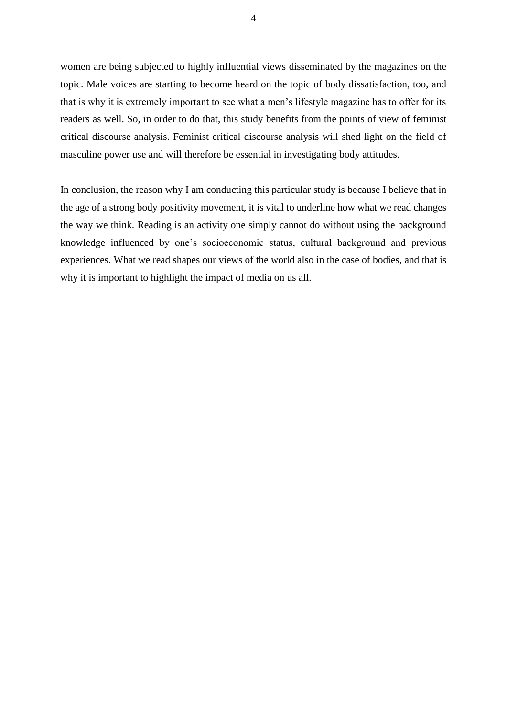women are being subjected to highly influential views disseminated by the magazines on the topic. Male voices are starting to become heard on the topic of body dissatisfaction, too, and that is why it is extremely important to see what a men's lifestyle magazine has to offer for its readers as well. So, in order to do that, this study benefits from the points of view of feminist critical discourse analysis. Feminist critical discourse analysis will shed light on the field of masculine power use and will therefore be essential in investigating body attitudes.

In conclusion, the reason why I am conducting this particular study is because I believe that in the age of a strong body positivity movement, it is vital to underline how what we read changes the way we think. Reading is an activity one simply cannot do without using the background knowledge influenced by one's socioeconomic status, cultural background and previous experiences. What we read shapes our views of the world also in the case of bodies, and that is why it is important to highlight the impact of media on us all.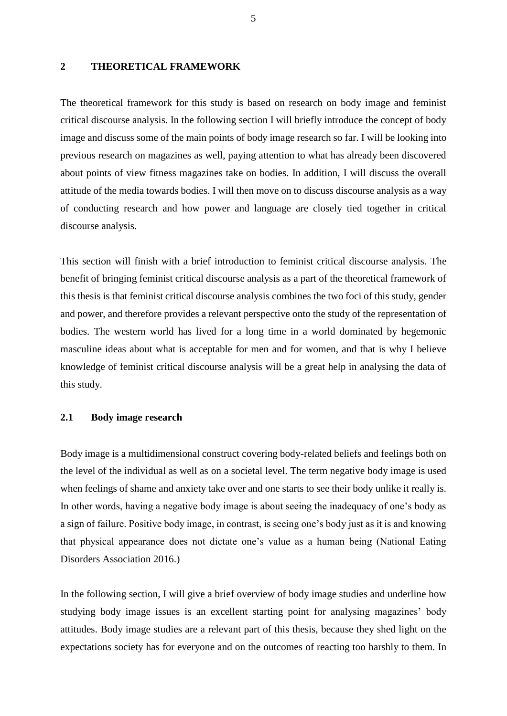#### <span id="page-5-0"></span>**2 THEORETICAL FRAMEWORK**

The theoretical framework for this study is based on research on body image and feminist critical discourse analysis. In the following section I will briefly introduce the concept of body image and discuss some of the main points of body image research so far. I will be looking into previous research on magazines as well, paying attention to what has already been discovered about points of view fitness magazines take on bodies. In addition, I will discuss the overall attitude of the media towards bodies. I will then move on to discuss discourse analysis as a way of conducting research and how power and language are closely tied together in critical discourse analysis.

This section will finish with a brief introduction to feminist critical discourse analysis. The benefit of bringing feminist critical discourse analysis as a part of the theoretical framework of this thesis is that feminist critical discourse analysis combines the two foci of this study, gender and power, and therefore provides a relevant perspective onto the study of the representation of bodies. The western world has lived for a long time in a world dominated by hegemonic masculine ideas about what is acceptable for men and for women, and that is why I believe knowledge of feminist critical discourse analysis will be a great help in analysing the data of this study.

### <span id="page-5-1"></span>**2.1 Body image research**

Body image is a multidimensional construct covering body-related beliefs and feelings both on the level of the individual as well as on a societal level. The term negative body image is used when feelings of shame and anxiety take over and one starts to see their body unlike it really is. In other words, having a negative body image is about seeing the inadequacy of one's body as a sign of failure. Positive body image, in contrast, is seeing one's body just as it is and knowing that physical appearance does not dictate one's value as a human being (National Eating Disorders Association 2016.)

In the following section, I will give a brief overview of body image studies and underline how studying body image issues is an excellent starting point for analysing magazines' body attitudes. Body image studies are a relevant part of this thesis, because they shed light on the expectations society has for everyone and on the outcomes of reacting too harshly to them. In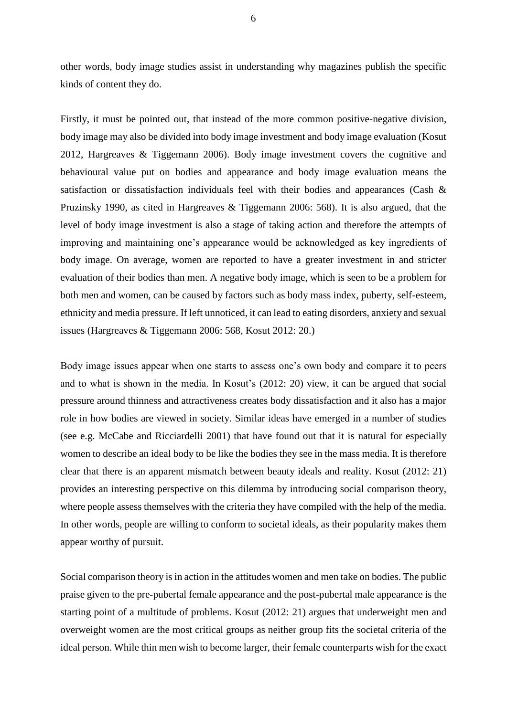other words, body image studies assist in understanding why magazines publish the specific kinds of content they do.

Firstly, it must be pointed out, that instead of the more common positive-negative division, body image may also be divided into body image investment and body image evaluation (Kosut 2012, Hargreaves & Tiggemann 2006). Body image investment covers the cognitive and behavioural value put on bodies and appearance and body image evaluation means the satisfaction or dissatisfaction individuals feel with their bodies and appearances (Cash & Pruzinsky 1990, as cited in Hargreaves & Tiggemann 2006: 568). It is also argued, that the level of body image investment is also a stage of taking action and therefore the attempts of improving and maintaining one's appearance would be acknowledged as key ingredients of body image. On average, women are reported to have a greater investment in and stricter evaluation of their bodies than men. A negative body image, which is seen to be a problem for both men and women, can be caused by factors such as body mass index, puberty, self-esteem, ethnicity and media pressure. If left unnoticed, it can lead to eating disorders, anxiety and sexual issues (Hargreaves & Tiggemann 2006: 568, Kosut 2012: 20.)

Body image issues appear when one starts to assess one's own body and compare it to peers and to what is shown in the media. In Kosut's (2012: 20) view, it can be argued that social pressure around thinness and attractiveness creates body dissatisfaction and it also has a major role in how bodies are viewed in society. Similar ideas have emerged in a number of studies (see e.g. McCabe and Ricciardelli 2001) that have found out that it is natural for especially women to describe an ideal body to be like the bodies they see in the mass media. It is therefore clear that there is an apparent mismatch between beauty ideals and reality. Kosut (2012: 21) provides an interesting perspective on this dilemma by introducing social comparison theory, where people assess themselves with the criteria they have compiled with the help of the media. In other words, people are willing to conform to societal ideals, as their popularity makes them appear worthy of pursuit.

Social comparison theory is in action in the attitudes women and men take on bodies. The public praise given to the pre-pubertal female appearance and the post-pubertal male appearance is the starting point of a multitude of problems. Kosut (2012: 21) argues that underweight men and overweight women are the most critical groups as neither group fits the societal criteria of the ideal person. While thin men wish to become larger, their female counterparts wish for the exact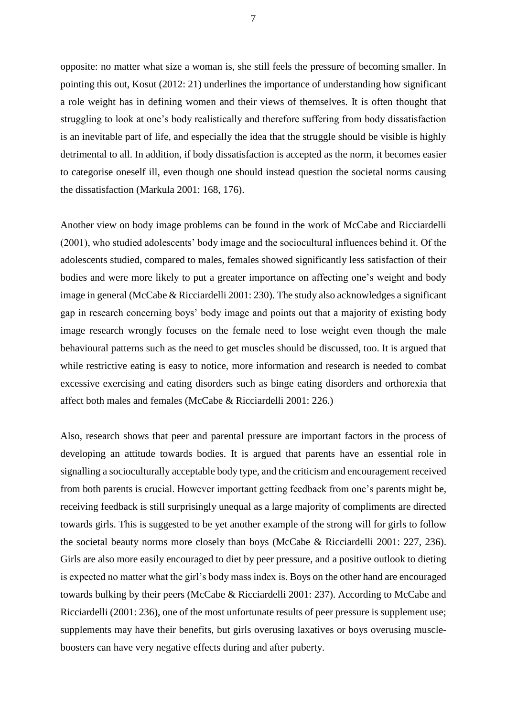opposite: no matter what size a woman is, she still feels the pressure of becoming smaller. In pointing this out, Kosut (2012: 21) underlines the importance of understanding how significant a role weight has in defining women and their views of themselves. It is often thought that struggling to look at one's body realistically and therefore suffering from body dissatisfaction is an inevitable part of life, and especially the idea that the struggle should be visible is highly detrimental to all. In addition, if body dissatisfaction is accepted as the norm, it becomes easier to categorise oneself ill, even though one should instead question the societal norms causing the dissatisfaction (Markula 2001: 168, 176).

Another view on body image problems can be found in the work of McCabe and Ricciardelli (2001), who studied adolescents' body image and the sociocultural influences behind it. Of the adolescents studied, compared to males, females showed significantly less satisfaction of their bodies and were more likely to put a greater importance on affecting one's weight and body image in general (McCabe & Ricciardelli 2001: 230). The study also acknowledges a significant gap in research concerning boys' body image and points out that a majority of existing body image research wrongly focuses on the female need to lose weight even though the male behavioural patterns such as the need to get muscles should be discussed, too. It is argued that while restrictive eating is easy to notice, more information and research is needed to combat excessive exercising and eating disorders such as binge eating disorders and orthorexia that affect both males and females (McCabe & Ricciardelli 2001: 226.)

Also, research shows that peer and parental pressure are important factors in the process of developing an attitude towards bodies. It is argued that parents have an essential role in signalling a socioculturally acceptable body type, and the criticism and encouragement received from both parents is crucial. However important getting feedback from one's parents might be, receiving feedback is still surprisingly unequal as a large majority of compliments are directed towards girls. This is suggested to be yet another example of the strong will for girls to follow the societal beauty norms more closely than boys (McCabe & Ricciardelli 2001: 227, 236). Girls are also more easily encouraged to diet by peer pressure, and a positive outlook to dieting is expected no matter what the girl's body mass index is. Boys on the other hand are encouraged towards bulking by their peers (McCabe & Ricciardelli 2001: 237). According to McCabe and Ricciardelli (2001: 236), one of the most unfortunate results of peer pressure is supplement use; supplements may have their benefits, but girls overusing laxatives or boys overusing muscleboosters can have very negative effects during and after puberty.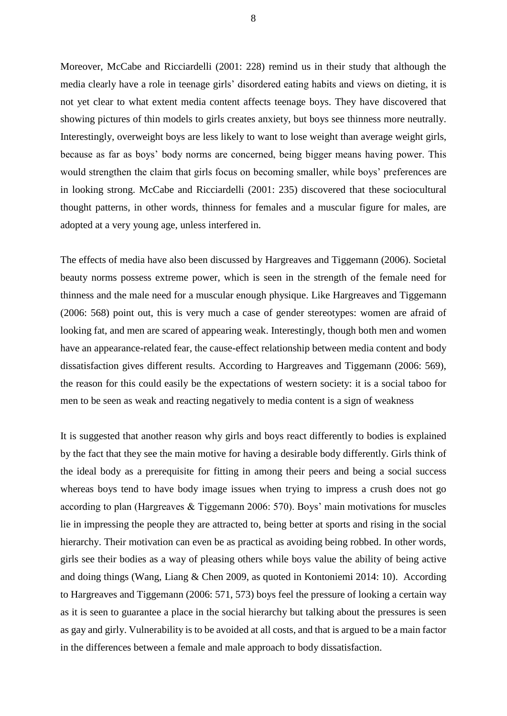Moreover, McCabe and Ricciardelli (2001: 228) remind us in their study that although the media clearly have a role in teenage girls' disordered eating habits and views on dieting, it is not yet clear to what extent media content affects teenage boys. They have discovered that showing pictures of thin models to girls creates anxiety, but boys see thinness more neutrally. Interestingly, overweight boys are less likely to want to lose weight than average weight girls, because as far as boys' body norms are concerned, being bigger means having power. This would strengthen the claim that girls focus on becoming smaller, while boys' preferences are in looking strong. McCabe and Ricciardelli (2001: 235) discovered that these sociocultural thought patterns, in other words, thinness for females and a muscular figure for males, are adopted at a very young age, unless interfered in.

The effects of media have also been discussed by Hargreaves and Tiggemann (2006). Societal beauty norms possess extreme power, which is seen in the strength of the female need for thinness and the male need for a muscular enough physique. Like Hargreaves and Tiggemann (2006: 568) point out, this is very much a case of gender stereotypes: women are afraid of looking fat, and men are scared of appearing weak. Interestingly, though both men and women have an appearance-related fear, the cause-effect relationship between media content and body dissatisfaction gives different results. According to Hargreaves and Tiggemann (2006: 569), the reason for this could easily be the expectations of western society: it is a social taboo for men to be seen as weak and reacting negatively to media content is a sign of weakness

It is suggested that another reason why girls and boys react differently to bodies is explained by the fact that they see the main motive for having a desirable body differently. Girls think of the ideal body as a prerequisite for fitting in among their peers and being a social success whereas boys tend to have body image issues when trying to impress a crush does not go according to plan (Hargreaves & Tiggemann 2006: 570). Boys' main motivations for muscles lie in impressing the people they are attracted to, being better at sports and rising in the social hierarchy. Their motivation can even be as practical as avoiding being robbed. In other words, girls see their bodies as a way of pleasing others while boys value the ability of being active and doing things (Wang, Liang & Chen 2009, as quoted in Kontoniemi 2014: 10). According to Hargreaves and Tiggemann (2006: 571, 573) boys feel the pressure of looking a certain way as it is seen to guarantee a place in the social hierarchy but talking about the pressures is seen as gay and girly. Vulnerability is to be avoided at all costs, and that is argued to be a main factor in the differences between a female and male approach to body dissatisfaction.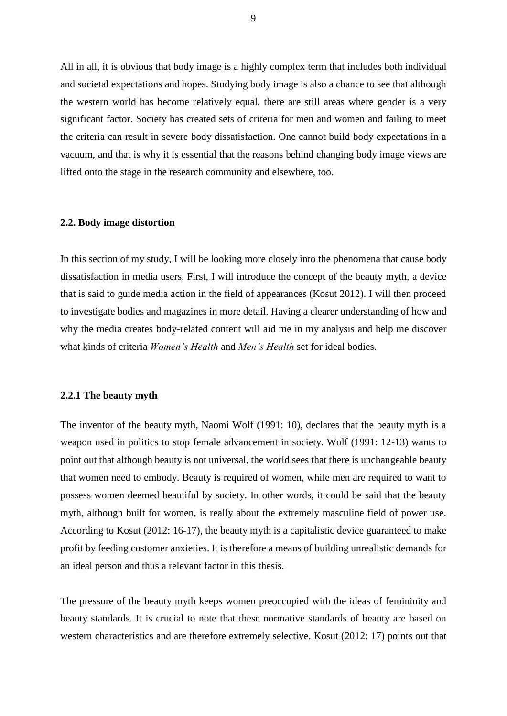All in all, it is obvious that body image is a highly complex term that includes both individual and societal expectations and hopes. Studying body image is also a chance to see that although the western world has become relatively equal, there are still areas where gender is a very significant factor. Society has created sets of criteria for men and women and failing to meet the criteria can result in severe body dissatisfaction. One cannot build body expectations in a vacuum, and that is why it is essential that the reasons behind changing body image views are lifted onto the stage in the research community and elsewhere, too.

#### <span id="page-9-0"></span>**2.2. Body image distortion**

In this section of my study, I will be looking more closely into the phenomena that cause body dissatisfaction in media users. First, I will introduce the concept of the beauty myth, a device that is said to guide media action in the field of appearances (Kosut 2012). I will then proceed to investigate bodies and magazines in more detail. Having a clearer understanding of how and why the media creates body-related content will aid me in my analysis and help me discover what kinds of criteria *Women's Health* and *Men's Health* set for ideal bodies.

#### <span id="page-9-1"></span>**2.2.1 The beauty myth**

The inventor of the beauty myth, Naomi Wolf (1991: 10), declares that the beauty myth is a weapon used in politics to stop female advancement in society. Wolf (1991: 12-13) wants to point out that although beauty is not universal, the world sees that there is unchangeable beauty that women need to embody. Beauty is required of women, while men are required to want to possess women deemed beautiful by society. In other words, it could be said that the beauty myth, although built for women, is really about the extremely masculine field of power use. According to Kosut (2012: 16-17), the beauty myth is a capitalistic device guaranteed to make profit by feeding customer anxieties. It is therefore a means of building unrealistic demands for an ideal person and thus a relevant factor in this thesis.

The pressure of the beauty myth keeps women preoccupied with the ideas of femininity and beauty standards. It is crucial to note that these normative standards of beauty are based on western characteristics and are therefore extremely selective. Kosut (2012: 17) points out that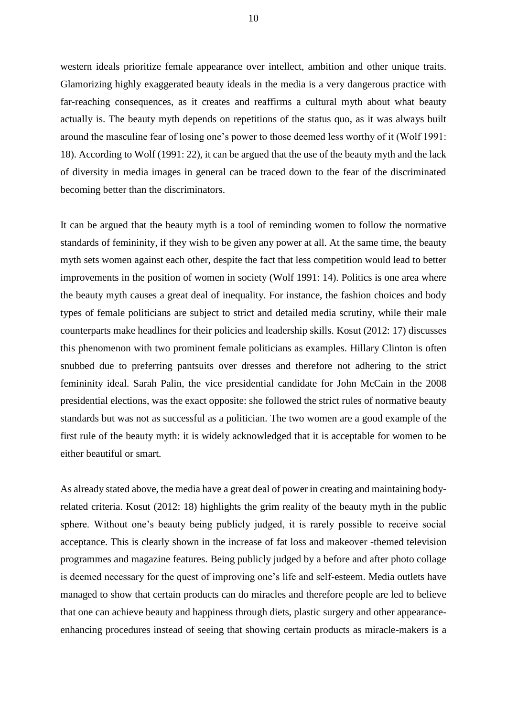western ideals prioritize female appearance over intellect, ambition and other unique traits. Glamorizing highly exaggerated beauty ideals in the media is a very dangerous practice with far-reaching consequences, as it creates and reaffirms a cultural myth about what beauty actually is. The beauty myth depends on repetitions of the status quo, as it was always built around the masculine fear of losing one's power to those deemed less worthy of it (Wolf 1991: 18). According to Wolf (1991: 22), it can be argued that the use of the beauty myth and the lack of diversity in media images in general can be traced down to the fear of the discriminated becoming better than the discriminators.

It can be argued that the beauty myth is a tool of reminding women to follow the normative standards of femininity, if they wish to be given any power at all. At the same time, the beauty myth sets women against each other, despite the fact that less competition would lead to better improvements in the position of women in society (Wolf 1991: 14). Politics is one area where the beauty myth causes a great deal of inequality. For instance, the fashion choices and body types of female politicians are subject to strict and detailed media scrutiny, while their male counterparts make headlines for their policies and leadership skills. Kosut (2012: 17) discusses this phenomenon with two prominent female politicians as examples. Hillary Clinton is often snubbed due to preferring pantsuits over dresses and therefore not adhering to the strict femininity ideal. Sarah Palin, the vice presidential candidate for John McCain in the 2008 presidential elections, was the exact opposite: she followed the strict rules of normative beauty standards but was not as successful as a politician. The two women are a good example of the first rule of the beauty myth: it is widely acknowledged that it is acceptable for women to be either beautiful or smart.

As already stated above, the media have a great deal of power in creating and maintaining bodyrelated criteria. Kosut (2012: 18) highlights the grim reality of the beauty myth in the public sphere. Without one's beauty being publicly judged, it is rarely possible to receive social acceptance. This is clearly shown in the increase of fat loss and makeover -themed television programmes and magazine features. Being publicly judged by a before and after photo collage is deemed necessary for the quest of improving one's life and self-esteem. Media outlets have managed to show that certain products can do miracles and therefore people are led to believe that one can achieve beauty and happiness through diets, plastic surgery and other appearanceenhancing procedures instead of seeing that showing certain products as miracle-makers is a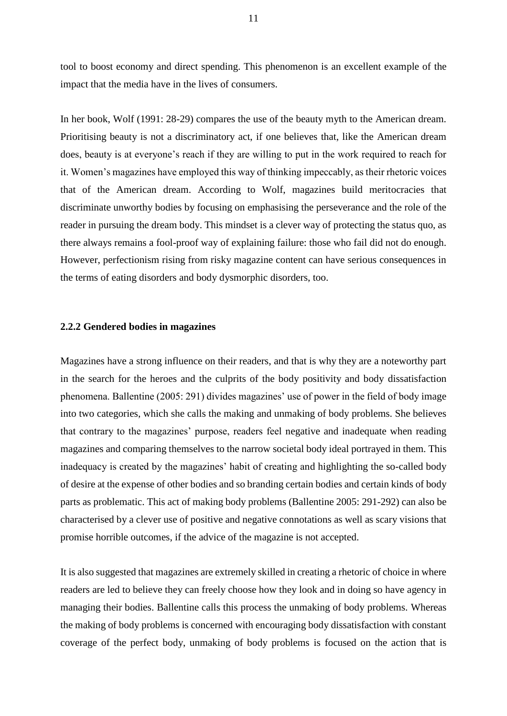tool to boost economy and direct spending. This phenomenon is an excellent example of the impact that the media have in the lives of consumers.

In her book, Wolf (1991: 28-29) compares the use of the beauty myth to the American dream. Prioritising beauty is not a discriminatory act, if one believes that, like the American dream does, beauty is at everyone's reach if they are willing to put in the work required to reach for it. Women's magazines have employed this way of thinking impeccably, as their rhetoric voices that of the American dream. According to Wolf, magazines build meritocracies that discriminate unworthy bodies by focusing on emphasising the perseverance and the role of the reader in pursuing the dream body. This mindset is a clever way of protecting the status quo, as there always remains a fool-proof way of explaining failure: those who fail did not do enough. However, perfectionism rising from risky magazine content can have serious consequences in the terms of eating disorders and body dysmorphic disorders, too.

#### <span id="page-11-0"></span>**2.2.2 Gendered bodies in magazines**

Magazines have a strong influence on their readers, and that is why they are a noteworthy part in the search for the heroes and the culprits of the body positivity and body dissatisfaction phenomena. Ballentine (2005: 291) divides magazines' use of power in the field of body image into two categories, which she calls the making and unmaking of body problems. She believes that contrary to the magazines' purpose, readers feel negative and inadequate when reading magazines and comparing themselves to the narrow societal body ideal portrayed in them. This inadequacy is created by the magazines' habit of creating and highlighting the so-called body of desire at the expense of other bodies and so branding certain bodies and certain kinds of body parts as problematic. This act of making body problems (Ballentine 2005: 291-292) can also be characterised by a clever use of positive and negative connotations as well as scary visions that promise horrible outcomes, if the advice of the magazine is not accepted.

It is also suggested that magazines are extremely skilled in creating a rhetoric of choice in where readers are led to believe they can freely choose how they look and in doing so have agency in managing their bodies. Ballentine calls this process the unmaking of body problems. Whereas the making of body problems is concerned with encouraging body dissatisfaction with constant coverage of the perfect body, unmaking of body problems is focused on the action that is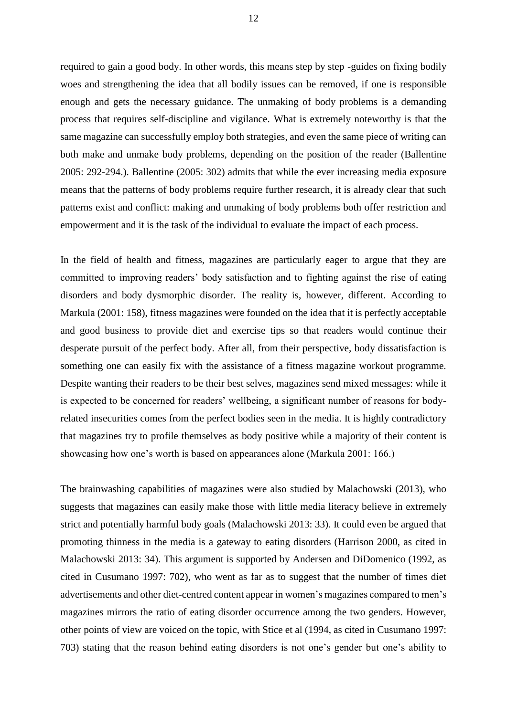required to gain a good body. In other words, this means step by step -guides on fixing bodily woes and strengthening the idea that all bodily issues can be removed, if one is responsible enough and gets the necessary guidance. The unmaking of body problems is a demanding process that requires self-discipline and vigilance. What is extremely noteworthy is that the same magazine can successfully employ both strategies, and even the same piece of writing can both make and unmake body problems, depending on the position of the reader (Ballentine 2005: 292-294.). Ballentine (2005: 302) admits that while the ever increasing media exposure means that the patterns of body problems require further research, it is already clear that such patterns exist and conflict: making and unmaking of body problems both offer restriction and empowerment and it is the task of the individual to evaluate the impact of each process.

In the field of health and fitness, magazines are particularly eager to argue that they are committed to improving readers' body satisfaction and to fighting against the rise of eating disorders and body dysmorphic disorder. The reality is, however, different. According to Markula (2001: 158), fitness magazines were founded on the idea that it is perfectly acceptable and good business to provide diet and exercise tips so that readers would continue their desperate pursuit of the perfect body. After all, from their perspective, body dissatisfaction is something one can easily fix with the assistance of a fitness magazine workout programme. Despite wanting their readers to be their best selves, magazines send mixed messages: while it is expected to be concerned for readers' wellbeing, a significant number of reasons for bodyrelated insecurities comes from the perfect bodies seen in the media. It is highly contradictory that magazines try to profile themselves as body positive while a majority of their content is showcasing how one's worth is based on appearances alone (Markula 2001: 166.)

The brainwashing capabilities of magazines were also studied by Malachowski (2013), who suggests that magazines can easily make those with little media literacy believe in extremely strict and potentially harmful body goals (Malachowski 2013: 33). It could even be argued that promoting thinness in the media is a gateway to eating disorders (Harrison 2000, as cited in Malachowski 2013: 34). This argument is supported by Andersen and DiDomenico (1992, as cited in Cusumano 1997: 702), who went as far as to suggest that the number of times diet advertisements and other diet-centred content appear in women's magazines compared to men's magazines mirrors the ratio of eating disorder occurrence among the two genders. However, other points of view are voiced on the topic, with Stice et al (1994, as cited in Cusumano 1997: 703) stating that the reason behind eating disorders is not one's gender but one's ability to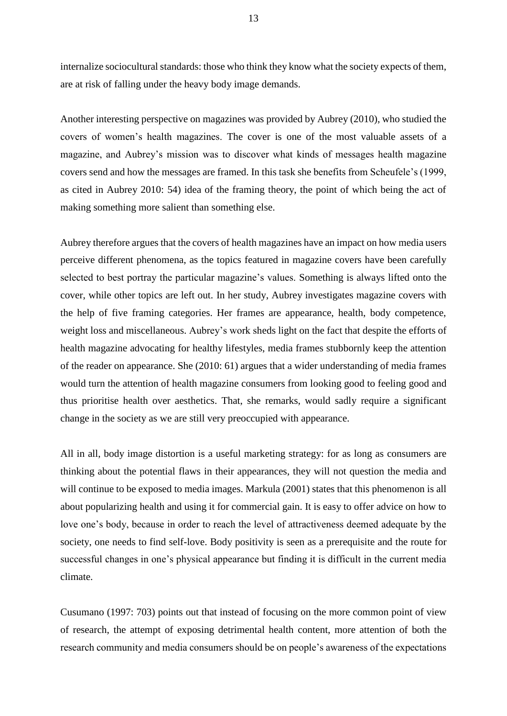internalize sociocultural standards: those who think they know what the society expects of them, are at risk of falling under the heavy body image demands.

Another interesting perspective on magazines was provided by Aubrey (2010), who studied the covers of women's health magazines. The cover is one of the most valuable assets of a magazine, and Aubrey's mission was to discover what kinds of messages health magazine covers send and how the messages are framed. In this task she benefits from Scheufele's (1999, as cited in Aubrey 2010: 54) idea of the framing theory, the point of which being the act of making something more salient than something else.

Aubrey therefore argues that the covers of health magazines have an impact on how media users perceive different phenomena, as the topics featured in magazine covers have been carefully selected to best portray the particular magazine's values. Something is always lifted onto the cover, while other topics are left out. In her study, Aubrey investigates magazine covers with the help of five framing categories. Her frames are appearance, health, body competence, weight loss and miscellaneous. Aubrey's work sheds light on the fact that despite the efforts of health magazine advocating for healthy lifestyles, media frames stubbornly keep the attention of the reader on appearance. She (2010: 61) argues that a wider understanding of media frames would turn the attention of health magazine consumers from looking good to feeling good and thus prioritise health over aesthetics. That, she remarks, would sadly require a significant change in the society as we are still very preoccupied with appearance.

All in all, body image distortion is a useful marketing strategy: for as long as consumers are thinking about the potential flaws in their appearances, they will not question the media and will continue to be exposed to media images. Markula (2001) states that this phenomenon is all about popularizing health and using it for commercial gain. It is easy to offer advice on how to love one's body, because in order to reach the level of attractiveness deemed adequate by the society, one needs to find self-love. Body positivity is seen as a prerequisite and the route for successful changes in one's physical appearance but finding it is difficult in the current media climate.

Cusumano (1997: 703) points out that instead of focusing on the more common point of view of research, the attempt of exposing detrimental health content, more attention of both the research community and media consumers should be on people's awareness of the expectations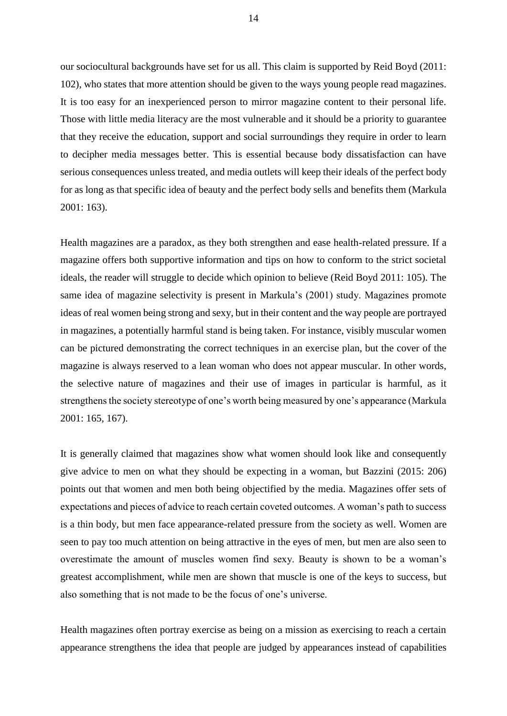our sociocultural backgrounds have set for us all. This claim is supported by Reid Boyd (2011: 102), who states that more attention should be given to the ways young people read magazines. It is too easy for an inexperienced person to mirror magazine content to their personal life. Those with little media literacy are the most vulnerable and it should be a priority to guarantee that they receive the education, support and social surroundings they require in order to learn to decipher media messages better. This is essential because body dissatisfaction can have serious consequences unless treated, and media outlets will keep their ideals of the perfect body for as long as that specific idea of beauty and the perfect body sells and benefits them (Markula 2001: 163).

Health magazines are a paradox, as they both strengthen and ease health-related pressure. If a magazine offers both supportive information and tips on how to conform to the strict societal ideals, the reader will struggle to decide which opinion to believe (Reid Boyd 2011: 105). The same idea of magazine selectivity is present in Markula's (2001) study. Magazines promote ideas of real women being strong and sexy, but in their content and the way people are portrayed in magazines, a potentially harmful stand is being taken. For instance, visibly muscular women can be pictured demonstrating the correct techniques in an exercise plan, but the cover of the magazine is always reserved to a lean woman who does not appear muscular. In other words, the selective nature of magazines and their use of images in particular is harmful, as it strengthens the society stereotype of one's worth being measured by one's appearance (Markula 2001: 165, 167).

It is generally claimed that magazines show what women should look like and consequently give advice to men on what they should be expecting in a woman, but Bazzini (2015: 206) points out that women and men both being objectified by the media. Magazines offer sets of expectations and pieces of advice to reach certain coveted outcomes. A woman's path to success is a thin body, but men face appearance-related pressure from the society as well. Women are seen to pay too much attention on being attractive in the eyes of men, but men are also seen to overestimate the amount of muscles women find sexy. Beauty is shown to be a woman's greatest accomplishment, while men are shown that muscle is one of the keys to success, but also something that is not made to be the focus of one's universe.

Health magazines often portray exercise as being on a mission as exercising to reach a certain appearance strengthens the idea that people are judged by appearances instead of capabilities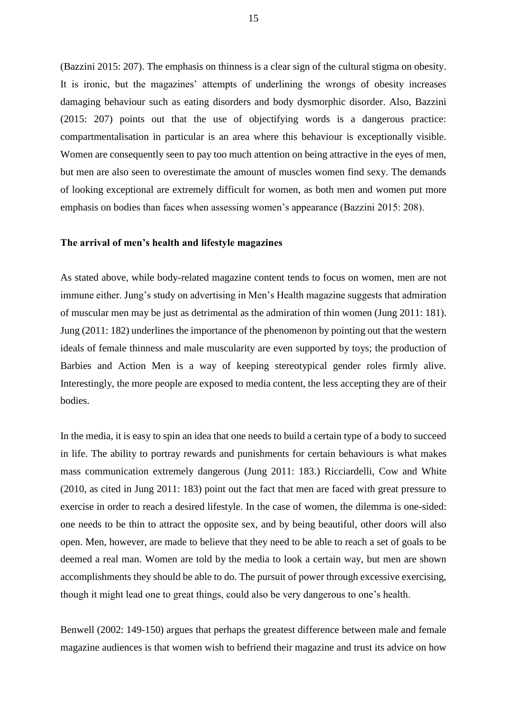(Bazzini 2015: 207). The emphasis on thinness is a clear sign of the cultural stigma on obesity. It is ironic, but the magazines' attempts of underlining the wrongs of obesity increases damaging behaviour such as eating disorders and body dysmorphic disorder. Also, Bazzini (2015: 207) points out that the use of objectifying words is a dangerous practice: compartmentalisation in particular is an area where this behaviour is exceptionally visible. Women are consequently seen to pay too much attention on being attractive in the eyes of men, but men are also seen to overestimate the amount of muscles women find sexy. The demands of looking exceptional are extremely difficult for women, as both men and women put more emphasis on bodies than faces when assessing women's appearance (Bazzini 2015: 208).

#### **The arrival of men's health and lifestyle magazines**

As stated above, while body-related magazine content tends to focus on women, men are not immune either. Jung's study on advertising in Men's Health magazine suggests that admiration of muscular men may be just as detrimental as the admiration of thin women (Jung 2011: 181). Jung (2011: 182) underlines the importance of the phenomenon by pointing out that the western ideals of female thinness and male muscularity are even supported by toys; the production of Barbies and Action Men is a way of keeping stereotypical gender roles firmly alive. Interestingly, the more people are exposed to media content, the less accepting they are of their bodies.

In the media, it is easy to spin an idea that one needs to build a certain type of a body to succeed in life. The ability to portray rewards and punishments for certain behaviours is what makes mass communication extremely dangerous (Jung 2011: 183.) Ricciardelli, Cow and White (2010, as cited in Jung 2011: 183) point out the fact that men are faced with great pressure to exercise in order to reach a desired lifestyle. In the case of women, the dilemma is one-sided: one needs to be thin to attract the opposite sex, and by being beautiful, other doors will also open. Men, however, are made to believe that they need to be able to reach a set of goals to be deemed a real man. Women are told by the media to look a certain way, but men are shown accomplishments they should be able to do. The pursuit of power through excessive exercising, though it might lead one to great things, could also be very dangerous to one's health.

Benwell (2002: 149-150) argues that perhaps the greatest difference between male and female magazine audiences is that women wish to befriend their magazine and trust its advice on how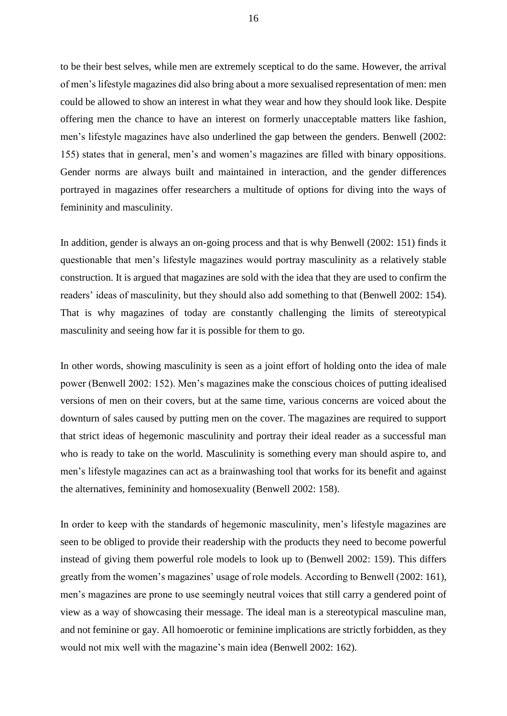to be their best selves, while men are extremely sceptical to do the same. However, the arrival of men's lifestyle magazines did also bring about a more sexualised representation of men: men could be allowed to show an interest in what they wear and how they should look like. Despite offering men the chance to have an interest on formerly unacceptable matters like fashion, men's lifestyle magazines have also underlined the gap between the genders. Benwell (2002: 155) states that in general, men's and women's magazines are filled with binary oppositions. Gender norms are always built and maintained in interaction, and the gender differences portrayed in magazines offer researchers a multitude of options for diving into the ways of femininity and masculinity.

In addition, gender is always an on-going process and that is why Benwell (2002: 151) finds it questionable that men's lifestyle magazines would portray masculinity as a relatively stable construction. It is argued that magazines are sold with the idea that they are used to confirm the readers' ideas of masculinity, but they should also add something to that (Benwell 2002: 154). That is why magazines of today are constantly challenging the limits of stereotypical masculinity and seeing how far it is possible for them to go.

In other words, showing masculinity is seen as a joint effort of holding onto the idea of male power (Benwell 2002: 152). Men's magazines make the conscious choices of putting idealised versions of men on their covers, but at the same time, various concerns are voiced about the downturn of sales caused by putting men on the cover. The magazines are required to support that strict ideas of hegemonic masculinity and portray their ideal reader as a successful man who is ready to take on the world. Masculinity is something every man should aspire to, and men's lifestyle magazines can act as a brainwashing tool that works for its benefit and against the alternatives, femininity and homosexuality (Benwell 2002: 158).

In order to keep with the standards of hegemonic masculinity, men's lifestyle magazines are seen to be obliged to provide their readership with the products they need to become powerful instead of giving them powerful role models to look up to (Benwell 2002: 159). This differs greatly from the women's magazines' usage of role models. According to Benwell (2002: 161), men's magazines are prone to use seemingly neutral voices that still carry a gendered point of view as a way of showcasing their message. The ideal man is a stereotypical masculine man, and not feminine or gay. All homoerotic or feminine implications are strictly forbidden, as they would not mix well with the magazine's main idea (Benwell 2002: 162).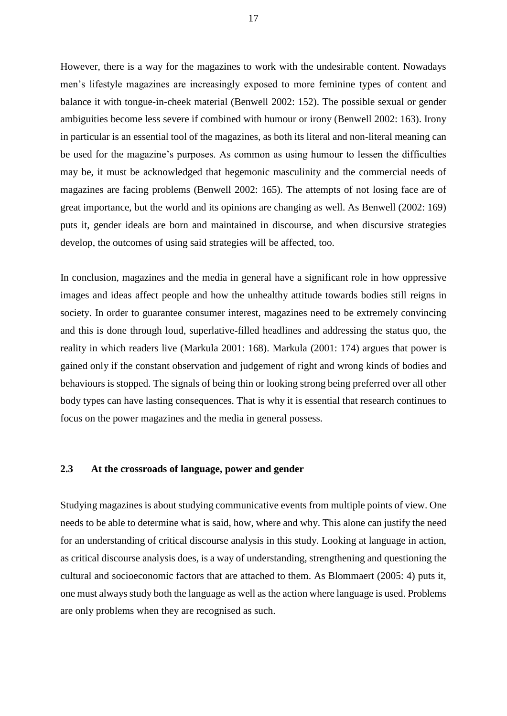However, there is a way for the magazines to work with the undesirable content. Nowadays men's lifestyle magazines are increasingly exposed to more feminine types of content and balance it with tongue-in-cheek material (Benwell 2002: 152). The possible sexual or gender ambiguities become less severe if combined with humour or irony (Benwell 2002: 163). Irony in particular is an essential tool of the magazines, as both its literal and non-literal meaning can be used for the magazine's purposes. As common as using humour to lessen the difficulties may be, it must be acknowledged that hegemonic masculinity and the commercial needs of magazines are facing problems (Benwell 2002: 165). The attempts of not losing face are of great importance, but the world and its opinions are changing as well. As Benwell (2002: 169) puts it, gender ideals are born and maintained in discourse, and when discursive strategies develop, the outcomes of using said strategies will be affected, too.

In conclusion, magazines and the media in general have a significant role in how oppressive images and ideas affect people and how the unhealthy attitude towards bodies still reigns in society. In order to guarantee consumer interest, magazines need to be extremely convincing and this is done through loud, superlative-filled headlines and addressing the status quo, the reality in which readers live (Markula 2001: 168). Markula (2001: 174) argues that power is gained only if the constant observation and judgement of right and wrong kinds of bodies and behaviours is stopped. The signals of being thin or looking strong being preferred over all other body types can have lasting consequences. That is why it is essential that research continues to focus on the power magazines and the media in general possess.

#### <span id="page-17-0"></span>**2.3 At the crossroads of language, power and gender**

Studying magazines is about studying communicative events from multiple points of view. One needs to be able to determine what is said, how, where and why. This alone can justify the need for an understanding of critical discourse analysis in this study. Looking at language in action, as critical discourse analysis does, is a way of understanding, strengthening and questioning the cultural and socioeconomic factors that are attached to them. As Blommaert (2005: 4) puts it, one must always study both the language as well as the action where language is used. Problems are only problems when they are recognised as such.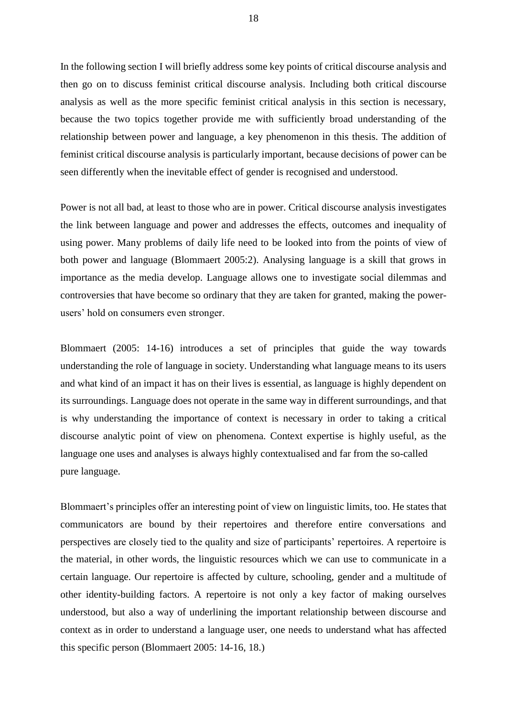In the following section I will briefly address some key points of critical discourse analysis and then go on to discuss feminist critical discourse analysis. Including both critical discourse analysis as well as the more specific feminist critical analysis in this section is necessary, because the two topics together provide me with sufficiently broad understanding of the relationship between power and language, a key phenomenon in this thesis. The addition of feminist critical discourse analysis is particularly important, because decisions of power can be seen differently when the inevitable effect of gender is recognised and understood.

Power is not all bad, at least to those who are in power. Critical discourse analysis investigates the link between language and power and addresses the effects, outcomes and inequality of using power. Many problems of daily life need to be looked into from the points of view of both power and language (Blommaert 2005:2). Analysing language is a skill that grows in importance as the media develop. Language allows one to investigate social dilemmas and controversies that have become so ordinary that they are taken for granted, making the powerusers' hold on consumers even stronger.

Blommaert (2005: 14-16) introduces a set of principles that guide the way towards understanding the role of language in society. Understanding what language means to its users and what kind of an impact it has on their lives is essential, as language is highly dependent on its surroundings. Language does not operate in the same way in different surroundings, and that is why understanding the importance of context is necessary in order to taking a critical discourse analytic point of view on phenomena. Context expertise is highly useful, as the language one uses and analyses is always highly contextualised and far from the so-called pure language.

Blommaert's principles offer an interesting point of view on linguistic limits, too. He states that communicators are bound by their repertoires and therefore entire conversations and perspectives are closely tied to the quality and size of participants' repertoires. A repertoire is the material, in other words, the linguistic resources which we can use to communicate in a certain language. Our repertoire is affected by culture, schooling, gender and a multitude of other identity-building factors. A repertoire is not only a key factor of making ourselves understood, but also a way of underlining the important relationship between discourse and context as in order to understand a language user, one needs to understand what has affected this specific person (Blommaert 2005: 14-16, 18.)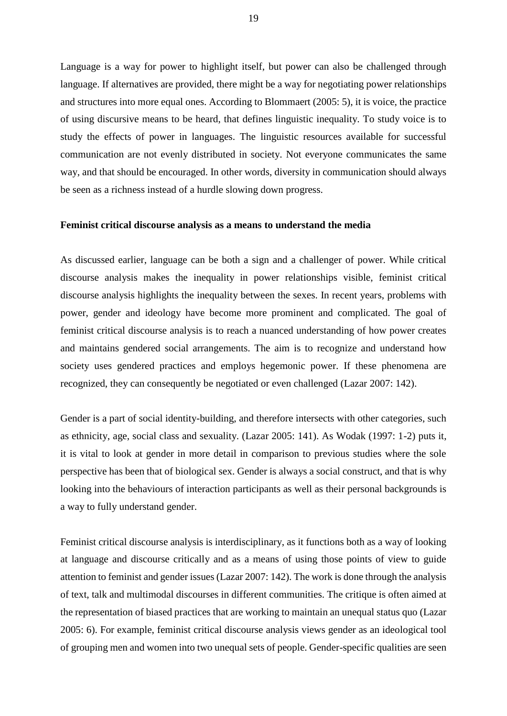Language is a way for power to highlight itself, but power can also be challenged through language. If alternatives are provided, there might be a way for negotiating power relationships and structures into more equal ones. According to Blommaert (2005: 5), it is voice, the practice of using discursive means to be heard, that defines linguistic inequality. To study voice is to study the effects of power in languages. The linguistic resources available for successful communication are not evenly distributed in society. Not everyone communicates the same way, and that should be encouraged. In other words, diversity in communication should always be seen as a richness instead of a hurdle slowing down progress.

#### **Feminist critical discourse analysis as a means to understand the media**

As discussed earlier, language can be both a sign and a challenger of power. While critical discourse analysis makes the inequality in power relationships visible, feminist critical discourse analysis highlights the inequality between the sexes. In recent years, problems with power, gender and ideology have become more prominent and complicated. The goal of feminist critical discourse analysis is to reach a nuanced understanding of how power creates and maintains gendered social arrangements. The aim is to recognize and understand how society uses gendered practices and employs hegemonic power. If these phenomena are recognized, they can consequently be negotiated or even challenged (Lazar 2007: 142).

Gender is a part of social identity-building, and therefore intersects with other categories, such as ethnicity, age, social class and sexuality. (Lazar 2005: 141). As Wodak (1997: 1-2) puts it, it is vital to look at gender in more detail in comparison to previous studies where the sole perspective has been that of biological sex. Gender is always a social construct, and that is why looking into the behaviours of interaction participants as well as their personal backgrounds is a way to fully understand gender.

Feminist critical discourse analysis is interdisciplinary, as it functions both as a way of looking at language and discourse critically and as a means of using those points of view to guide attention to feminist and gender issues (Lazar 2007: 142). The work is done through the analysis of text, talk and multimodal discourses in different communities. The critique is often aimed at the representation of biased practices that are working to maintain an unequal status quo (Lazar 2005: 6). For example, feminist critical discourse analysis views gender as an ideological tool of grouping men and women into two unequal sets of people. Gender-specific qualities are seen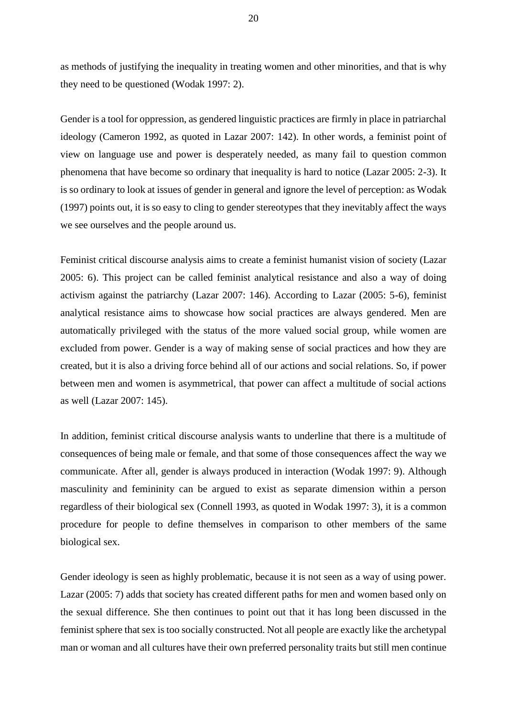as methods of justifying the inequality in treating women and other minorities, and that is why they need to be questioned (Wodak 1997: 2).

Gender is a tool for oppression, as gendered linguistic practices are firmly in place in patriarchal ideology (Cameron 1992, as quoted in Lazar 2007: 142). In other words, a feminist point of view on language use and power is desperately needed, as many fail to question common phenomena that have become so ordinary that inequality is hard to notice (Lazar 2005: 2-3). It is so ordinary to look at issues of gender in general and ignore the level of perception: as Wodak (1997) points out, it is so easy to cling to gender stereotypes that they inevitably affect the ways we see ourselves and the people around us.

Feminist critical discourse analysis aims to create a feminist humanist vision of society (Lazar 2005: 6). This project can be called feminist analytical resistance and also a way of doing activism against the patriarchy (Lazar 2007: 146). According to Lazar (2005: 5-6), feminist analytical resistance aims to showcase how social practices are always gendered. Men are automatically privileged with the status of the more valued social group, while women are excluded from power. Gender is a way of making sense of social practices and how they are created, but it is also a driving force behind all of our actions and social relations. So, if power between men and women is asymmetrical, that power can affect a multitude of social actions as well (Lazar 2007: 145).

In addition, feminist critical discourse analysis wants to underline that there is a multitude of consequences of being male or female, and that some of those consequences affect the way we communicate. After all, gender is always produced in interaction (Wodak 1997: 9). Although masculinity and femininity can be argued to exist as separate dimension within a person regardless of their biological sex (Connell 1993, as quoted in Wodak 1997: 3), it is a common procedure for people to define themselves in comparison to other members of the same biological sex.

Gender ideology is seen as highly problematic, because it is not seen as a way of using power. Lazar (2005: 7) adds that society has created different paths for men and women based only on the sexual difference. She then continues to point out that it has long been discussed in the feminist sphere that sex is too socially constructed. Not all people are exactly like the archetypal man or woman and all cultures have their own preferred personality traits but still men continue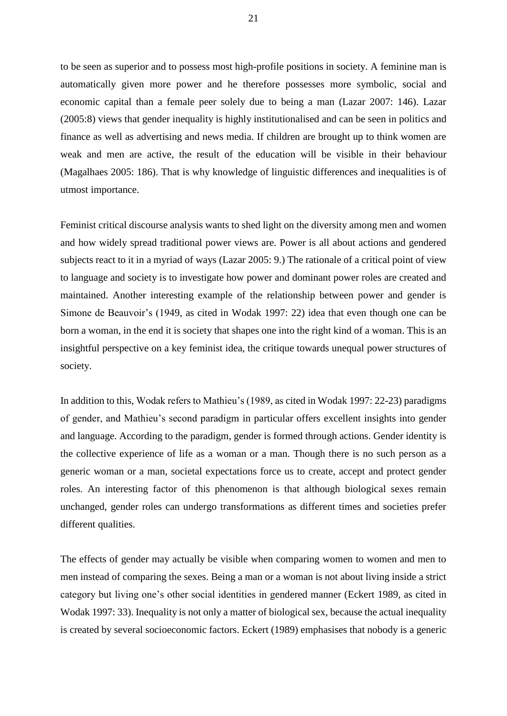to be seen as superior and to possess most high-profile positions in society. A feminine man is automatically given more power and he therefore possesses more symbolic, social and economic capital than a female peer solely due to being a man (Lazar 2007: 146). Lazar (2005:8) views that gender inequality is highly institutionalised and can be seen in politics and finance as well as advertising and news media. If children are brought up to think women are weak and men are active, the result of the education will be visible in their behaviour (Magalhaes 2005: 186). That is why knowledge of linguistic differences and inequalities is of utmost importance.

Feminist critical discourse analysis wants to shed light on the diversity among men and women and how widely spread traditional power views are. Power is all about actions and gendered subjects react to it in a myriad of ways (Lazar 2005: 9.) The rationale of a critical point of view to language and society is to investigate how power and dominant power roles are created and maintained. Another interesting example of the relationship between power and gender is Simone de Beauvoir's (1949, as cited in Wodak 1997: 22) idea that even though one can be born a woman, in the end it is society that shapes one into the right kind of a woman. This is an insightful perspective on a key feminist idea, the critique towards unequal power structures of society.

In addition to this, Wodak refers to Mathieu's (1989, as cited in Wodak 1997: 22-23) paradigms of gender, and Mathieu's second paradigm in particular offers excellent insights into gender and language. According to the paradigm, gender is formed through actions. Gender identity is the collective experience of life as a woman or a man. Though there is no such person as a generic woman or a man, societal expectations force us to create, accept and protect gender roles. An interesting factor of this phenomenon is that although biological sexes remain unchanged, gender roles can undergo transformations as different times and societies prefer different qualities.

The effects of gender may actually be visible when comparing women to women and men to men instead of comparing the sexes. Being a man or a woman is not about living inside a strict category but living one's other social identities in gendered manner (Eckert 1989, as cited in Wodak 1997: 33). Inequality is not only a matter of biological sex, because the actual inequality is created by several socioeconomic factors. Eckert (1989) emphasises that nobody is a generic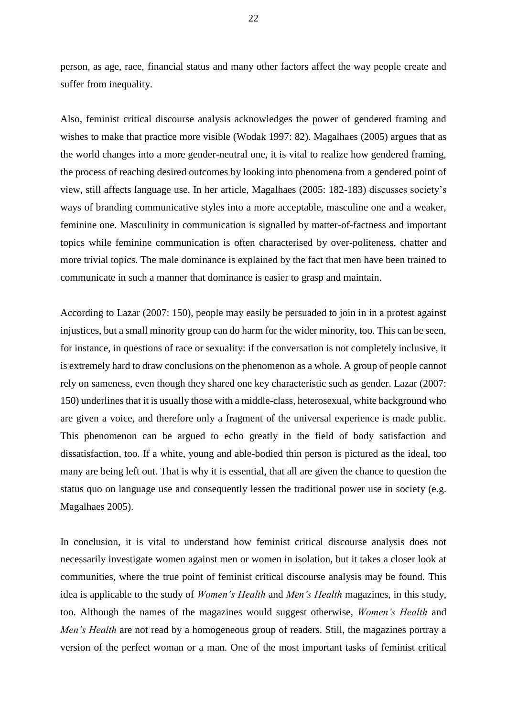person, as age, race, financial status and many other factors affect the way people create and suffer from inequality.

Also, feminist critical discourse analysis acknowledges the power of gendered framing and wishes to make that practice more visible (Wodak 1997: 82). Magalhaes (2005) argues that as the world changes into a more gender-neutral one, it is vital to realize how gendered framing, the process of reaching desired outcomes by looking into phenomena from a gendered point of view, still affects language use. In her article, Magalhaes (2005: 182-183) discusses society's ways of branding communicative styles into a more acceptable, masculine one and a weaker, feminine one. Masculinity in communication is signalled by matter-of-factness and important topics while feminine communication is often characterised by over-politeness, chatter and more trivial topics. The male dominance is explained by the fact that men have been trained to communicate in such a manner that dominance is easier to grasp and maintain.

According to Lazar (2007: 150), people may easily be persuaded to join in in a protest against injustices, but a small minority group can do harm for the wider minority, too. This can be seen, for instance, in questions of race or sexuality: if the conversation is not completely inclusive, it is extremely hard to draw conclusions on the phenomenon as a whole. A group of people cannot rely on sameness, even though they shared one key characteristic such as gender. Lazar (2007: 150) underlines that it is usually those with a middle-class, heterosexual, white background who are given a voice, and therefore only a fragment of the universal experience is made public. This phenomenon can be argued to echo greatly in the field of body satisfaction and dissatisfaction, too. If a white, young and able-bodied thin person is pictured as the ideal, too many are being left out. That is why it is essential, that all are given the chance to question the status quo on language use and consequently lessen the traditional power use in society (e.g. Magalhaes 2005).

In conclusion, it is vital to understand how feminist critical discourse analysis does not necessarily investigate women against men or women in isolation, but it takes a closer look at communities, where the true point of feminist critical discourse analysis may be found. This idea is applicable to the study of *Women's Health* and *Men's Health* magazines, in this study, too. Although the names of the magazines would suggest otherwise, *Women's Health* and *Men's Health* are not read by a homogeneous group of readers. Still, the magazines portray a version of the perfect woman or a man. One of the most important tasks of feminist critical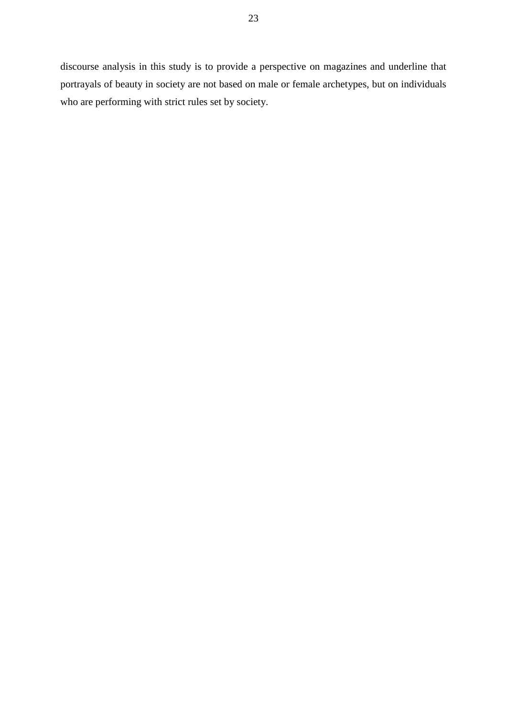discourse analysis in this study is to provide a perspective on magazines and underline that portrayals of beauty in society are not based on male or female archetypes, but on individuals who are performing with strict rules set by society.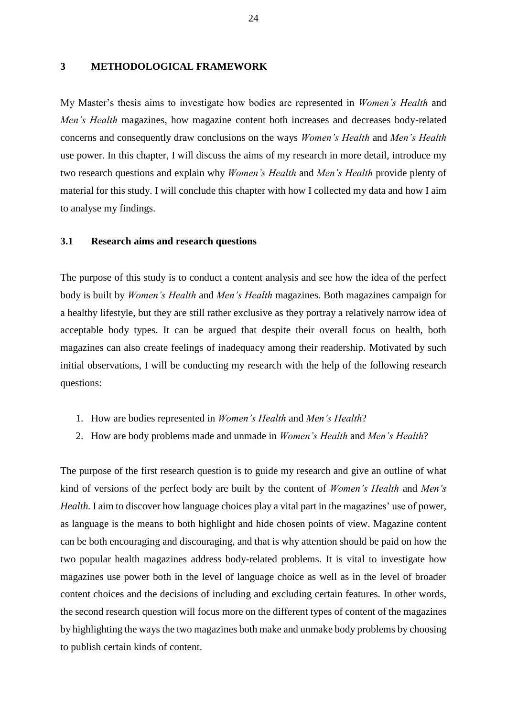#### <span id="page-24-0"></span>**3 METHODOLOGICAL FRAMEWORK**

My Master's thesis aims to investigate how bodies are represented in *Women's Health* and *Men's Health* magazines, how magazine content both increases and decreases body-related concerns and consequently draw conclusions on the ways *Women's Health* and *Men's Health* use power. In this chapter, I will discuss the aims of my research in more detail, introduce my two research questions and explain why *Women's Health* and *Men's Health* provide plenty of material for this study. I will conclude this chapter with how I collected my data and how I aim to analyse my findings.

#### <span id="page-24-1"></span>**3.1 Research aims and research questions**

The purpose of this study is to conduct a content analysis and see how the idea of the perfect body is built by *Women's Health* and *Men's Health* magazines. Both magazines campaign for a healthy lifestyle, but they are still rather exclusive as they portray a relatively narrow idea of acceptable body types. It can be argued that despite their overall focus on health, both magazines can also create feelings of inadequacy among their readership. Motivated by such initial observations, I will be conducting my research with the help of the following research questions:

- 1. How are bodies represented in *Women's Health* and *Men's Health*?
- 2. How are body problems made and unmade in *Women's Health* and *Men's Health*?

The purpose of the first research question is to guide my research and give an outline of what kind of versions of the perfect body are built by the content of *Women's Health* and *Men's Health.* I aim to discover how language choices play a vital part in the magazines' use of power, as language is the means to both highlight and hide chosen points of view. Magazine content can be both encouraging and discouraging, and that is why attention should be paid on how the two popular health magazines address body-related problems. It is vital to investigate how magazines use power both in the level of language choice as well as in the level of broader content choices and the decisions of including and excluding certain features. In other words, the second research question will focus more on the different types of content of the magazines by highlighting the ways the two magazines both make and unmake body problems by choosing to publish certain kinds of content.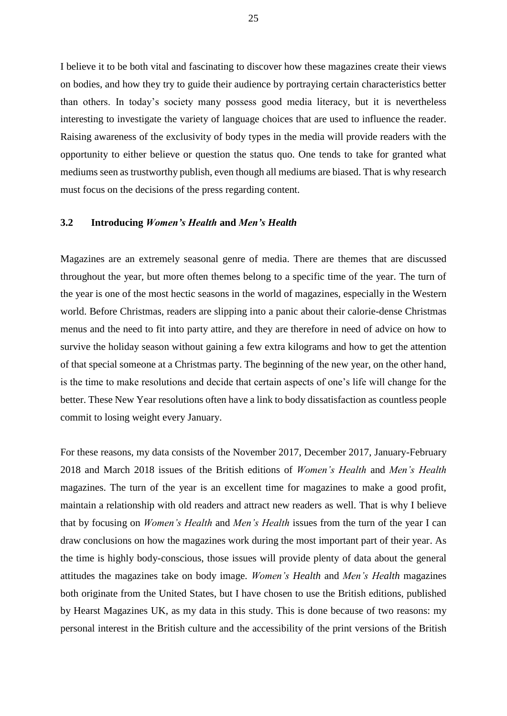I believe it to be both vital and fascinating to discover how these magazines create their views on bodies, and how they try to guide their audience by portraying certain characteristics better than others. In today's society many possess good media literacy, but it is nevertheless interesting to investigate the variety of language choices that are used to influence the reader. Raising awareness of the exclusivity of body types in the media will provide readers with the opportunity to either believe or question the status quo. One tends to take for granted what mediums seen as trustworthy publish, even though all mediums are biased. That is why research must focus on the decisions of the press regarding content.

#### <span id="page-25-0"></span>**3.2 Introducing** *Women's Health* **and** *Men's Health*

Magazines are an extremely seasonal genre of media. There are themes that are discussed throughout the year, but more often themes belong to a specific time of the year. The turn of the year is one of the most hectic seasons in the world of magazines, especially in the Western world. Before Christmas, readers are slipping into a panic about their calorie-dense Christmas menus and the need to fit into party attire, and they are therefore in need of advice on how to survive the holiday season without gaining a few extra kilograms and how to get the attention of that special someone at a Christmas party. The beginning of the new year, on the other hand, is the time to make resolutions and decide that certain aspects of one's life will change for the better. These New Year resolutions often have a link to body dissatisfaction as countless people commit to losing weight every January.

For these reasons, my data consists of the November 2017, December 2017, January-February 2018 and March 2018 issues of the British editions of *Women's Health* and *Men's Health* magazines. The turn of the year is an excellent time for magazines to make a good profit, maintain a relationship with old readers and attract new readers as well. That is why I believe that by focusing on *Women's Health* and *Men's Health* issues from the turn of the year I can draw conclusions on how the magazines work during the most important part of their year. As the time is highly body-conscious, those issues will provide plenty of data about the general attitudes the magazines take on body image. *Women's Health* and *Men's Health* magazines both originate from the United States, but I have chosen to use the British editions, published by Hearst Magazines UK, as my data in this study. This is done because of two reasons: my personal interest in the British culture and the accessibility of the print versions of the British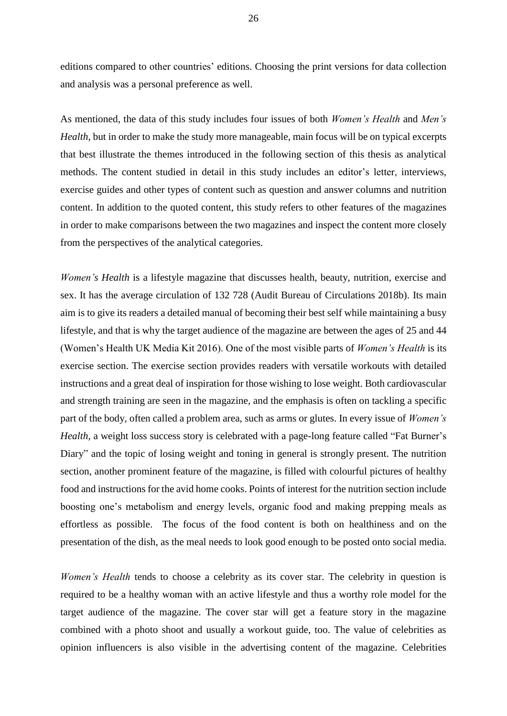editions compared to other countries' editions. Choosing the print versions for data collection and analysis was a personal preference as well.

As mentioned, the data of this study includes four issues of both *Women's Health* and *Men's Health*, but in order to make the study more manageable, main focus will be on typical excerpts that best illustrate the themes introduced in the following section of this thesis as analytical methods. The content studied in detail in this study includes an editor's letter, interviews, exercise guides and other types of content such as question and answer columns and nutrition content. In addition to the quoted content, this study refers to other features of the magazines in order to make comparisons between the two magazines and inspect the content more closely from the perspectives of the analytical categories.

*Women's Health* is a lifestyle magazine that discusses health, beauty, nutrition, exercise and sex. It has the average circulation of 132 728 (Audit Bureau of Circulations 2018b). Its main aim is to give its readers a detailed manual of becoming their best self while maintaining a busy lifestyle, and that is why the target audience of the magazine are between the ages of 25 and 44 (Women's Health UK Media Kit 2016). One of the most visible parts of *Women's Health* is its exercise section. The exercise section provides readers with versatile workouts with detailed instructions and a great deal of inspiration for those wishing to lose weight. Both cardiovascular and strength training are seen in the magazine, and the emphasis is often on tackling a specific part of the body, often called a problem area, such as arms or glutes. In every issue of *Women's Health*, a weight loss success story is celebrated with a page-long feature called "Fat Burner's Diary" and the topic of losing weight and toning in general is strongly present. The nutrition section, another prominent feature of the magazine, is filled with colourful pictures of healthy food and instructions for the avid home cooks. Points of interest for the nutrition section include boosting one's metabolism and energy levels, organic food and making prepping meals as effortless as possible. The focus of the food content is both on healthiness and on the presentation of the dish, as the meal needs to look good enough to be posted onto social media.

*Women's Health* tends to choose a celebrity as its cover star. The celebrity in question is required to be a healthy woman with an active lifestyle and thus a worthy role model for the target audience of the magazine. The cover star will get a feature story in the magazine combined with a photo shoot and usually a workout guide, too. The value of celebrities as opinion influencers is also visible in the advertising content of the magazine. Celebrities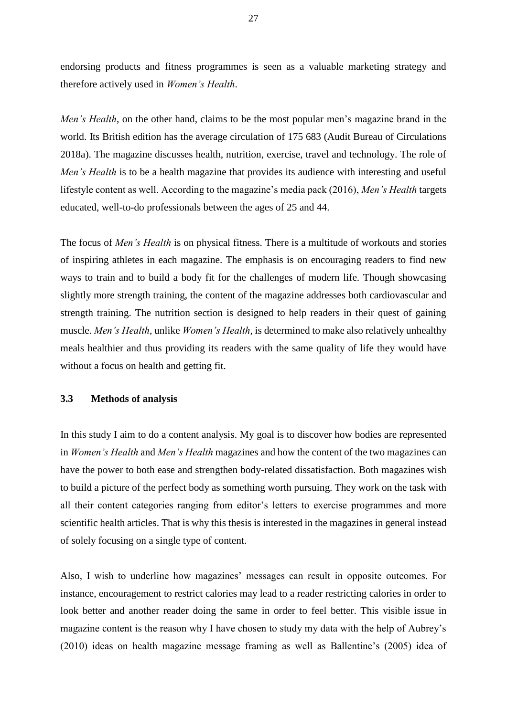endorsing products and fitness programmes is seen as a valuable marketing strategy and therefore actively used in *Women's Health*.

*Men's Health*, on the other hand, claims to be the most popular men's magazine brand in the world. Its British edition has the average circulation of 175 683 (Audit Bureau of Circulations 2018a). The magazine discusses health, nutrition, exercise, travel and technology. The role of *Men's Health* is to be a health magazine that provides its audience with interesting and useful lifestyle content as well. According to the magazine's media pack (2016), *Men's Health* targets educated, well-to-do professionals between the ages of 25 and 44.

The focus of *Men's Health* is on physical fitness. There is a multitude of workouts and stories of inspiring athletes in each magazine. The emphasis is on encouraging readers to find new ways to train and to build a body fit for the challenges of modern life. Though showcasing slightly more strength training, the content of the magazine addresses both cardiovascular and strength training. The nutrition section is designed to help readers in their quest of gaining muscle. *Men's Health*, unlike *Women's Health*, is determined to make also relatively unhealthy meals healthier and thus providing its readers with the same quality of life they would have without a focus on health and getting fit.

#### <span id="page-27-0"></span>**3.3 Methods of analysis**

In this study I aim to do a content analysis. My goal is to discover how bodies are represented in *Women's Health* and *Men's Health* magazines and how the content of the two magazines can have the power to both ease and strengthen body-related dissatisfaction. Both magazines wish to build a picture of the perfect body as something worth pursuing. They work on the task with all their content categories ranging from editor's letters to exercise programmes and more scientific health articles. That is why this thesis is interested in the magazines in general instead of solely focusing on a single type of content.

Also, I wish to underline how magazines' messages can result in opposite outcomes. For instance, encouragement to restrict calories may lead to a reader restricting calories in order to look better and another reader doing the same in order to feel better. This visible issue in magazine content is the reason why I have chosen to study my data with the help of Aubrey's (2010) ideas on health magazine message framing as well as Ballentine's (2005) idea of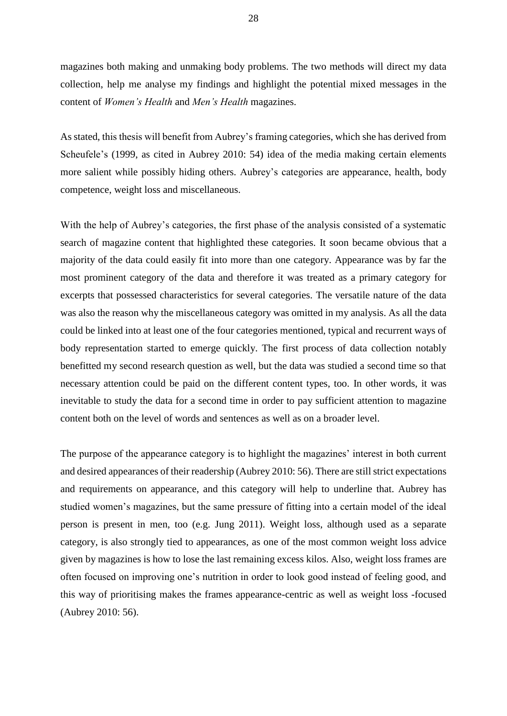magazines both making and unmaking body problems. The two methods will direct my data collection, help me analyse my findings and highlight the potential mixed messages in the content of *Women's Health* and *Men's Health* magazines.

As stated, this thesis will benefit from Aubrey's framing categories, which she has derived from Scheufele's (1999, as cited in Aubrey 2010: 54) idea of the media making certain elements more salient while possibly hiding others. Aubrey's categories are appearance, health, body competence, weight loss and miscellaneous.

With the help of Aubrey's categories, the first phase of the analysis consisted of a systematic search of magazine content that highlighted these categories. It soon became obvious that a majority of the data could easily fit into more than one category. Appearance was by far the most prominent category of the data and therefore it was treated as a primary category for excerpts that possessed characteristics for several categories. The versatile nature of the data was also the reason why the miscellaneous category was omitted in my analysis. As all the data could be linked into at least one of the four categories mentioned, typical and recurrent ways of body representation started to emerge quickly. The first process of data collection notably benefitted my second research question as well, but the data was studied a second time so that necessary attention could be paid on the different content types, too. In other words, it was inevitable to study the data for a second time in order to pay sufficient attention to magazine content both on the level of words and sentences as well as on a broader level.

The purpose of the appearance category is to highlight the magazines' interest in both current and desired appearances of their readership (Aubrey 2010: 56). There are still strict expectations and requirements on appearance, and this category will help to underline that. Aubrey has studied women's magazines, but the same pressure of fitting into a certain model of the ideal person is present in men, too (e.g. Jung 2011). Weight loss, although used as a separate category, is also strongly tied to appearances, as one of the most common weight loss advice given by magazines is how to lose the last remaining excess kilos. Also, weight loss frames are often focused on improving one's nutrition in order to look good instead of feeling good, and this way of prioritising makes the frames appearance-centric as well as weight loss -focused (Aubrey 2010: 56).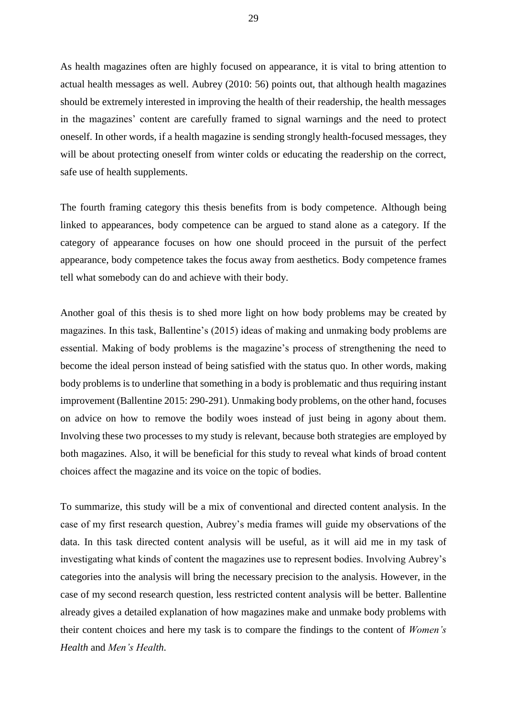As health magazines often are highly focused on appearance, it is vital to bring attention to actual health messages as well. Aubrey (2010: 56) points out, that although health magazines should be extremely interested in improving the health of their readership, the health messages in the magazines' content are carefully framed to signal warnings and the need to protect oneself. In other words, if a health magazine is sending strongly health-focused messages, they will be about protecting oneself from winter colds or educating the readership on the correct, safe use of health supplements.

The fourth framing category this thesis benefits from is body competence. Although being linked to appearances, body competence can be argued to stand alone as a category. If the category of appearance focuses on how one should proceed in the pursuit of the perfect appearance, body competence takes the focus away from aesthetics. Body competence frames tell what somebody can do and achieve with their body.

Another goal of this thesis is to shed more light on how body problems may be created by magazines. In this task, Ballentine's (2015) ideas of making and unmaking body problems are essential. Making of body problems is the magazine's process of strengthening the need to become the ideal person instead of being satisfied with the status quo. In other words, making body problems is to underline that something in a body is problematic and thus requiring instant improvement (Ballentine 2015: 290-291). Unmaking body problems, on the other hand, focuses on advice on how to remove the bodily woes instead of just being in agony about them. Involving these two processes to my study is relevant, because both strategies are employed by both magazines. Also, it will be beneficial for this study to reveal what kinds of broad content choices affect the magazine and its voice on the topic of bodies.

To summarize, this study will be a mix of conventional and directed content analysis. In the case of my first research question, Aubrey's media frames will guide my observations of the data. In this task directed content analysis will be useful, as it will aid me in my task of investigating what kinds of content the magazines use to represent bodies. Involving Aubrey's categories into the analysis will bring the necessary precision to the analysis. However, in the case of my second research question, less restricted content analysis will be better. Ballentine already gives a detailed explanation of how magazines make and unmake body problems with their content choices and here my task is to compare the findings to the content of *Women's Health* and *Men's Health.*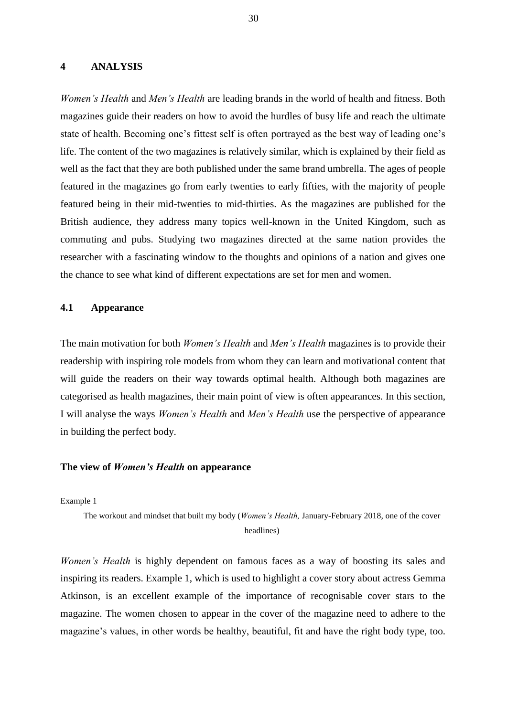#### <span id="page-30-0"></span>**4 ANALYSIS**

*Women's Health* and *Men's Health* are leading brands in the world of health and fitness. Both magazines guide their readers on how to avoid the hurdles of busy life and reach the ultimate state of health. Becoming one's fittest self is often portrayed as the best way of leading one's life. The content of the two magazines is relatively similar, which is explained by their field as well as the fact that they are both published under the same brand umbrella. The ages of people featured in the magazines go from early twenties to early fifties, with the majority of people featured being in their mid-twenties to mid-thirties. As the magazines are published for the British audience, they address many topics well-known in the United Kingdom, such as commuting and pubs. Studying two magazines directed at the same nation provides the researcher with a fascinating window to the thoughts and opinions of a nation and gives one the chance to see what kind of different expectations are set for men and women.

#### <span id="page-30-1"></span>**4.1 Appearance**

The main motivation for both *Women's Health* and *Men's Health* magazines is to provide their readership with inspiring role models from whom they can learn and motivational content that will guide the readers on their way towards optimal health. Although both magazines are categorised as health magazines, their main point of view is often appearances. In this section, I will analyse the ways *Women's Health* and *Men's Health* use the perspective of appearance in building the perfect body.

#### **The view of** *Women's Health* **on appearance**

Example 1

The workout and mindset that built my body (*Women's Health,* January-February 2018, one of the cover headlines)

*Women's Health* is highly dependent on famous faces as a way of boosting its sales and inspiring its readers. Example 1, which is used to highlight a cover story about actress Gemma Atkinson, is an excellent example of the importance of recognisable cover stars to the magazine. The women chosen to appear in the cover of the magazine need to adhere to the magazine's values, in other words be healthy, beautiful, fit and have the right body type, too.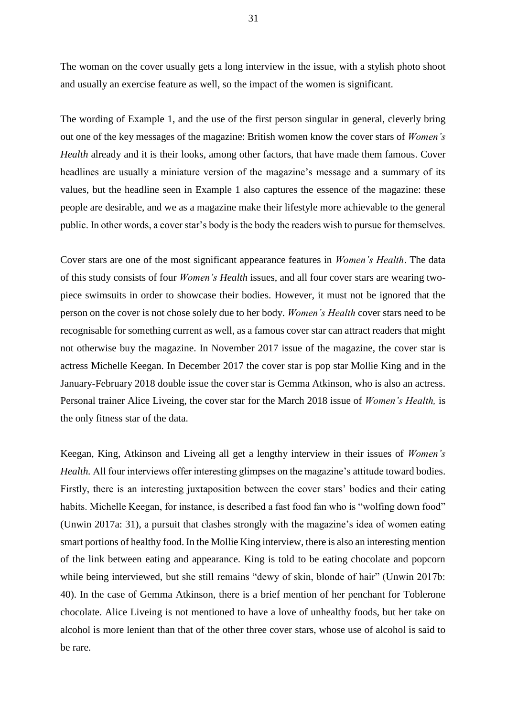The woman on the cover usually gets a long interview in the issue, with a stylish photo shoot and usually an exercise feature as well, so the impact of the women is significant.

The wording of Example 1, and the use of the first person singular in general, cleverly bring out one of the key messages of the magazine: British women know the cover stars of *Women's Health* already and it is their looks, among other factors, that have made them famous. Cover headlines are usually a miniature version of the magazine's message and a summary of its values, but the headline seen in Example 1 also captures the essence of the magazine: these people are desirable, and we as a magazine make their lifestyle more achievable to the general public. In other words, a cover star's body is the body the readers wish to pursue for themselves.

Cover stars are one of the most significant appearance features in *Women's Health*. The data of this study consists of four *Women's Health* issues, and all four cover stars are wearing twopiece swimsuits in order to showcase their bodies. However, it must not be ignored that the person on the cover is not chose solely due to her body. *Women's Health* cover stars need to be recognisable for something current as well, as a famous cover star can attract readers that might not otherwise buy the magazine. In November 2017 issue of the magazine, the cover star is actress Michelle Keegan. In December 2017 the cover star is pop star Mollie King and in the January-February 2018 double issue the cover star is Gemma Atkinson, who is also an actress. Personal trainer Alice Liveing, the cover star for the March 2018 issue of *Women's Health,* is the only fitness star of the data.

Keegan, King, Atkinson and Liveing all get a lengthy interview in their issues of *Women's Health.* All four interviews offer interesting glimpses on the magazine's attitude toward bodies. Firstly, there is an interesting juxtaposition between the cover stars' bodies and their eating habits. Michelle Keegan, for instance, is described a fast food fan who is "wolfing down food" (Unwin 2017a: 31), a pursuit that clashes strongly with the magazine's idea of women eating smart portions of healthy food. In the Mollie King interview, there is also an interesting mention of the link between eating and appearance. King is told to be eating chocolate and popcorn while being interviewed, but she still remains "dewy of skin, blonde of hair" (Unwin 2017b: 40). In the case of Gemma Atkinson, there is a brief mention of her penchant for Toblerone chocolate. Alice Liveing is not mentioned to have a love of unhealthy foods, but her take on alcohol is more lenient than that of the other three cover stars, whose use of alcohol is said to be rare.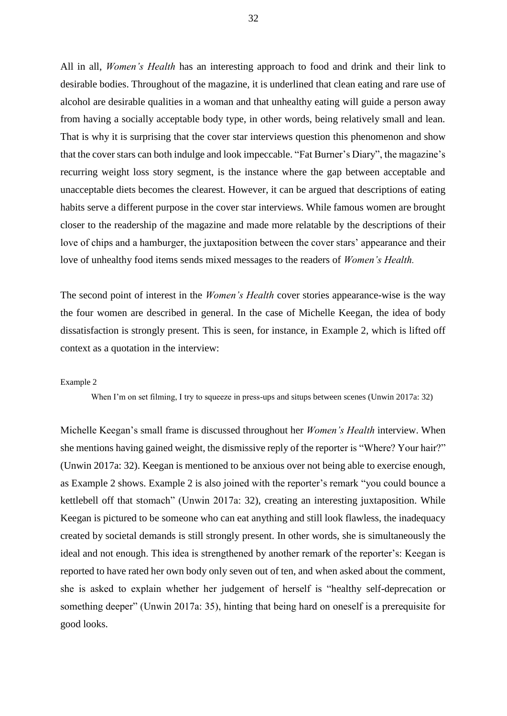All in all, *Women's Health* has an interesting approach to food and drink and their link to desirable bodies. Throughout of the magazine, it is underlined that clean eating and rare use of alcohol are desirable qualities in a woman and that unhealthy eating will guide a person away from having a socially acceptable body type, in other words, being relatively small and lean. That is why it is surprising that the cover star interviews question this phenomenon and show that the cover stars can both indulge and look impeccable. "Fat Burner's Diary", the magazine's recurring weight loss story segment, is the instance where the gap between acceptable and unacceptable diets becomes the clearest. However, it can be argued that descriptions of eating habits serve a different purpose in the cover star interviews. While famous women are brought closer to the readership of the magazine and made more relatable by the descriptions of their love of chips and a hamburger, the juxtaposition between the cover stars' appearance and their love of unhealthy food items sends mixed messages to the readers of *Women's Health.* 

The second point of interest in the *Women's Health* cover stories appearance-wise is the way the four women are described in general. In the case of Michelle Keegan, the idea of body dissatisfaction is strongly present. This is seen, for instance, in Example 2, which is lifted off context as a quotation in the interview:

#### Example 2

When I'm on set filming, I try to squeeze in press-ups and situps between scenes (Unwin 2017a: 32)

Michelle Keegan's small frame is discussed throughout her *Women's Health* interview. When she mentions having gained weight, the dismissive reply of the reporter is "Where? Your hair?" (Unwin 2017a: 32). Keegan is mentioned to be anxious over not being able to exercise enough, as Example 2 shows. Example 2 is also joined with the reporter's remark "you could bounce a kettlebell off that stomach" (Unwin 2017a: 32), creating an interesting juxtaposition. While Keegan is pictured to be someone who can eat anything and still look flawless, the inadequacy created by societal demands is still strongly present. In other words, she is simultaneously the ideal and not enough. This idea is strengthened by another remark of the reporter's: Keegan is reported to have rated her own body only seven out of ten, and when asked about the comment, she is asked to explain whether her judgement of herself is "healthy self-deprecation or something deeper" (Unwin 2017a: 35), hinting that being hard on oneself is a prerequisite for good looks.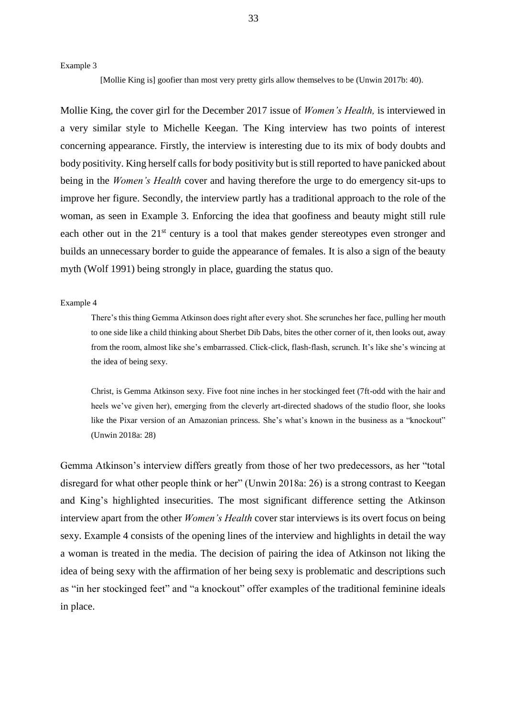Example 3

[Mollie King is] goofier than most very pretty girls allow themselves to be (Unwin 2017b: 40).

Mollie King, the cover girl for the December 2017 issue of *Women's Health,* is interviewed in a very similar style to Michelle Keegan. The King interview has two points of interest concerning appearance. Firstly, the interview is interesting due to its mix of body doubts and body positivity. King herself calls for body positivity but is still reported to have panicked about being in the *Women's Health* cover and having therefore the urge to do emergency sit-ups to improve her figure. Secondly, the interview partly has a traditional approach to the role of the woman, as seen in Example 3. Enforcing the idea that goofiness and beauty might still rule each other out in the 21<sup>st</sup> century is a tool that makes gender stereotypes even stronger and builds an unnecessary border to guide the appearance of females. It is also a sign of the beauty myth (Wolf 1991) being strongly in place, guarding the status quo.

#### Example 4

There's this thing Gemma Atkinson does right after every shot. She scrunches her face, pulling her mouth to one side like a child thinking about Sherbet Dib Dabs, bites the other corner of it, then looks out, away from the room, almost like she's embarrassed. Click-click, flash-flash, scrunch. It's like she's wincing at the idea of being sexy.

Christ, is Gemma Atkinson sexy. Five foot nine inches in her stockinged feet (7ft-odd with the hair and heels we've given her), emerging from the cleverly art-directed shadows of the studio floor, she looks like the Pixar version of an Amazonian princess. She's what's known in the business as a "knockout" (Unwin 2018a: 28)

Gemma Atkinson's interview differs greatly from those of her two predecessors, as her "total disregard for what other people think or her" (Unwin 2018a: 26) is a strong contrast to Keegan and King's highlighted insecurities. The most significant difference setting the Atkinson interview apart from the other *Women's Health* cover star interviews is its overt focus on being sexy. Example 4 consists of the opening lines of the interview and highlights in detail the way a woman is treated in the media. The decision of pairing the idea of Atkinson not liking the idea of being sexy with the affirmation of her being sexy is problematic and descriptions such as "in her stockinged feet" and "a knockout" offer examples of the traditional feminine ideals in place.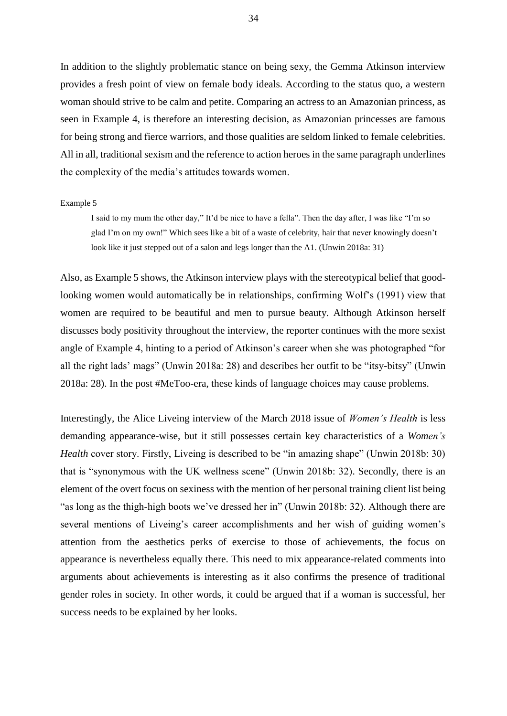In addition to the slightly problematic stance on being sexy, the Gemma Atkinson interview provides a fresh point of view on female body ideals. According to the status quo, a western woman should strive to be calm and petite. Comparing an actress to an Amazonian princess, as seen in Example 4, is therefore an interesting decision, as Amazonian princesses are famous for being strong and fierce warriors, and those qualities are seldom linked to female celebrities. All in all, traditional sexism and the reference to action heroes in the same paragraph underlines the complexity of the media's attitudes towards women.

#### Example 5

I said to my mum the other day," It'd be nice to have a fella". Then the day after, I was like "I'm so glad I'm on my own!" Which sees like a bit of a waste of celebrity, hair that never knowingly doesn't look like it just stepped out of a salon and legs longer than the A1. (Unwin 2018a: 31)

Also, as Example 5 shows, the Atkinson interview plays with the stereotypical belief that goodlooking women would automatically be in relationships, confirming Wolf's (1991) view that women are required to be beautiful and men to pursue beauty. Although Atkinson herself discusses body positivity throughout the interview, the reporter continues with the more sexist angle of Example 4, hinting to a period of Atkinson's career when she was photographed "for all the right lads' mags" (Unwin 2018a: 28) and describes her outfit to be "itsy-bitsy" (Unwin 2018a: 28). In the post #MeToo-era, these kinds of language choices may cause problems.

Interestingly, the Alice Liveing interview of the March 2018 issue of *Women's Health* is less demanding appearance-wise, but it still possesses certain key characteristics of a *Women's Health* cover story. Firstly, Liveing is described to be "in amazing shape" (Unwin 2018b: 30) that is "synonymous with the UK wellness scene" (Unwin 2018b: 32). Secondly, there is an element of the overt focus on sexiness with the mention of her personal training client list being "as long as the thigh-high boots we've dressed her in" (Unwin 2018b: 32). Although there are several mentions of Liveing's career accomplishments and her wish of guiding women's attention from the aesthetics perks of exercise to those of achievements, the focus on appearance is nevertheless equally there. This need to mix appearance-related comments into arguments about achievements is interesting as it also confirms the presence of traditional gender roles in society. In other words, it could be argued that if a woman is successful, her success needs to be explained by her looks.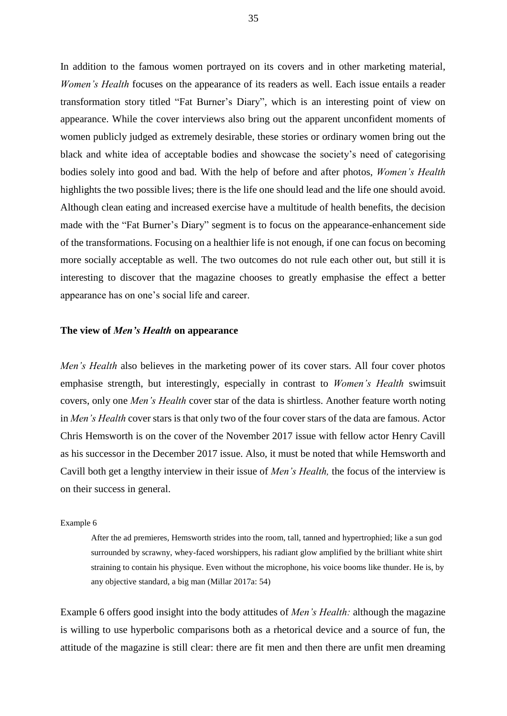In addition to the famous women portrayed on its covers and in other marketing material, *Women's Health* focuses on the appearance of its readers as well. Each issue entails a reader transformation story titled "Fat Burner's Diary", which is an interesting point of view on appearance. While the cover interviews also bring out the apparent unconfident moments of women publicly judged as extremely desirable, these stories or ordinary women bring out the black and white idea of acceptable bodies and showcase the society's need of categorising bodies solely into good and bad. With the help of before and after photos, *Women's Health*  highlights the two possible lives; there is the life one should lead and the life one should avoid. Although clean eating and increased exercise have a multitude of health benefits, the decision made with the "Fat Burner's Diary" segment is to focus on the appearance-enhancement side of the transformations. Focusing on a healthier life is not enough, if one can focus on becoming more socially acceptable as well. The two outcomes do not rule each other out, but still it is interesting to discover that the magazine chooses to greatly emphasise the effect a better appearance has on one's social life and career.

#### **The view of** *Men's Health* **on appearance**

*Men's Health* also believes in the marketing power of its cover stars. All four cover photos emphasise strength, but interestingly, especially in contrast to *Women's Health* swimsuit covers, only one *Men's Health* cover star of the data is shirtless. Another feature worth noting in *Men's Health* cover stars is that only two of the four cover stars of the data are famous. Actor Chris Hemsworth is on the cover of the November 2017 issue with fellow actor Henry Cavill as his successor in the December 2017 issue. Also, it must be noted that while Hemsworth and Cavill both get a lengthy interview in their issue of *Men's Health,* the focus of the interview is on their success in general.

#### Example 6

After the ad premieres, Hemsworth strides into the room, tall, tanned and hypertrophied; like a sun god surrounded by scrawny, whey-faced worshippers, his radiant glow amplified by the brilliant white shirt straining to contain his physique. Even without the microphone, his voice booms like thunder. He is, by any objective standard, a big man (Millar 2017a: 54)

Example 6 offers good insight into the body attitudes of *Men's Health:* although the magazine is willing to use hyperbolic comparisons both as a rhetorical device and a source of fun, the attitude of the magazine is still clear: there are fit men and then there are unfit men dreaming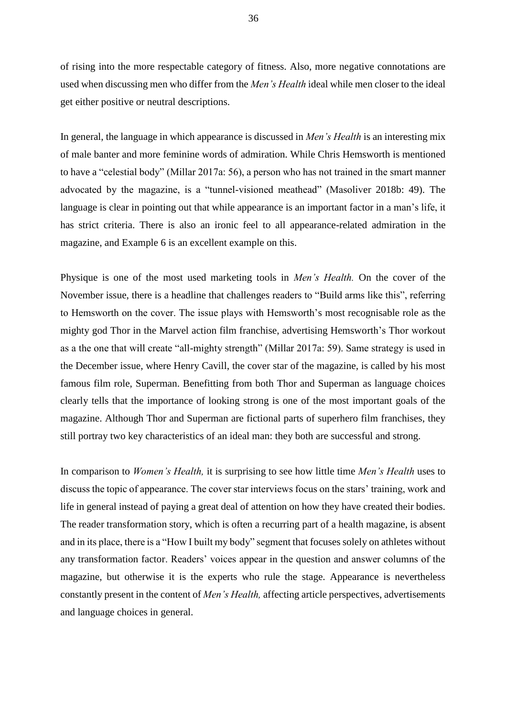of rising into the more respectable category of fitness. Also, more negative connotations are used when discussing men who differ from the *Men's Health* ideal while men closer to the ideal get either positive or neutral descriptions.

In general, the language in which appearance is discussed in *Men's Health* is an interesting mix of male banter and more feminine words of admiration. While Chris Hemsworth is mentioned to have a "celestial body" (Millar 2017a: 56), a person who has not trained in the smart manner advocated by the magazine, is a "tunnel-visioned meathead" (Masoliver 2018b: 49). The language is clear in pointing out that while appearance is an important factor in a man's life, it has strict criteria. There is also an ironic feel to all appearance-related admiration in the magazine, and Example 6 is an excellent example on this.

Physique is one of the most used marketing tools in *Men's Health.* On the cover of the November issue, there is a headline that challenges readers to "Build arms like this", referring to Hemsworth on the cover. The issue plays with Hemsworth's most recognisable role as the mighty god Thor in the Marvel action film franchise, advertising Hemsworth's Thor workout as a the one that will create "all-mighty strength" (Millar 2017a: 59). Same strategy is used in the December issue, where Henry Cavill, the cover star of the magazine, is called by his most famous film role, Superman. Benefitting from both Thor and Superman as language choices clearly tells that the importance of looking strong is one of the most important goals of the magazine. Although Thor and Superman are fictional parts of superhero film franchises, they still portray two key characteristics of an ideal man: they both are successful and strong.

In comparison to *Women's Health,* it is surprising to see how little time *Men's Health* uses to discuss the topic of appearance. The cover star interviews focus on the stars' training, work and life in general instead of paying a great deal of attention on how they have created their bodies. The reader transformation story, which is often a recurring part of a health magazine, is absent and in its place, there is a "How I built my body" segment that focuses solely on athletes without any transformation factor. Readers' voices appear in the question and answer columns of the magazine, but otherwise it is the experts who rule the stage. Appearance is nevertheless constantly present in the content of *Men's Health,* affecting article perspectives, advertisements and language choices in general.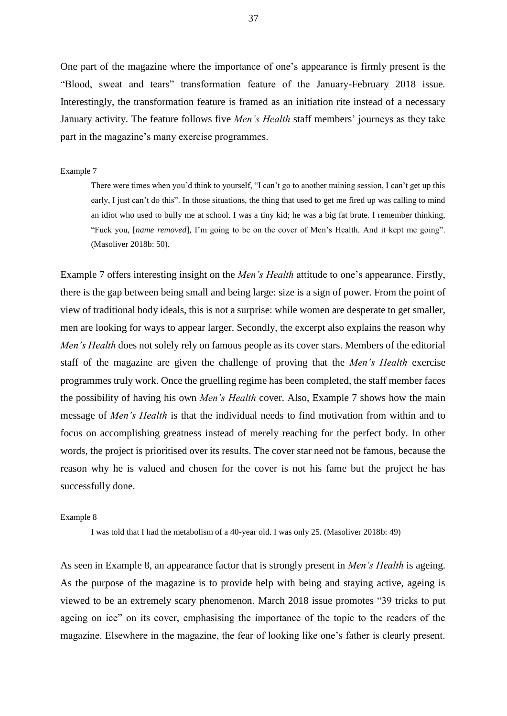One part of the magazine where the importance of one's appearance is firmly present is the "Blood, sweat and tears" transformation feature of the January-February 2018 issue*.*  Interestingly, the transformation feature is framed as an initiation rite instead of a necessary January activity. The feature follows five *Men's Health* staff members' journeys as they take part in the magazine's many exercise programmes.

### Example 7

There were times when you'd think to yourself, "I can't go to another training session, I can't get up this early, I just can't do this". In those situations, the thing that used to get me fired up was calling to mind an idiot who used to bully me at school. I was a tiny kid; he was a big fat brute. I remember thinking, "Fuck you, [*name removed*]*,* I'm going to be on the cover of Men's Health. And it kept me going". (Masoliver 2018b: 50).

Example 7 offers interesting insight on the *Men's Health* attitude to one's appearance. Firstly, there is the gap between being small and being large: size is a sign of power. From the point of view of traditional body ideals, this is not a surprise: while women are desperate to get smaller, men are looking for ways to appear larger. Secondly, the excerpt also explains the reason why *Men's Health* does not solely rely on famous people as its cover stars. Members of the editorial staff of the magazine are given the challenge of proving that the *Men's Health* exercise programmes truly work. Once the gruelling regime has been completed, the staff member faces the possibility of having his own *Men's Health* cover. Also, Example 7 shows how the main message of *Men's Health* is that the individual needs to find motivation from within and to focus on accomplishing greatness instead of merely reaching for the perfect body. In other words, the project is prioritised over its results. The cover star need not be famous, because the reason why he is valued and chosen for the cover is not his fame but the project he has successfully done.

### Example 8

I was told that I had the metabolism of a 40-year old. I was only 25. (Masoliver 2018b: 49)

As seen in Example 8, an appearance factor that is strongly present in *Men's Health* is ageing. As the purpose of the magazine is to provide help with being and staying active, ageing is viewed to be an extremely scary phenomenon. March 2018 issue promotes "39 tricks to put ageing on ice" on its cover, emphasising the importance of the topic to the readers of the magazine. Elsewhere in the magazine, the fear of looking like one's father is clearly present.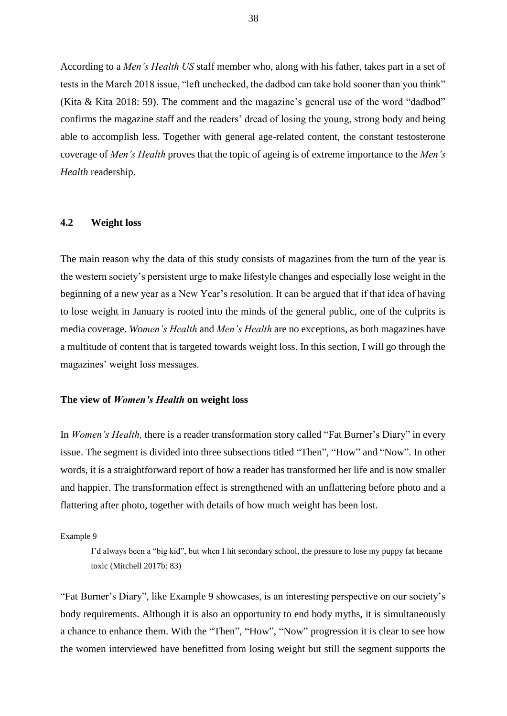According to a *Men's Health US* staff member who, along with his father, takes part in a set of tests in the March 2018 issue, "left unchecked, the dadbod can take hold sooner than you think" (Kita & Kita 2018: 59). The comment and the magazine's general use of the word "dadbod" confirms the magazine staff and the readers' dread of losing the young, strong body and being able to accomplish less. Together with general age-related content, the constant testosterone coverage of *Men's Health* proves that the topic of ageing is of extreme importance to the *Men's Health* readership.

# **4.2 Weight loss**

The main reason why the data of this study consists of magazines from the turn of the year is the western society's persistent urge to make lifestyle changes and especially lose weight in the beginning of a new year as a New Year's resolution. It can be argued that if that idea of having to lose weight in January is rooted into the minds of the general public, one of the culprits is media coverage. *Women's Health* and *Men's Health* are no exceptions, as both magazines have a multitude of content that is targeted towards weight loss. In this section, I will go through the magazines' weight loss messages.

### **The view of** *Women's Health* **on weight loss**

In *Women's Health,* there is a reader transformation story called "Fat Burner's Diary" in every issue. The segment is divided into three subsections titled "Then", "How" and "Now". In other words, it is a straightforward report of how a reader has transformed her life and is now smaller and happier. The transformation effect is strengthened with an unflattering before photo and a flattering after photo, together with details of how much weight has been lost.

Example 9

I'd always been a "big kid", but when I hit secondary school, the pressure to lose my puppy fat became toxic (Mitchell 2017b: 83)

"Fat Burner's Diary", like Example 9 showcases, is an interesting perspective on our society's body requirements. Although it is also an opportunity to end body myths, it is simultaneously a chance to enhance them. With the "Then", "How", "Now" progression it is clear to see how the women interviewed have benefitted from losing weight but still the segment supports the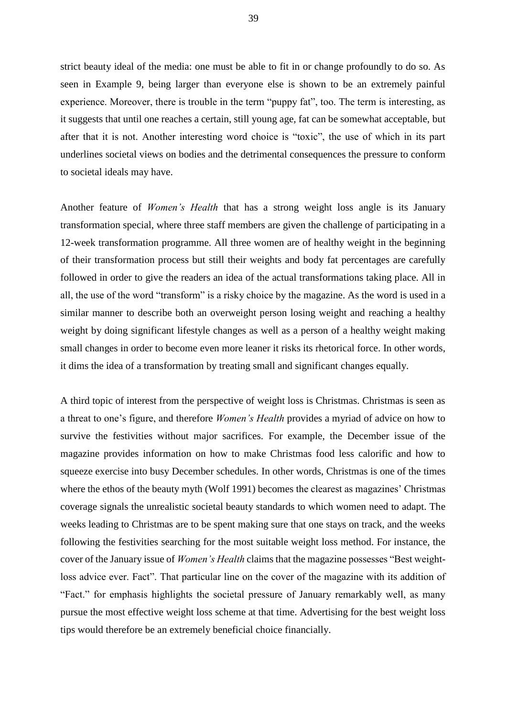strict beauty ideal of the media: one must be able to fit in or change profoundly to do so. As seen in Example 9, being larger than everyone else is shown to be an extremely painful experience. Moreover, there is trouble in the term "puppy fat", too. The term is interesting, as it suggests that until one reaches a certain, still young age, fat can be somewhat acceptable, but after that it is not. Another interesting word choice is "toxic", the use of which in its part underlines societal views on bodies and the detrimental consequences the pressure to conform to societal ideals may have.

Another feature of *Women's Health* that has a strong weight loss angle is its January transformation special, where three staff members are given the challenge of participating in a 12-week transformation programme. All three women are of healthy weight in the beginning of their transformation process but still their weights and body fat percentages are carefully followed in order to give the readers an idea of the actual transformations taking place. All in all, the use of the word "transform" is a risky choice by the magazine. As the word is used in a similar manner to describe both an overweight person losing weight and reaching a healthy weight by doing significant lifestyle changes as well as a person of a healthy weight making small changes in order to become even more leaner it risks its rhetorical force. In other words, it dims the idea of a transformation by treating small and significant changes equally.

A third topic of interest from the perspective of weight loss is Christmas. Christmas is seen as a threat to one's figure, and therefore *Women's Health* provides a myriad of advice on how to survive the festivities without major sacrifices. For example, the December issue of the magazine provides information on how to make Christmas food less calorific and how to squeeze exercise into busy December schedules. In other words, Christmas is one of the times where the ethos of the beauty myth (Wolf 1991) becomes the clearest as magazines' Christmas coverage signals the unrealistic societal beauty standards to which women need to adapt. The weeks leading to Christmas are to be spent making sure that one stays on track, and the weeks following the festivities searching for the most suitable weight loss method. For instance, the cover of the January issue of *Women's Health* claims that the magazine possesses "Best weightloss advice ever. Fact". That particular line on the cover of the magazine with its addition of "Fact." for emphasis highlights the societal pressure of January remarkably well, as many pursue the most effective weight loss scheme at that time. Advertising for the best weight loss tips would therefore be an extremely beneficial choice financially.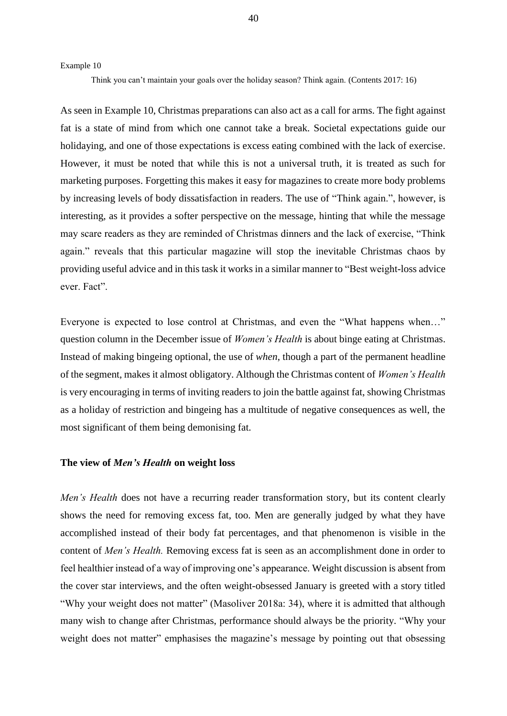Example 10

Think you can't maintain your goals over the holiday season? Think again. (Contents 2017: 16)

As seen in Example 10, Christmas preparations can also act as a call for arms. The fight against fat is a state of mind from which one cannot take a break. Societal expectations guide our holidaying, and one of those expectations is excess eating combined with the lack of exercise. However, it must be noted that while this is not a universal truth, it is treated as such for marketing purposes. Forgetting this makes it easy for magazines to create more body problems by increasing levels of body dissatisfaction in readers. The use of "Think again.", however, is interesting, as it provides a softer perspective on the message, hinting that while the message may scare readers as they are reminded of Christmas dinners and the lack of exercise, "Think again." reveals that this particular magazine will stop the inevitable Christmas chaos by providing useful advice and in this task it works in a similar manner to "Best weight-loss advice ever. Fact".

Everyone is expected to lose control at Christmas, and even the "What happens when…" question column in the December issue of *Women's Health* is about binge eating at Christmas. Instead of making bingeing optional, the use of *when*, though a part of the permanent headline of the segment, makes it almost obligatory. Although the Christmas content of *Women's Health*  is very encouraging in terms of inviting readers to join the battle against fat, showing Christmas as a holiday of restriction and bingeing has a multitude of negative consequences as well, the most significant of them being demonising fat.

## **The view of** *Men's Health* **on weight loss**

*Men's Health* does not have a recurring reader transformation story, but its content clearly shows the need for removing excess fat, too. Men are generally judged by what they have accomplished instead of their body fat percentages, and that phenomenon is visible in the content of *Men's Health.* Removing excess fat is seen as an accomplishment done in order to feel healthier instead of a way of improving one's appearance. Weight discussion is absent from the cover star interviews, and the often weight-obsessed January is greeted with a story titled "Why your weight does not matter" (Masoliver 2018a: 34), where it is admitted that although many wish to change after Christmas, performance should always be the priority. "Why your weight does not matter" emphasises the magazine's message by pointing out that obsessing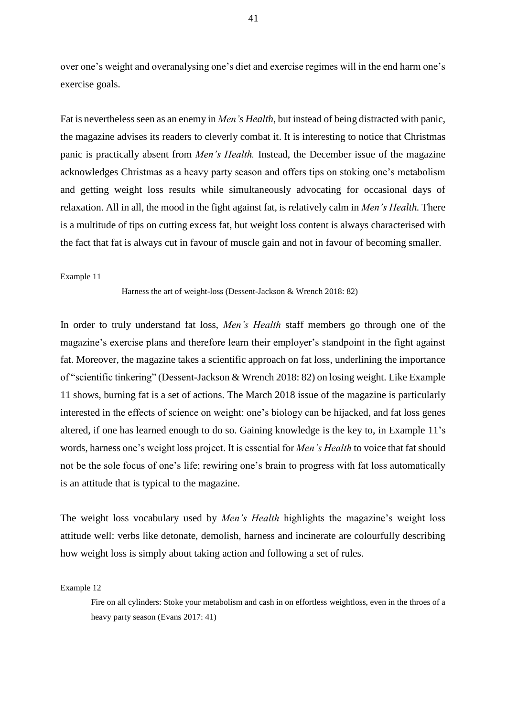over one's weight and overanalysing one's diet and exercise regimes will in the end harm one's exercise goals.

Fat is nevertheless seen as an enemy in *Men's Health*, but instead of being distracted with panic, the magazine advises its readers to cleverly combat it. It is interesting to notice that Christmas panic is practically absent from *Men's Health.* Instead, the December issue of the magazine acknowledges Christmas as a heavy party season and offers tips on stoking one's metabolism and getting weight loss results while simultaneously advocating for occasional days of relaxation. All in all, the mood in the fight against fat, is relatively calm in *Men's Health.* There is a multitude of tips on cutting excess fat, but weight loss content is always characterised with the fact that fat is always cut in favour of muscle gain and not in favour of becoming smaller.

### Example 11

Harness the art of weight-loss (Dessent-Jackson & Wrench 2018: 82)

In order to truly understand fat loss, *Men's Health* staff members go through one of the magazine's exercise plans and therefore learn their employer's standpoint in the fight against fat. Moreover, the magazine takes a scientific approach on fat loss, underlining the importance of "scientific tinkering" (Dessent-Jackson & Wrench 2018: 82) on losing weight. Like Example 11 shows, burning fat is a set of actions. The March 2018 issue of the magazine is particularly interested in the effects of science on weight: one's biology can be hijacked, and fat loss genes altered, if one has learned enough to do so. Gaining knowledge is the key to, in Example 11's words, harness one's weight loss project. It is essential for *Men's Health* to voice that fat should not be the sole focus of one's life; rewiring one's brain to progress with fat loss automatically is an attitude that is typical to the magazine.

The weight loss vocabulary used by *Men's Health* highlights the magazine's weight loss attitude well: verbs like detonate, demolish, harness and incinerate are colourfully describing how weight loss is simply about taking action and following a set of rules.

Example 12

Fire on all cylinders: Stoke your metabolism and cash in on effortless weightloss, even in the throes of a heavy party season (Evans 2017: 41)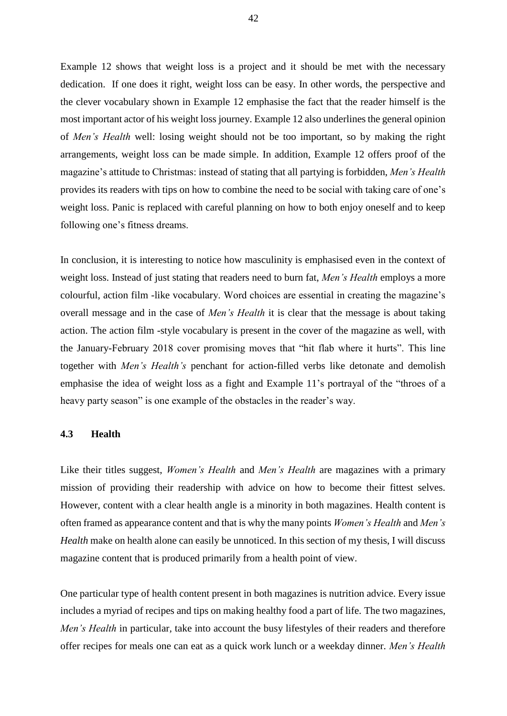Example 12 shows that weight loss is a project and it should be met with the necessary dedication. If one does it right, weight loss can be easy. In other words, the perspective and the clever vocabulary shown in Example 12 emphasise the fact that the reader himself is the most important actor of his weight loss journey. Example 12 also underlines the general opinion of *Men's Health* well: losing weight should not be too important, so by making the right arrangements, weight loss can be made simple. In addition, Example 12 offers proof of the magazine's attitude to Christmas: instead of stating that all partying is forbidden, *Men's Health*  provides its readers with tips on how to combine the need to be social with taking care of one's weight loss. Panic is replaced with careful planning on how to both enjoy oneself and to keep following one's fitness dreams.

In conclusion, it is interesting to notice how masculinity is emphasised even in the context of weight loss. Instead of just stating that readers need to burn fat, *Men's Health* employs a more colourful, action film -like vocabulary. Word choices are essential in creating the magazine's overall message and in the case of *Men's Health* it is clear that the message is about taking action. The action film -style vocabulary is present in the cover of the magazine as well, with the January-February 2018 cover promising moves that "hit flab where it hurts". This line together with *Men's Health's* penchant for action-filled verbs like detonate and demolish emphasise the idea of weight loss as a fight and Example 11's portrayal of the "throes of a heavy party season" is one example of the obstacles in the reader's way.

# **4.3 Health**

Like their titles suggest, *Women's Health* and *Men's Health* are magazines with a primary mission of providing their readership with advice on how to become their fittest selves. However, content with a clear health angle is a minority in both magazines. Health content is often framed as appearance content and that is why the many points *Women's Health* and *Men's Health* make on health alone can easily be unnoticed. In this section of my thesis, I will discuss magazine content that is produced primarily from a health point of view.

One particular type of health content present in both magazines is nutrition advice. Every issue includes a myriad of recipes and tips on making healthy food a part of life. The two magazines, *Men's Health* in particular, take into account the busy lifestyles of their readers and therefore offer recipes for meals one can eat as a quick work lunch or a weekday dinner. *Men's Health*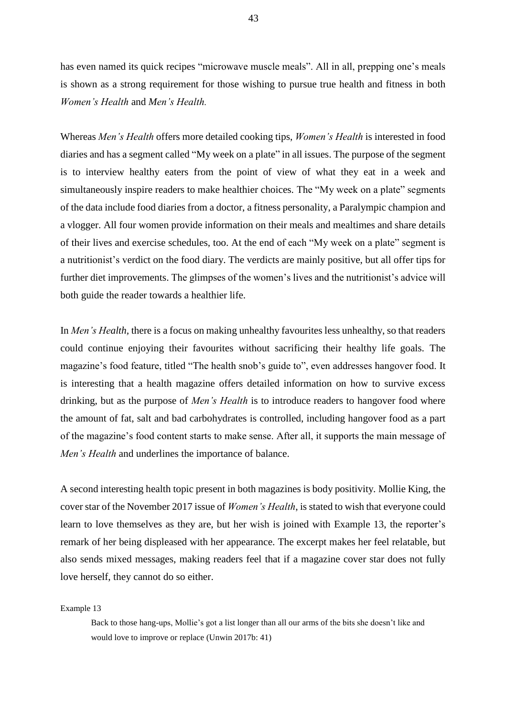has even named its quick recipes "microwave muscle meals". All in all, prepping one's meals is shown as a strong requirement for those wishing to pursue true health and fitness in both *Women's Health* and *Men's Health.*

Whereas *Men's Health* offers more detailed cooking tips, *Women's Health* is interested in food diaries and has a segment called "My week on a plate" in all issues. The purpose of the segment is to interview healthy eaters from the point of view of what they eat in a week and simultaneously inspire readers to make healthier choices. The "My week on a plate" segments of the data include food diaries from a doctor, a fitness personality, a Paralympic champion and a vlogger. All four women provide information on their meals and mealtimes and share details of their lives and exercise schedules, too. At the end of each "My week on a plate" segment is a nutritionist's verdict on the food diary. The verdicts are mainly positive, but all offer tips for further diet improvements. The glimpses of the women's lives and the nutritionist's advice will both guide the reader towards a healthier life.

In *Men's Health,* there is a focus on making unhealthy favourites less unhealthy, so that readers could continue enjoying their favourites without sacrificing their healthy life goals. The magazine's food feature, titled "The health snob's guide to", even addresses hangover food. It is interesting that a health magazine offers detailed information on how to survive excess drinking, but as the purpose of *Men's Health* is to introduce readers to hangover food where the amount of fat, salt and bad carbohydrates is controlled, including hangover food as a part of the magazine's food content starts to make sense. After all, it supports the main message of *Men's Health* and underlines the importance of balance.

A second interesting health topic present in both magazines is body positivity*.* Mollie King, the cover star of the November 2017 issue of *Women's Health*, is stated to wish that everyone could learn to love themselves as they are, but her wish is joined with Example 13, the reporter's remark of her being displeased with her appearance. The excerpt makes her feel relatable, but also sends mixed messages, making readers feel that if a magazine cover star does not fully love herself, they cannot do so either.

Example 13

Back to those hang-ups, Mollie's got a list longer than all our arms of the bits she doesn't like and would love to improve or replace (Unwin 2017b: 41)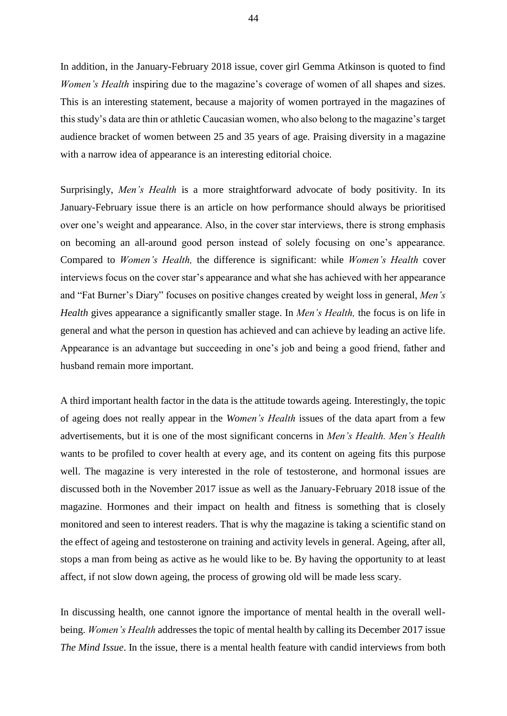In addition, in the January-February 2018 issue, cover girl Gemma Atkinson is quoted to find *Women's Health* inspiring due to the magazine's coverage of women of all shapes and sizes. This is an interesting statement, because a majority of women portrayed in the magazines of this study's data are thin or athletic Caucasian women, who also belong to the magazine's target audience bracket of women between 25 and 35 years of age. Praising diversity in a magazine with a narrow idea of appearance is an interesting editorial choice.

Surprisingly, *Men's Health* is a more straightforward advocate of body positivity. In its January-February issue there is an article on how performance should always be prioritised over one's weight and appearance. Also, in the cover star interviews, there is strong emphasis on becoming an all-around good person instead of solely focusing on one's appearance. Compared to *Women's Health,* the difference is significant: while *Women's Health* cover interviews focus on the cover star's appearance and what she has achieved with her appearance and "Fat Burner's Diary" focuses on positive changes created by weight loss in general, *Men's Health* gives appearance a significantly smaller stage. In *Men's Health,* the focus is on life in general and what the person in question has achieved and can achieve by leading an active life. Appearance is an advantage but succeeding in one's job and being a good friend, father and husband remain more important.

A third important health factor in the data is the attitude towards ageing. Interestingly, the topic of ageing does not really appear in the *Women's Health* issues of the data apart from a few advertisements, but it is one of the most significant concerns in *Men's Health. Men's Health*  wants to be profiled to cover health at every age, and its content on ageing fits this purpose well. The magazine is very interested in the role of testosterone, and hormonal issues are discussed both in the November 2017 issue as well as the January-February 2018 issue of the magazine. Hormones and their impact on health and fitness is something that is closely monitored and seen to interest readers. That is why the magazine is taking a scientific stand on the effect of ageing and testosterone on training and activity levels in general. Ageing, after all, stops a man from being as active as he would like to be. By having the opportunity to at least affect, if not slow down ageing, the process of growing old will be made less scary.

In discussing health, one cannot ignore the importance of mental health in the overall wellbeing. *Women's Health* addresses the topic of mental health by calling its December 2017 issue *The Mind Issue*. In the issue, there is a mental health feature with candid interviews from both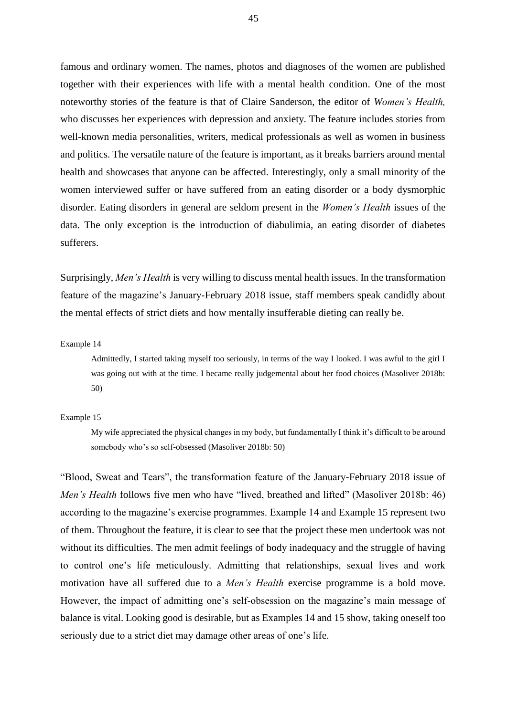famous and ordinary women. The names, photos and diagnoses of the women are published together with their experiences with life with a mental health condition. One of the most noteworthy stories of the feature is that of Claire Sanderson, the editor of *Women's Health,*  who discusses her experiences with depression and anxiety. The feature includes stories from well-known media personalities, writers, medical professionals as well as women in business and politics. The versatile nature of the feature is important, as it breaks barriers around mental health and showcases that anyone can be affected. Interestingly, only a small minority of the women interviewed suffer or have suffered from an eating disorder or a body dysmorphic disorder. Eating disorders in general are seldom present in the *Women's Health* issues of the data. The only exception is the introduction of diabulimia, an eating disorder of diabetes sufferers.

Surprisingly, *Men's Health* is very willing to discuss mental health issues. In the transformation feature of the magazine's January-February 2018 issue, staff members speak candidly about the mental effects of strict diets and how mentally insufferable dieting can really be.

Example 14

Admittedly, I started taking myself too seriously, in terms of the way I looked. I was awful to the girl I was going out with at the time. I became really judgemental about her food choices (Masoliver 2018b: 50)

#### Example 15

My wife appreciated the physical changes in my body, but fundamentally I think it's difficult to be around somebody who's so self-obsessed (Masoliver 2018b: 50)

"Blood, Sweat and Tears", the transformation feature of the January-February 2018 issue of *Men's Health* follows five men who have "lived, breathed and lifted" (Masoliver 2018b: 46) according to the magazine's exercise programmes. Example 14 and Example 15 represent two of them. Throughout the feature, it is clear to see that the project these men undertook was not without its difficulties. The men admit feelings of body inadequacy and the struggle of having to control one's life meticulously. Admitting that relationships, sexual lives and work motivation have all suffered due to a *Men's Health* exercise programme is a bold move. However, the impact of admitting one's self-obsession on the magazine's main message of balance is vital. Looking good is desirable, but as Examples 14 and 15 show, taking oneself too seriously due to a strict diet may damage other areas of one's life.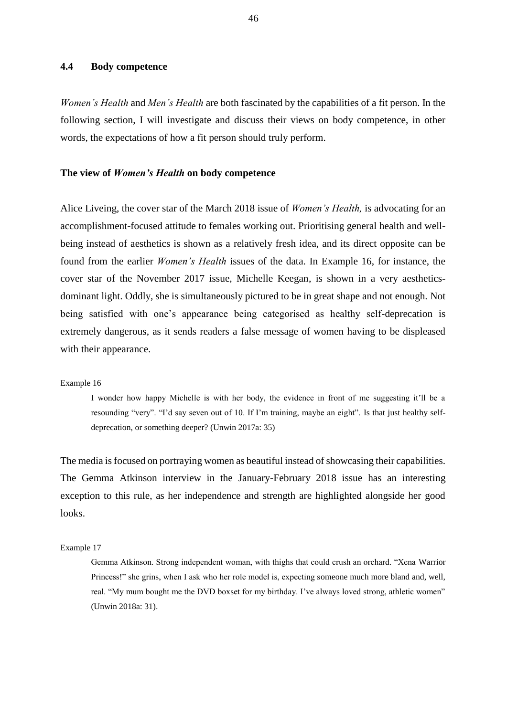# **4.4 Body competence**

*Women's Health* and *Men's Health* are both fascinated by the capabilities of a fit person. In the following section, I will investigate and discuss their views on body competence, in other words, the expectations of how a fit person should truly perform.

## **The view of** *Women's Health* **on body competence**

Alice Liveing, the cover star of the March 2018 issue of *Women's Health,* is advocating for an accomplishment-focused attitude to females working out. Prioritising general health and wellbeing instead of aesthetics is shown as a relatively fresh idea, and its direct opposite can be found from the earlier *Women's Health* issues of the data. In Example 16, for instance, the cover star of the November 2017 issue, Michelle Keegan, is shown in a very aestheticsdominant light. Oddly, she is simultaneously pictured to be in great shape and not enough. Not being satisfied with one's appearance being categorised as healthy self-deprecation is extremely dangerous, as it sends readers a false message of women having to be displeased with their appearance.

#### Example 16

I wonder how happy Michelle is with her body, the evidence in front of me suggesting it'll be a resounding "very". "I'd say seven out of 10. If I'm training, maybe an eight". Is that just healthy selfdeprecation, or something deeper? (Unwin 2017a: 35)

The media is focused on portraying women as beautiful instead of showcasing their capabilities. The Gemma Atkinson interview in the January-February 2018 issue has an interesting exception to this rule, as her independence and strength are highlighted alongside her good looks.

### Example 17

Gemma Atkinson. Strong independent woman, with thighs that could crush an orchard. "Xena Warrior Princess!" she grins, when I ask who her role model is, expecting someone much more bland and, well, real. "My mum bought me the DVD boxset for my birthday. I've always loved strong, athletic women" (Unwin 2018a: 31).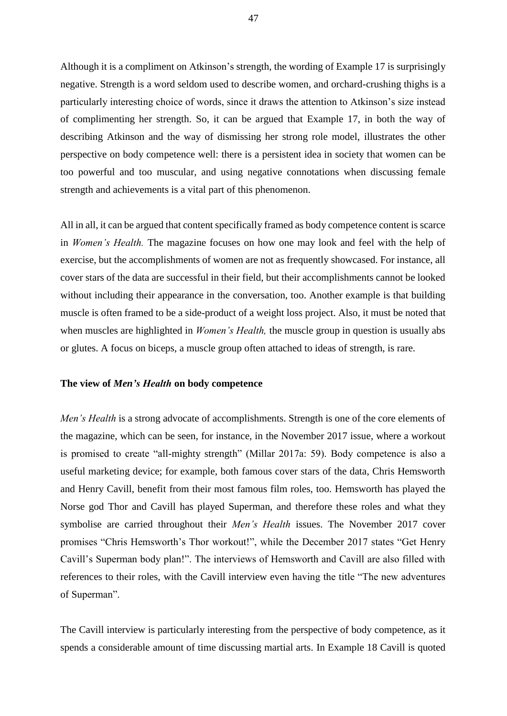Although it is a compliment on Atkinson's strength, the wording of Example 17 is surprisingly negative. Strength is a word seldom used to describe women, and orchard-crushing thighs is a particularly interesting choice of words, since it draws the attention to Atkinson's size instead of complimenting her strength. So, it can be argued that Example 17, in both the way of describing Atkinson and the way of dismissing her strong role model, illustrates the other perspective on body competence well: there is a persistent idea in society that women can be too powerful and too muscular, and using negative connotations when discussing female strength and achievements is a vital part of this phenomenon.

All in all, it can be argued that content specifically framed as body competence content is scarce in *Women's Health.* The magazine focuses on how one may look and feel with the help of exercise, but the accomplishments of women are not as frequently showcased. For instance, all cover stars of the data are successful in their field, but their accomplishments cannot be looked without including their appearance in the conversation, too. Another example is that building muscle is often framed to be a side-product of a weight loss project. Also, it must be noted that when muscles are highlighted in *Women's Health,* the muscle group in question is usually abs or glutes. A focus on biceps, a muscle group often attached to ideas of strength, is rare.

### **The view of** *Men's Health* **on body competence**

*Men's Health* is a strong advocate of accomplishments. Strength is one of the core elements of the magazine, which can be seen, for instance, in the November 2017 issue, where a workout is promised to create "all-mighty strength" (Millar 2017a: 59). Body competence is also a useful marketing device; for example, both famous cover stars of the data, Chris Hemsworth and Henry Cavill, benefit from their most famous film roles, too. Hemsworth has played the Norse god Thor and Cavill has played Superman, and therefore these roles and what they symbolise are carried throughout their *Men's Health* issues. The November 2017 cover promises "Chris Hemsworth's Thor workout!", while the December 2017 states "Get Henry Cavill's Superman body plan!". The interviews of Hemsworth and Cavill are also filled with references to their roles, with the Cavill interview even having the title "The new adventures of Superman".

The Cavill interview is particularly interesting from the perspective of body competence, as it spends a considerable amount of time discussing martial arts. In Example 18 Cavill is quoted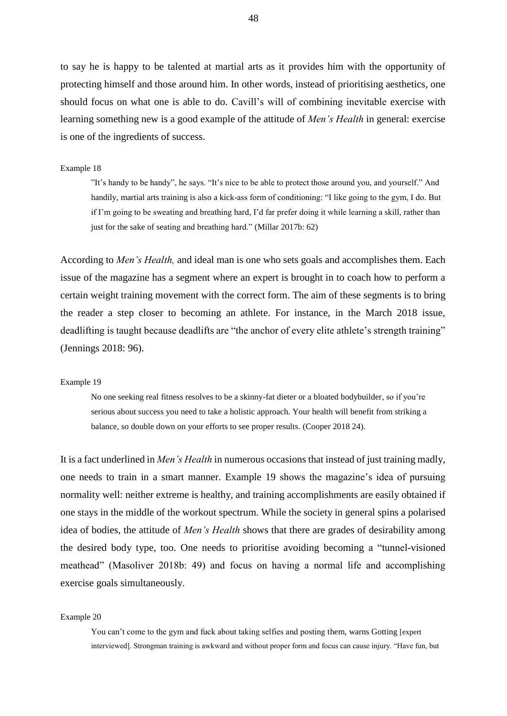to say he is happy to be talented at martial arts as it provides him with the opportunity of protecting himself and those around him. In other words, instead of prioritising aesthetics, one should focus on what one is able to do. Cavill's will of combining inevitable exercise with learning something new is a good example of the attitude of *Men's Health* in general: exercise is one of the ingredients of success.

#### Example 18

"It's handy to be handy", he says. "It's nice to be able to protect those around you, and yourself." And handily, martial arts training is also a kick-ass form of conditioning: "I like going to the gym, I do. But if I'm going to be sweating and breathing hard, I'd far prefer doing it while learning a skill, rather than just for the sake of seating and breathing hard." (Millar 2017b: 62)

According to *Men's Health,* and ideal man is one who sets goals and accomplishes them. Each issue of the magazine has a segment where an expert is brought in to coach how to perform a certain weight training movement with the correct form. The aim of these segments is to bring the reader a step closer to becoming an athlete. For instance, in the March 2018 issue, deadlifting is taught because deadlifts are "the anchor of every elite athlete's strength training" (Jennings 2018: 96).

### Example 19

No one seeking real fitness resolves to be a skinny-fat dieter or a bloated bodybuilder, so if you're serious about success you need to take a holistic approach. Your health will benefit from striking a balance, so double down on your efforts to see proper results. (Cooper 2018 24).

It is a fact underlined in *Men's Health* in numerous occasions that instead of just training madly, one needs to train in a smart manner. Example 19 shows the magazine's idea of pursuing normality well: neither extreme is healthy, and training accomplishments are easily obtained if one stays in the middle of the workout spectrum. While the society in general spins a polarised idea of bodies, the attitude of *Men's Health* shows that there are grades of desirability among the desired body type, too. One needs to prioritise avoiding becoming a "tunnel-visioned meathead" (Masoliver 2018b: 49) and focus on having a normal life and accomplishing exercise goals simultaneously.

#### Example 20

You can't come to the gym and fuck about taking selfies and posting them, warns Gotting [expert interviewed]. Strongman training is awkward and without proper form and focus can cause injury. "Have fun, but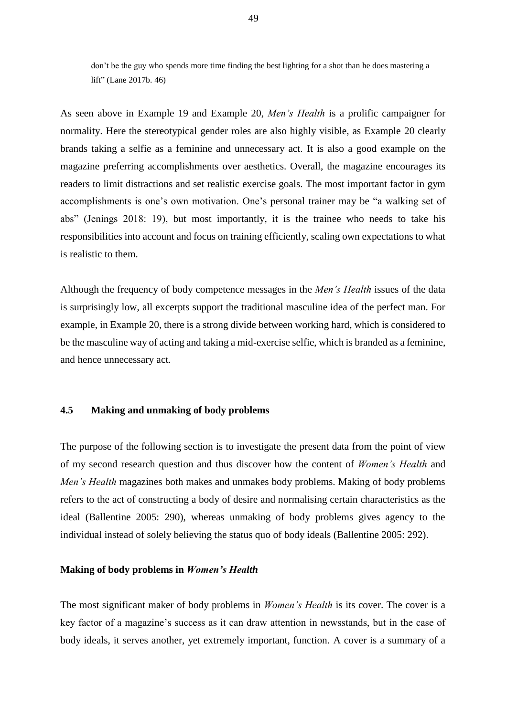don't be the guy who spends more time finding the best lighting for a shot than he does mastering a lift" (Lane 2017b. 46)

As seen above in Example 19 and Example 20, *Men's Health* is a prolific campaigner for normality. Here the stereotypical gender roles are also highly visible, as Example 20 clearly brands taking a selfie as a feminine and unnecessary act. It is also a good example on the magazine preferring accomplishments over aesthetics. Overall, the magazine encourages its readers to limit distractions and set realistic exercise goals. The most important factor in gym accomplishments is one's own motivation. One's personal trainer may be "a walking set of abs" (Jenings 2018: 19), but most importantly, it is the trainee who needs to take his responsibilities into account and focus on training efficiently, scaling own expectations to what is realistic to them.

Although the frequency of body competence messages in the *Men's Health* issues of the data is surprisingly low, all excerpts support the traditional masculine idea of the perfect man. For example, in Example 20, there is a strong divide between working hard, which is considered to be the masculine way of acting and taking a mid-exercise selfie, which is branded as a feminine, and hence unnecessary act.

# **4.5 Making and unmaking of body problems**

The purpose of the following section is to investigate the present data from the point of view of my second research question and thus discover how the content of *Women's Health* and *Men's Health* magazines both makes and unmakes body problems. Making of body problems refers to the act of constructing a body of desire and normalising certain characteristics as the ideal (Ballentine 2005: 290), whereas unmaking of body problems gives agency to the individual instead of solely believing the status quo of body ideals (Ballentine 2005: 292).

### **Making of body problems in** *Women's Health*

The most significant maker of body problems in *Women's Health* is its cover. The cover is a key factor of a magazine's success as it can draw attention in newsstands, but in the case of body ideals, it serves another, yet extremely important, function. A cover is a summary of a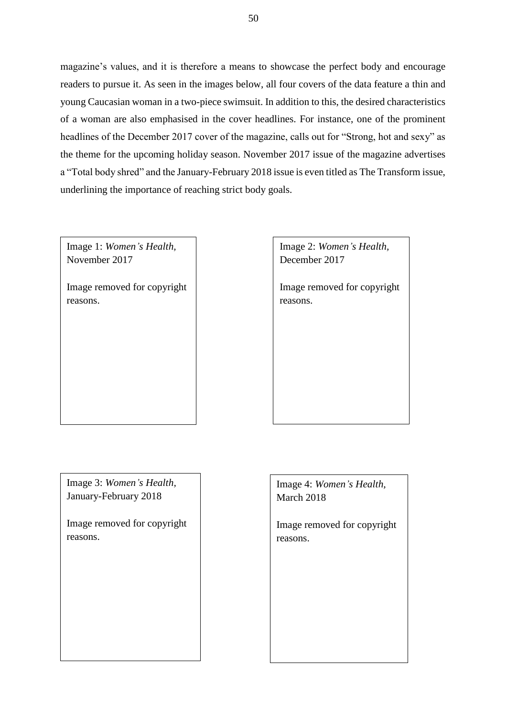magazine's values, and it is therefore a means to showcase the perfect body and encourage readers to pursue it. As seen in the images below, all four covers of the data feature a thin and young Caucasian woman in a two-piece swimsuit. In addition to this, the desired characteristics of a woman are also emphasised in the cover headlines. For instance, one of the prominent headlines of the December 2017 cover of the magazine, calls out for "Strong, hot and sexy" as the theme for the upcoming holiday season. November 2017 issue of the magazine advertises a "Total body shred" and the January-February 2018 issue is even titled as The Transform issue, underlining the importance of reaching strict body goals.

Image 1: *Women's Health,*  November 2017

Image removed for copyright reasons.

Image 2: *Women's Health,* December 2017

Image removed for copyright reasons.

Image 3: *Women's Health,*  January-February 2018

Image removed for copyright reasons.

Image 4: *Women's Health,*  March 2018

Image removed for copyright reasons.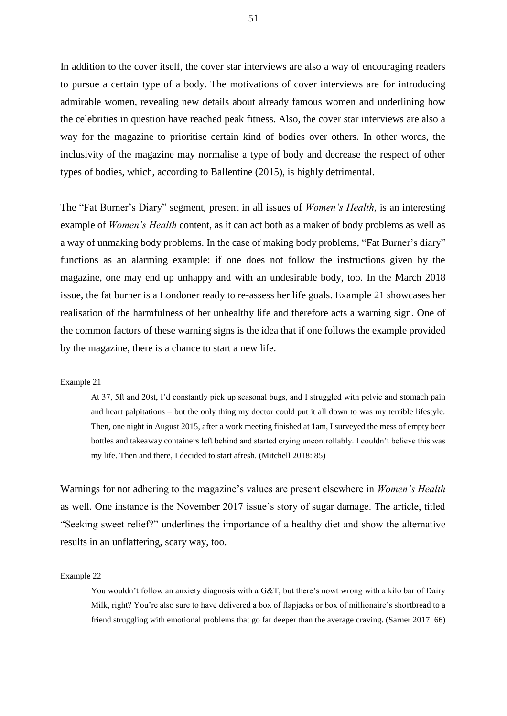In addition to the cover itself, the cover star interviews are also a way of encouraging readers to pursue a certain type of a body. The motivations of cover interviews are for introducing admirable women, revealing new details about already famous women and underlining how the celebrities in question have reached peak fitness. Also, the cover star interviews are also a way for the magazine to prioritise certain kind of bodies over others. In other words, the inclusivity of the magazine may normalise a type of body and decrease the respect of other types of bodies, which, according to Ballentine (2015), is highly detrimental.

The "Fat Burner's Diary" segment, present in all issues of *Women's Health*, is an interesting example of *Women's Health* content, as it can act both as a maker of body problems as well as a way of unmaking body problems. In the case of making body problems, "Fat Burner's diary" functions as an alarming example: if one does not follow the instructions given by the magazine, one may end up unhappy and with an undesirable body, too. In the March 2018 issue, the fat burner is a Londoner ready to re-assess her life goals. Example 21 showcases her realisation of the harmfulness of her unhealthy life and therefore acts a warning sign. One of the common factors of these warning signs is the idea that if one follows the example provided by the magazine, there is a chance to start a new life.

#### Example 21

At 37, 5ft and 20st, I'd constantly pick up seasonal bugs, and I struggled with pelvic and stomach pain and heart palpitations – but the only thing my doctor could put it all down to was my terrible lifestyle. Then, one night in August 2015, after a work meeting finished at 1am, I surveyed the mess of empty beer bottles and takeaway containers left behind and started crying uncontrollably. I couldn't believe this was my life. Then and there, I decided to start afresh. (Mitchell 2018: 85)

Warnings for not adhering to the magazine's values are present elsewhere in *Women's Health*  as well. One instance is the November 2017 issue's story of sugar damage. The article, titled "Seeking sweet relief?" underlines the importance of a healthy diet and show the alternative results in an unflattering, scary way, too.

Example 22

You wouldn't follow an anxiety diagnosis with a G&T, but there's nowt wrong with a kilo bar of Dairy Milk, right? You're also sure to have delivered a box of flapjacks or box of millionaire's shortbread to a friend struggling with emotional problems that go far deeper than the average craving. (Sarner 2017: 66)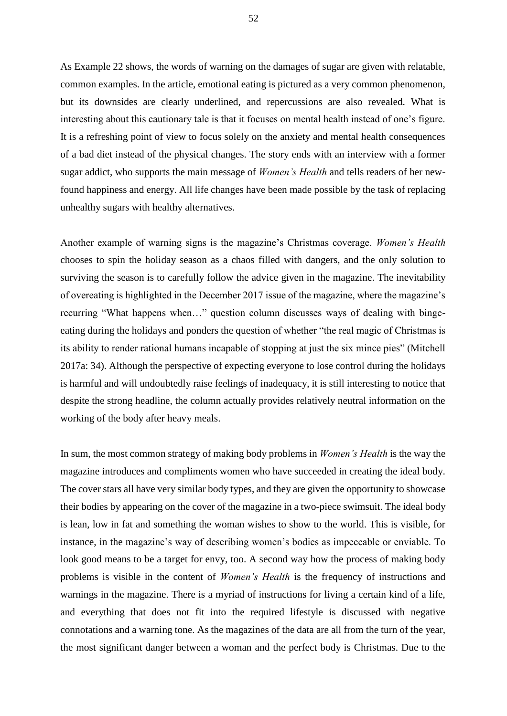As Example 22 shows, the words of warning on the damages of sugar are given with relatable, common examples. In the article, emotional eating is pictured as a very common phenomenon, but its downsides are clearly underlined, and repercussions are also revealed. What is interesting about this cautionary tale is that it focuses on mental health instead of one's figure. It is a refreshing point of view to focus solely on the anxiety and mental health consequences of a bad diet instead of the physical changes. The story ends with an interview with a former sugar addict, who supports the main message of *Women's Health* and tells readers of her newfound happiness and energy. All life changes have been made possible by the task of replacing unhealthy sugars with healthy alternatives.

Another example of warning signs is the magazine's Christmas coverage. *Women's Health*  chooses to spin the holiday season as a chaos filled with dangers, and the only solution to surviving the season is to carefully follow the advice given in the magazine. The inevitability of overeating is highlighted in the December 2017 issue of the magazine, where the magazine's recurring "What happens when…" question column discusses ways of dealing with bingeeating during the holidays and ponders the question of whether "the real magic of Christmas is its ability to render rational humans incapable of stopping at just the six mince pies" (Mitchell 2017a: 34). Although the perspective of expecting everyone to lose control during the holidays is harmful and will undoubtedly raise feelings of inadequacy, it is still interesting to notice that despite the strong headline, the column actually provides relatively neutral information on the working of the body after heavy meals.

In sum, the most common strategy of making body problems in *Women's Health* is the way the magazine introduces and compliments women who have succeeded in creating the ideal body. The cover stars all have very similar body types, and they are given the opportunity to showcase their bodies by appearing on the cover of the magazine in a two-piece swimsuit. The ideal body is lean, low in fat and something the woman wishes to show to the world. This is visible, for instance, in the magazine's way of describing women's bodies as impeccable or enviable. To look good means to be a target for envy, too. A second way how the process of making body problems is visible in the content of *Women's Health* is the frequency of instructions and warnings in the magazine. There is a myriad of instructions for living a certain kind of a life, and everything that does not fit into the required lifestyle is discussed with negative connotations and a warning tone. As the magazines of the data are all from the turn of the year, the most significant danger between a woman and the perfect body is Christmas. Due to the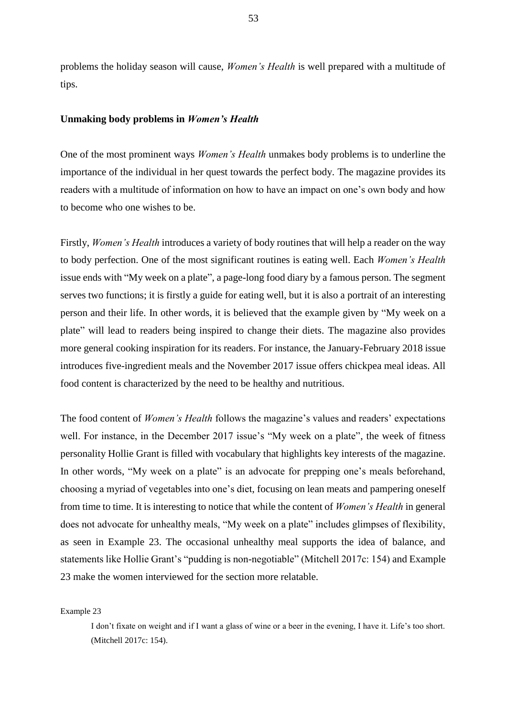problems the holiday season will cause, *Women's Health* is well prepared with a multitude of tips.

### **Unmaking body problems in** *Women's Health*

One of the most prominent ways *Women's Health* unmakes body problems is to underline the importance of the individual in her quest towards the perfect body. The magazine provides its readers with a multitude of information on how to have an impact on one's own body and how to become who one wishes to be.

Firstly, *Women's Health* introduces a variety of body routines that will help a reader on the way to body perfection. One of the most significant routines is eating well. Each *Women's Health*  issue ends with "My week on a plate", a page-long food diary by a famous person. The segment serves two functions; it is firstly a guide for eating well, but it is also a portrait of an interesting person and their life. In other words, it is believed that the example given by "My week on a plate" will lead to readers being inspired to change their diets. The magazine also provides more general cooking inspiration for its readers. For instance, the January-February 2018 issue introduces five-ingredient meals and the November 2017 issue offers chickpea meal ideas. All food content is characterized by the need to be healthy and nutritious.

The food content of *Women's Health* follows the magazine's values and readers' expectations well. For instance, in the December 2017 issue's "My week on a plate", the week of fitness personality Hollie Grant is filled with vocabulary that highlights key interests of the magazine. In other words, "My week on a plate" is an advocate for prepping one's meals beforehand, choosing a myriad of vegetables into one's diet, focusing on lean meats and pampering oneself from time to time. It is interesting to notice that while the content of *Women's Health* in general does not advocate for unhealthy meals, "My week on a plate" includes glimpses of flexibility, as seen in Example 23. The occasional unhealthy meal supports the idea of balance, and statements like Hollie Grant's "pudding is non-negotiable" (Mitchell 2017c: 154) and Example 23 make the women interviewed for the section more relatable.

Example 23

I don't fixate on weight and if I want a glass of wine or a beer in the evening, I have it. Life's too short. (Mitchell 2017c: 154).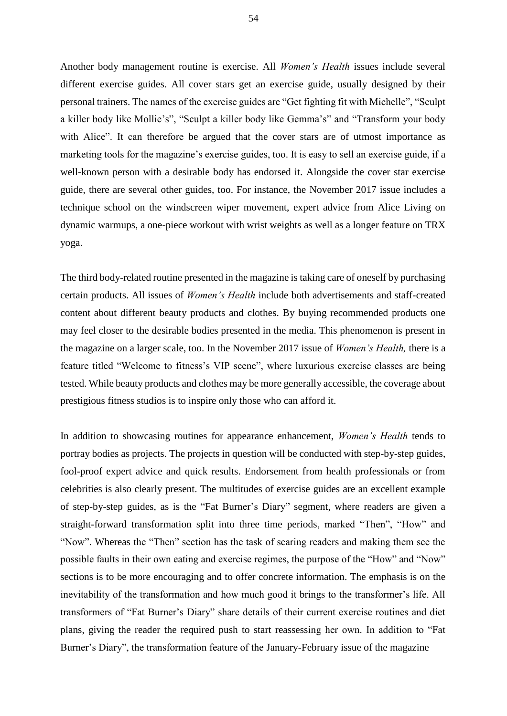Another body management routine is exercise. All *Women's Health* issues include several different exercise guides. All cover stars get an exercise guide, usually designed by their personal trainers. The names of the exercise guides are "Get fighting fit with Michelle", "Sculpt a killer body like Mollie's", "Sculpt a killer body like Gemma's" and "Transform your body with Alice". It can therefore be argued that the cover stars are of utmost importance as marketing tools for the magazine's exercise guides, too. It is easy to sell an exercise guide, if a well-known person with a desirable body has endorsed it. Alongside the cover star exercise guide, there are several other guides, too. For instance, the November 2017 issue includes a technique school on the windscreen wiper movement, expert advice from Alice Living on dynamic warmups, a one-piece workout with wrist weights as well as a longer feature on TRX yoga.

The third body-related routine presented in the magazine is taking care of oneself by purchasing certain products. All issues of *Women's Health* include both advertisements and staff-created content about different beauty products and clothes. By buying recommended products one may feel closer to the desirable bodies presented in the media. This phenomenon is present in the magazine on a larger scale, too. In the November 2017 issue of *Women's Health,* there is a feature titled "Welcome to fitness's VIP scene", where luxurious exercise classes are being tested. While beauty products and clothes may be more generally accessible, the coverage about prestigious fitness studios is to inspire only those who can afford it.

In addition to showcasing routines for appearance enhancement, *Women's Health* tends to portray bodies as projects. The projects in question will be conducted with step-by-step guides, fool-proof expert advice and quick results. Endorsement from health professionals or from celebrities is also clearly present. The multitudes of exercise guides are an excellent example of step-by-step guides, as is the "Fat Burner's Diary" segment, where readers are given a straight-forward transformation split into three time periods, marked "Then", "How" and "Now". Whereas the "Then" section has the task of scaring readers and making them see the possible faults in their own eating and exercise regimes, the purpose of the "How" and "Now" sections is to be more encouraging and to offer concrete information. The emphasis is on the inevitability of the transformation and how much good it brings to the transformer's life. All transformers of "Fat Burner's Diary" share details of their current exercise routines and diet plans, giving the reader the required push to start reassessing her own. In addition to "Fat Burner's Diary", the transformation feature of the January-February issue of the magazine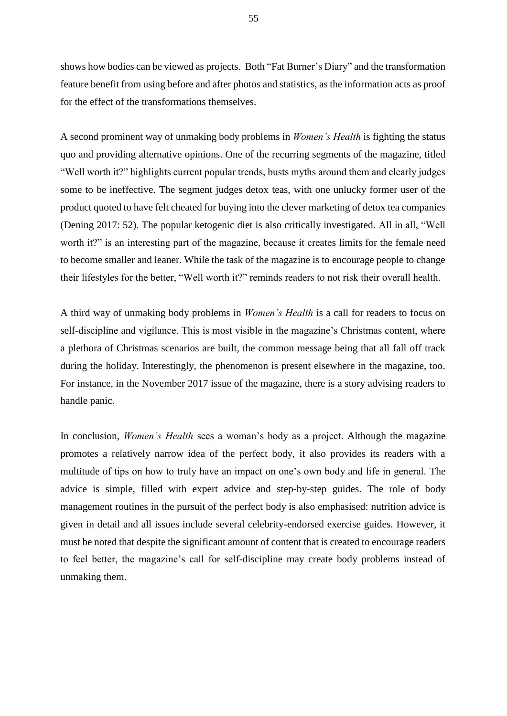shows how bodies can be viewed as projects. Both "Fat Burner's Diary" and the transformation feature benefit from using before and after photos and statistics, as the information acts as proof for the effect of the transformations themselves.

A second prominent way of unmaking body problems in *Women's Health* is fighting the status quo and providing alternative opinions. One of the recurring segments of the magazine, titled "Well worth it?" highlights current popular trends, busts myths around them and clearly judges some to be ineffective. The segment judges detox teas, with one unlucky former user of the product quoted to have felt cheated for buying into the clever marketing of detox tea companies (Dening 2017: 52). The popular ketogenic diet is also critically investigated. All in all, "Well worth it?" is an interesting part of the magazine, because it creates limits for the female need to become smaller and leaner. While the task of the magazine is to encourage people to change their lifestyles for the better, "Well worth it?" reminds readers to not risk their overall health.

A third way of unmaking body problems in *Women's Health* is a call for readers to focus on self-discipline and vigilance. This is most visible in the magazine's Christmas content, where a plethora of Christmas scenarios are built, the common message being that all fall off track during the holiday. Interestingly, the phenomenon is present elsewhere in the magazine, too. For instance, in the November 2017 issue of the magazine, there is a story advising readers to handle panic.

In conclusion, *Women's Health* sees a woman's body as a project. Although the magazine promotes a relatively narrow idea of the perfect body, it also provides its readers with a multitude of tips on how to truly have an impact on one's own body and life in general. The advice is simple, filled with expert advice and step-by-step guides. The role of body management routines in the pursuit of the perfect body is also emphasised: nutrition advice is given in detail and all issues include several celebrity-endorsed exercise guides. However, it must be noted that despite the significant amount of content that is created to encourage readers to feel better, the magazine's call for self-discipline may create body problems instead of unmaking them.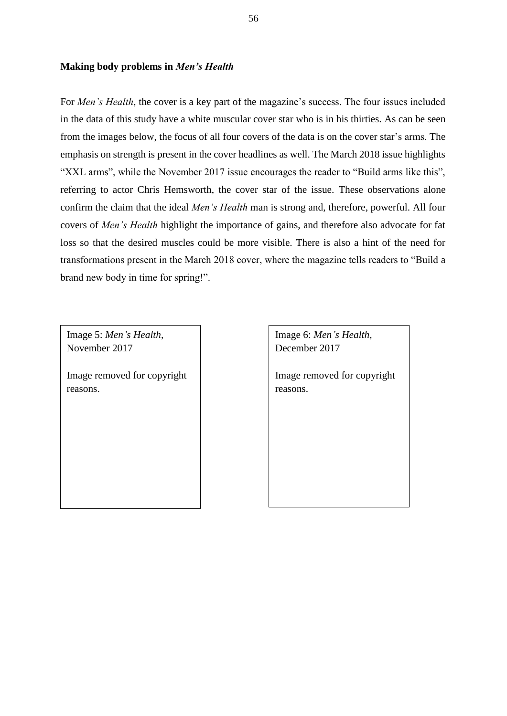## **Making body problems in** *Men's Health*

For *Men's Health*, the cover is a key part of the magazine's success. The four issues included in the data of this study have a white muscular cover star who is in his thirties. As can be seen from the images below, the focus of all four covers of the data is on the cover star's arms. The emphasis on strength is present in the cover headlines as well. The March 2018 issue highlights "XXL arms", while the November 2017 issue encourages the reader to "Build arms like this", referring to actor Chris Hemsworth, the cover star of the issue. These observations alone confirm the claim that the ideal *Men's Health* man is strong and, therefore, powerful. All four covers of *Men's Health* highlight the importance of gains, and therefore also advocate for fat loss so that the desired muscles could be more visible. There is also a hint of the need for transformations present in the March 2018 cover, where the magazine tells readers to "Build a brand new body in time for spring!".

Image 5: *Men's Health,*  November 2017

Image removed for copyright reasons.

Image 6: *Men's Health,*  December 2017

Image removed for copyright reasons.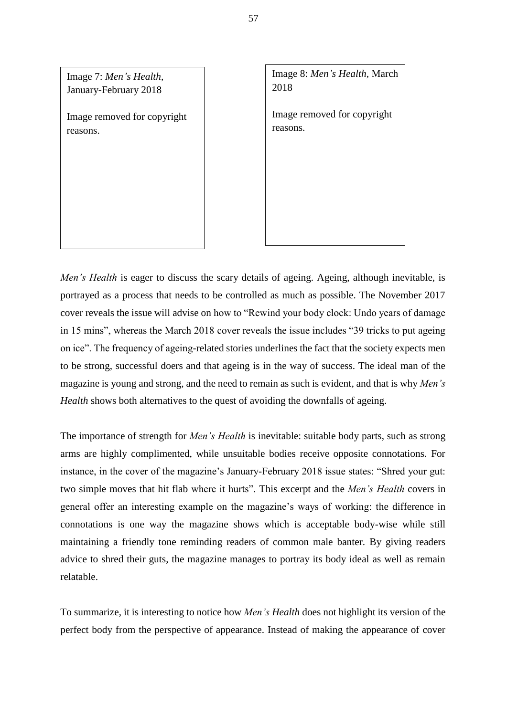

Image 8: *Men's Health,* March 2018

Image removed for copyright reasons.

*Men's Health* is eager to discuss the scary details of ageing. Ageing, although inevitable, is portrayed as a process that needs to be controlled as much as possible. The November 2017 cover reveals the issue will advise on how to "Rewind your body clock: Undo years of damage in 15 mins", whereas the March 2018 cover reveals the issue includes "39 tricks to put ageing on ice". The frequency of ageing-related stories underlines the fact that the society expects men to be strong, successful doers and that ageing is in the way of success. The ideal man of the magazine is young and strong, and the need to remain as such is evident, and that is why *Men's Health* shows both alternatives to the quest of avoiding the downfalls of ageing.

The importance of strength for *Men's Health* is inevitable: suitable body parts, such as strong arms are highly complimented, while unsuitable bodies receive opposite connotations. For instance, in the cover of the magazine's January-February 2018 issue states: "Shred your gut: two simple moves that hit flab where it hurts". This excerpt and the *Men's Health* covers in general offer an interesting example on the magazine's ways of working: the difference in connotations is one way the magazine shows which is acceptable body-wise while still maintaining a friendly tone reminding readers of common male banter. By giving readers advice to shred their guts, the magazine manages to portray its body ideal as well as remain relatable.

To summarize, it is interesting to notice how *Men's Health* does not highlight its version of the perfect body from the perspective of appearance. Instead of making the appearance of cover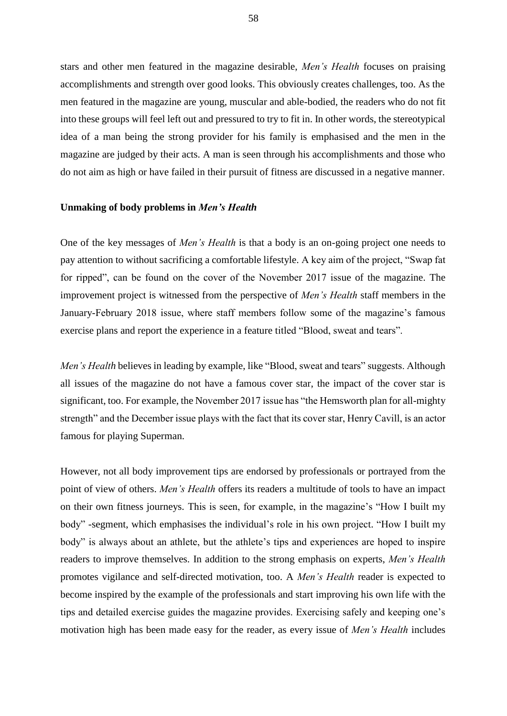stars and other men featured in the magazine desirable, *Men's Health* focuses on praising accomplishments and strength over good looks. This obviously creates challenges, too. As the men featured in the magazine are young, muscular and able-bodied, the readers who do not fit into these groups will feel left out and pressured to try to fit in. In other words, the stereotypical idea of a man being the strong provider for his family is emphasised and the men in the magazine are judged by their acts. A man is seen through his accomplishments and those who do not aim as high or have failed in their pursuit of fitness are discussed in a negative manner.

## **Unmaking of body problems in** *Men's Health*

One of the key messages of *Men's Health* is that a body is an on-going project one needs to pay attention to without sacrificing a comfortable lifestyle. A key aim of the project, "Swap fat for ripped", can be found on the cover of the November 2017 issue of the magazine. The improvement project is witnessed from the perspective of *Men's Health* staff members in the January-February 2018 issue, where staff members follow some of the magazine's famous exercise plans and report the experience in a feature titled "Blood, sweat and tears".

*Men's Health* believes in leading by example, like "Blood, sweat and tears" suggests. Although all issues of the magazine do not have a famous cover star, the impact of the cover star is significant, too. For example, the November 2017 issue has "the Hemsworth plan for all-mighty strength" and the December issue plays with the fact that its cover star, Henry Cavill, is an actor famous for playing Superman.

However, not all body improvement tips are endorsed by professionals or portrayed from the point of view of others. *Men's Health* offers its readers a multitude of tools to have an impact on their own fitness journeys. This is seen, for example, in the magazine's "How I built my body" -segment, which emphasises the individual's role in his own project. "How I built my body" is always about an athlete, but the athlete's tips and experiences are hoped to inspire readers to improve themselves. In addition to the strong emphasis on experts, *Men's Health*  promotes vigilance and self-directed motivation, too. A *Men's Health* reader is expected to become inspired by the example of the professionals and start improving his own life with the tips and detailed exercise guides the magazine provides. Exercising safely and keeping one's motivation high has been made easy for the reader, as every issue of *Men's Health* includes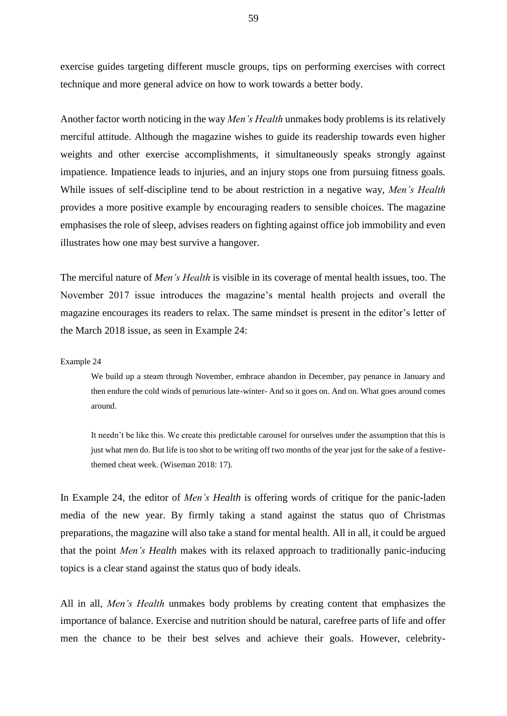exercise guides targeting different muscle groups, tips on performing exercises with correct technique and more general advice on how to work towards a better body.

Another factor worth noticing in the way *Men's Health* unmakes body problems is its relatively merciful attitude. Although the magazine wishes to guide its readership towards even higher weights and other exercise accomplishments, it simultaneously speaks strongly against impatience. Impatience leads to injuries, and an injury stops one from pursuing fitness goals. While issues of self-discipline tend to be about restriction in a negative way, *Men's Health*  provides a more positive example by encouraging readers to sensible choices. The magazine emphasises the role of sleep, advises readers on fighting against office job immobility and even illustrates how one may best survive a hangover.

The merciful nature of *Men's Health* is visible in its coverage of mental health issues, too. The November 2017 issue introduces the magazine's mental health projects and overall the magazine encourages its readers to relax. The same mindset is present in the editor's letter of the March 2018 issue, as seen in Example 24:

Example 24

We build up a steam through November, embrace abandon in December, pay penance in January and then endure the cold winds of penurious late-winter- And so it goes on. And on. What goes around comes around.

It needn't be like this. We create this predictable carousel for ourselves under the assumption that this is just what men do. But life is too shot to be writing off two months of the year just for the sake of a festivethemed cheat week. (Wiseman 2018: 17).

In Example 24, the editor of *Men's Health* is offering words of critique for the panic-laden media of the new year. By firmly taking a stand against the status quo of Christmas preparations, the magazine will also take a stand for mental health. All in all, it could be argued that the point *Men's Health* makes with its relaxed approach to traditionally panic-inducing topics is a clear stand against the status quo of body ideals.

All in all, *Men's Health* unmakes body problems by creating content that emphasizes the importance of balance. Exercise and nutrition should be natural, carefree parts of life and offer men the chance to be their best selves and achieve their goals. However, celebrity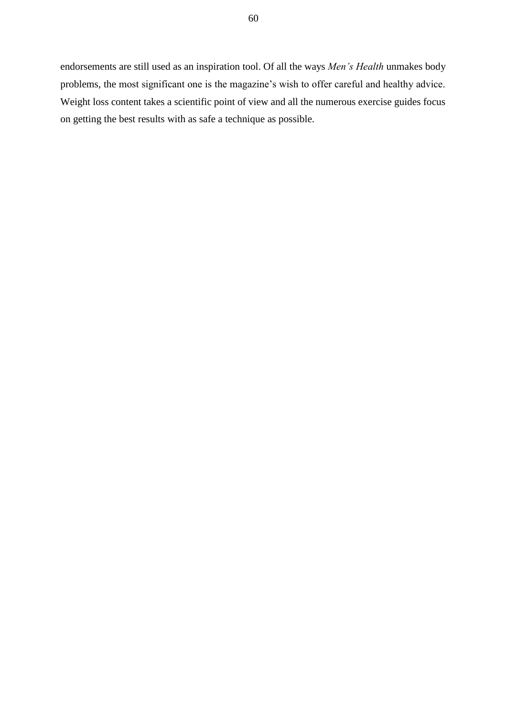endorsements are still used as an inspiration tool. Of all the ways *Men's Health* unmakes body problems, the most significant one is the magazine's wish to offer careful and healthy advice. Weight loss content takes a scientific point of view and all the numerous exercise guides focus on getting the best results with as safe a technique as possible.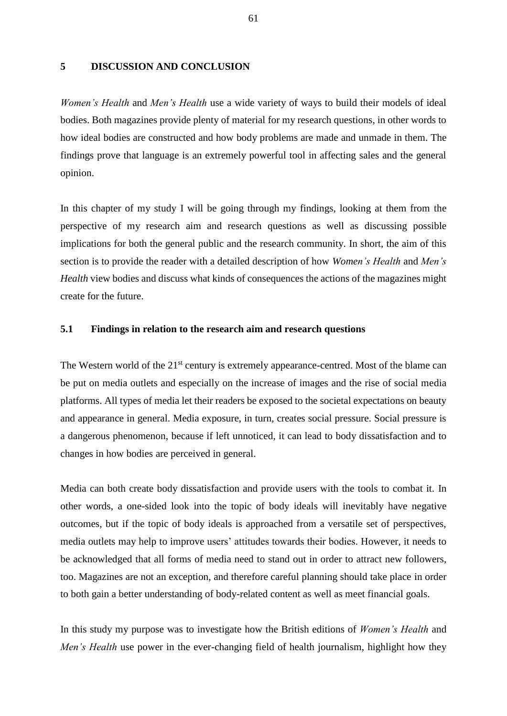# **5 DISCUSSION AND CONCLUSION**

*Women's Health* and *Men's Health* use a wide variety of ways to build their models of ideal bodies. Both magazines provide plenty of material for my research questions, in other words to how ideal bodies are constructed and how body problems are made and unmade in them. The findings prove that language is an extremely powerful tool in affecting sales and the general opinion.

In this chapter of my study I will be going through my findings, looking at them from the perspective of my research aim and research questions as well as discussing possible implications for both the general public and the research community. In short, the aim of this section is to provide the reader with a detailed description of how *Women's Health* and *Men's Health* view bodies and discuss what kinds of consequences the actions of the magazines might create for the future.

## **5.1 Findings in relation to the research aim and research questions**

The Western world of the 21<sup>st</sup> century is extremely appearance-centred. Most of the blame can be put on media outlets and especially on the increase of images and the rise of social media platforms. All types of media let their readers be exposed to the societal expectations on beauty and appearance in general. Media exposure, in turn, creates social pressure. Social pressure is a dangerous phenomenon, because if left unnoticed, it can lead to body dissatisfaction and to changes in how bodies are perceived in general.

Media can both create body dissatisfaction and provide users with the tools to combat it. In other words, a one-sided look into the topic of body ideals will inevitably have negative outcomes, but if the topic of body ideals is approached from a versatile set of perspectives, media outlets may help to improve users' attitudes towards their bodies. However, it needs to be acknowledged that all forms of media need to stand out in order to attract new followers, too. Magazines are not an exception, and therefore careful planning should take place in order to both gain a better understanding of body-related content as well as meet financial goals.

In this study my purpose was to investigate how the British editions of *Women's Health* and *Men's Health* use power in the ever-changing field of health journalism, highlight how they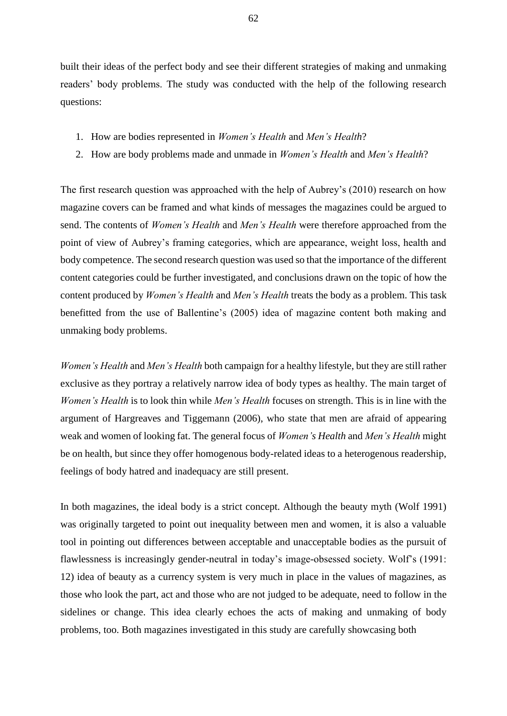built their ideas of the perfect body and see their different strategies of making and unmaking readers' body problems. The study was conducted with the help of the following research questions:

- 1. How are bodies represented in *Women's Health* and *Men's Health*?
- 2. How are body problems made and unmade in *Women's Health* and *Men's Health*?

The first research question was approached with the help of Aubrey's (2010) research on how magazine covers can be framed and what kinds of messages the magazines could be argued to send. The contents of *Women's Health* and *Men's Health* were therefore approached from the point of view of Aubrey's framing categories, which are appearance, weight loss, health and body competence. The second research question was used so that the importance of the different content categories could be further investigated, and conclusions drawn on the topic of how the content produced by *Women's Health* and *Men's Health* treats the body as a problem. This task benefitted from the use of Ballentine's (2005) idea of magazine content both making and unmaking body problems.

*Women's Health* and *Men's Health* both campaign for a healthy lifestyle, but they are still rather exclusive as they portray a relatively narrow idea of body types as healthy. The main target of *Women's Health* is to look thin while *Men's Health* focuses on strength. This is in line with the argument of Hargreaves and Tiggemann (2006), who state that men are afraid of appearing weak and women of looking fat. The general focus of *Women's Health* and *Men's Health* might be on health, but since they offer homogenous body-related ideas to a heterogenous readership, feelings of body hatred and inadequacy are still present.

In both magazines, the ideal body is a strict concept. Although the beauty myth (Wolf 1991) was originally targeted to point out inequality between men and women, it is also a valuable tool in pointing out differences between acceptable and unacceptable bodies as the pursuit of flawlessness is increasingly gender-neutral in today's image-obsessed society. Wolf's (1991: 12) idea of beauty as a currency system is very much in place in the values of magazines, as those who look the part, act and those who are not judged to be adequate, need to follow in the sidelines or change. This idea clearly echoes the acts of making and unmaking of body problems, too. Both magazines investigated in this study are carefully showcasing both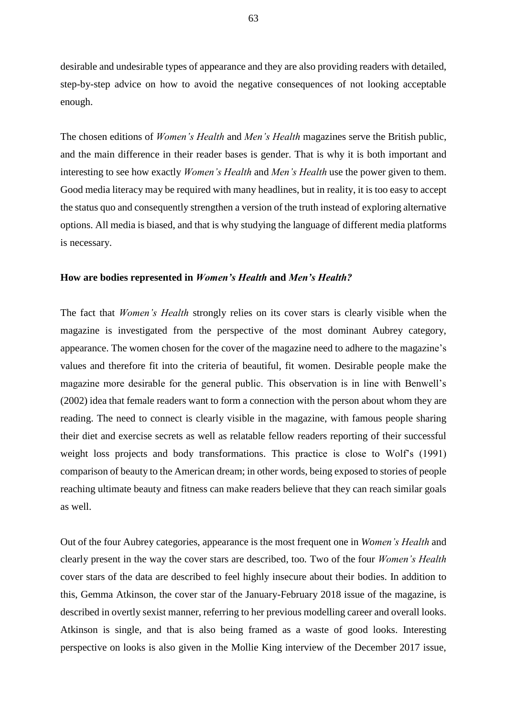desirable and undesirable types of appearance and they are also providing readers with detailed, step-by-step advice on how to avoid the negative consequences of not looking acceptable enough.

The chosen editions of *Women's Health* and *Men's Health* magazines serve the British public, and the main difference in their reader bases is gender. That is why it is both important and interesting to see how exactly *Women's Health* and *Men's Health* use the power given to them. Good media literacy may be required with many headlines, but in reality, it is too easy to accept the status quo and consequently strengthen a version of the truth instead of exploring alternative options. All media is biased, and that is why studying the language of different media platforms is necessary.

## **How are bodies represented in** *Women's Health* **and** *Men's Health?*

The fact that *Women's Health* strongly relies on its cover stars is clearly visible when the magazine is investigated from the perspective of the most dominant Aubrey category, appearance. The women chosen for the cover of the magazine need to adhere to the magazine's values and therefore fit into the criteria of beautiful, fit women. Desirable people make the magazine more desirable for the general public. This observation is in line with Benwell's (2002) idea that female readers want to form a connection with the person about whom they are reading. The need to connect is clearly visible in the magazine, with famous people sharing their diet and exercise secrets as well as relatable fellow readers reporting of their successful weight loss projects and body transformations. This practice is close to Wolf's (1991) comparison of beauty to the American dream; in other words, being exposed to stories of people reaching ultimate beauty and fitness can make readers believe that they can reach similar goals as well.

Out of the four Aubrey categories, appearance is the most frequent one in *Women's Health* and clearly present in the way the cover stars are described, too*.* Two of the four *Women's Health* cover stars of the data are described to feel highly insecure about their bodies. In addition to this, Gemma Atkinson, the cover star of the January-February 2018 issue of the magazine, is described in overtly sexist manner, referring to her previous modelling career and overall looks. Atkinson is single, and that is also being framed as a waste of good looks. Interesting perspective on looks is also given in the Mollie King interview of the December 2017 issue,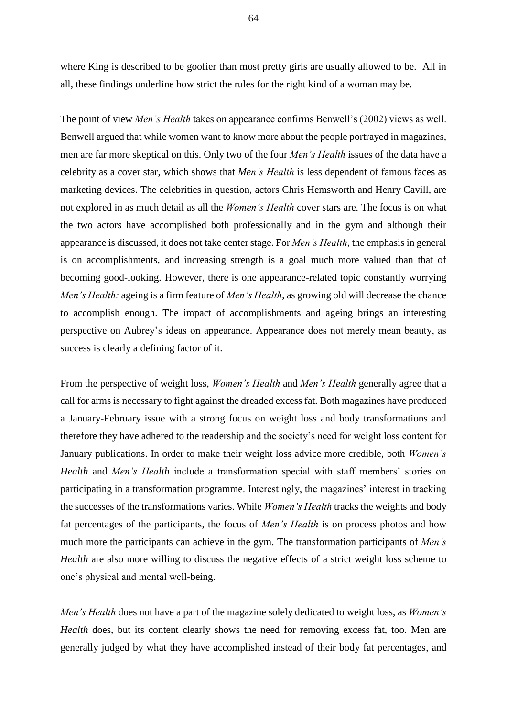where King is described to be goofier than most pretty girls are usually allowed to be. All in all, these findings underline how strict the rules for the right kind of a woman may be.

The point of view *Men's Health* takes on appearance confirms Benwell's (2002) views as well. Benwell argued that while women want to know more about the people portrayed in magazines, men are far more skeptical on this. Only two of the four *Men's Health* issues of the data have a celebrity as a cover star, which shows that *Men's Health* is less dependent of famous faces as marketing devices. The celebrities in question, actors Chris Hemsworth and Henry Cavill, are not explored in as much detail as all the *Women's Health* cover stars are. The focus is on what the two actors have accomplished both professionally and in the gym and although their appearance is discussed, it does not take center stage. For *Men's Health*, the emphasis in general is on accomplishments, and increasing strength is a goal much more valued than that of becoming good-looking. However, there is one appearance-related topic constantly worrying *Men's Health:* ageing is a firm feature of *Men's Health*, as growing old will decrease the chance to accomplish enough. The impact of accomplishments and ageing brings an interesting perspective on Aubrey's ideas on appearance. Appearance does not merely mean beauty, as success is clearly a defining factor of it.

From the perspective of weight loss, *Women's Health* and *Men's Health* generally agree that a call for arms is necessary to fight against the dreaded excess fat. Both magazines have produced a January-February issue with a strong focus on weight loss and body transformations and therefore they have adhered to the readership and the society's need for weight loss content for January publications. In order to make their weight loss advice more credible, both *Women's Health* and *Men's Health* include a transformation special with staff members' stories on participating in a transformation programme. Interestingly, the magazines' interest in tracking the successes of the transformations varies. While *Women's Health* tracks the weights and body fat percentages of the participants, the focus of *Men's Health* is on process photos and how much more the participants can achieve in the gym. The transformation participants of *Men's Health* are also more willing to discuss the negative effects of a strict weight loss scheme to one's physical and mental well-being.

*Men's Health* does not have a part of the magazine solely dedicated to weight loss, as *Women's Health* does, but its content clearly shows the need for removing excess fat, too. Men are generally judged by what they have accomplished instead of their body fat percentages, and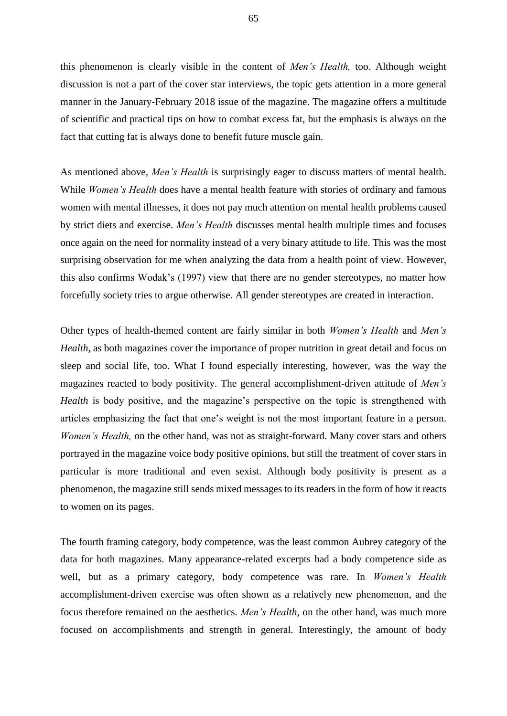this phenomenon is clearly visible in the content of *Men's Health,* too. Although weight discussion is not a part of the cover star interviews, the topic gets attention in a more general manner in the January-February 2018 issue of the magazine. The magazine offers a multitude of scientific and practical tips on how to combat excess fat, but the emphasis is always on the fact that cutting fat is always done to benefit future muscle gain.

As mentioned above, *Men's Health* is surprisingly eager to discuss matters of mental health. While *Women's Health* does have a mental health feature with stories of ordinary and famous women with mental illnesses, it does not pay much attention on mental health problems caused by strict diets and exercise. *Men's Health* discusses mental health multiple times and focuses once again on the need for normality instead of a very binary attitude to life. This was the most surprising observation for me when analyzing the data from a health point of view. However, this also confirms Wodak's (1997) view that there are no gender stereotypes, no matter how forcefully society tries to argue otherwise. All gender stereotypes are created in interaction.

Other types of health-themed content are fairly similar in both *Women's Health* and *Men's Health,* as both magazines cover the importance of proper nutrition in great detail and focus on sleep and social life, too. What I found especially interesting, however, was the way the magazines reacted to body positivity. The general accomplishment-driven attitude of *Men's Health* is body positive, and the magazine's perspective on the topic is strengthened with articles emphasizing the fact that one's weight is not the most important feature in a person. *Women's Health*, on the other hand, was not as straight-forward. Many cover stars and others portrayed in the magazine voice body positive opinions, but still the treatment of cover stars in particular is more traditional and even sexist. Although body positivity is present as a phenomenon, the magazine still sends mixed messages to its readers in the form of how it reacts to women on its pages.

The fourth framing category, body competence, was the least common Aubrey category of the data for both magazines. Many appearance-related excerpts had a body competence side as well, but as a primary category, body competence was rare. In *Women's Health* accomplishment-driven exercise was often shown as a relatively new phenomenon, and the focus therefore remained on the aesthetics. *Men's Health*, on the other hand, was much more focused on accomplishments and strength in general. Interestingly, the amount of body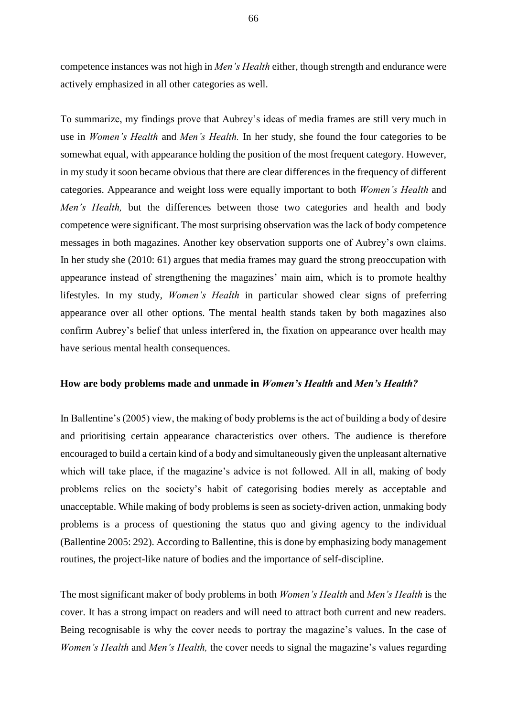competence instances was not high in *Men's Health* either, though strength and endurance were actively emphasized in all other categories as well.

To summarize, my findings prove that Aubrey's ideas of media frames are still very much in use in *Women's Health* and *Men's Health.* In her study, she found the four categories to be somewhat equal, with appearance holding the position of the most frequent category. However, in my study it soon became obvious that there are clear differences in the frequency of different categories. Appearance and weight loss were equally important to both *Women's Health* and *Men's Health*, but the differences between those two categories and health and body competence were significant. The most surprising observation was the lack of body competence messages in both magazines. Another key observation supports one of Aubrey's own claims. In her study she (2010: 61) argues that media frames may guard the strong preoccupation with appearance instead of strengthening the magazines' main aim, which is to promote healthy lifestyles. In my study, *Women's Health* in particular showed clear signs of preferring appearance over all other options. The mental health stands taken by both magazines also confirm Aubrey's belief that unless interfered in, the fixation on appearance over health may have serious mental health consequences.

## **How are body problems made and unmade in** *Women's Health* **and** *Men's Health?*

In Ballentine's (2005) view, the making of body problems is the act of building a body of desire and prioritising certain appearance characteristics over others. The audience is therefore encouraged to build a certain kind of a body and simultaneously given the unpleasant alternative which will take place, if the magazine's advice is not followed. All in all, making of body problems relies on the society's habit of categorising bodies merely as acceptable and unacceptable. While making of body problems is seen as society-driven action, unmaking body problems is a process of questioning the status quo and giving agency to the individual (Ballentine 2005: 292). According to Ballentine, this is done by emphasizing body management routines, the project-like nature of bodies and the importance of self-discipline.

The most significant maker of body problems in both *Women's Health* and *Men's Health* is the cover. It has a strong impact on readers and will need to attract both current and new readers. Being recognisable is why the cover needs to portray the magazine's values. In the case of *Women's Health* and *Men's Health,* the cover needs to signal the magazine's values regarding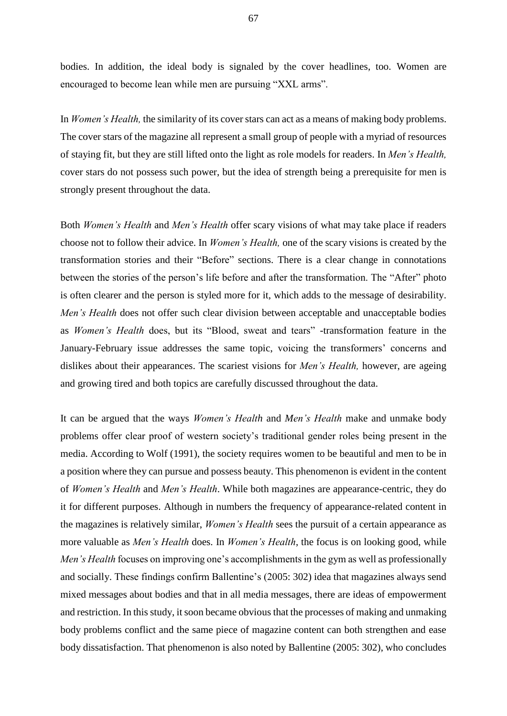bodies. In addition, the ideal body is signaled by the cover headlines, too. Women are encouraged to become lean while men are pursuing "XXL arms".

In *Women's Health,* the similarity of its cover stars can act as a means of making body problems. The cover stars of the magazine all represent a small group of people with a myriad of resources of staying fit, but they are still lifted onto the light as role models for readers. In *Men's Health,*  cover stars do not possess such power, but the idea of strength being a prerequisite for men is strongly present throughout the data.

Both *Women's Health* and *Men's Health* offer scary visions of what may take place if readers choose not to follow their advice. In *Women's Health,* one of the scary visions is created by the transformation stories and their "Before" sections. There is a clear change in connotations between the stories of the person's life before and after the transformation. The "After" photo is often clearer and the person is styled more for it, which adds to the message of desirability. *Men's Health* does not offer such clear division between acceptable and unacceptable bodies as *Women's Health* does, but its "Blood, sweat and tears" -transformation feature in the January-February issue addresses the same topic, voicing the transformers' concerns and dislikes about their appearances. The scariest visions for *Men's Health,* however, are ageing and growing tired and both topics are carefully discussed throughout the data.

It can be argued that the ways *Women's Health* and *Men's Health* make and unmake body problems offer clear proof of western society's traditional gender roles being present in the media. According to Wolf (1991), the society requires women to be beautiful and men to be in a position where they can pursue and possess beauty. This phenomenon is evident in the content of *Women's Health* and *Men's Health*. While both magazines are appearance-centric, they do it for different purposes. Although in numbers the frequency of appearance-related content in the magazines is relatively similar, *Women's Health* sees the pursuit of a certain appearance as more valuable as *Men's Health* does. In *Women's Health*, the focus is on looking good, while *Men's Health* focuses on improving one's accomplishments in the gym as well as professionally and socially. These findings confirm Ballentine's (2005: 302) idea that magazines always send mixed messages about bodies and that in all media messages, there are ideas of empowerment and restriction. In this study, it soon became obvious that the processes of making and unmaking body problems conflict and the same piece of magazine content can both strengthen and ease body dissatisfaction. That phenomenon is also noted by Ballentine (2005: 302), who concludes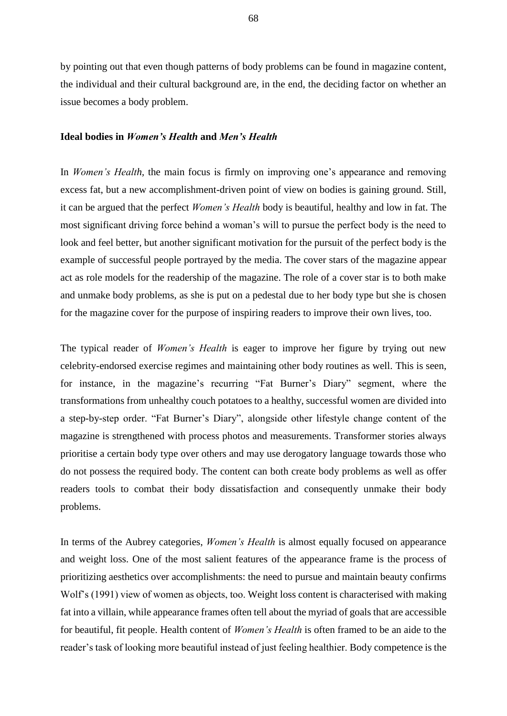by pointing out that even though patterns of body problems can be found in magazine content, the individual and their cultural background are, in the end, the deciding factor on whether an issue becomes a body problem.

# **Ideal bodies in** *Women's Health* **and** *Men's Health*

In *Women's Health*, the main focus is firmly on improving one's appearance and removing excess fat, but a new accomplishment-driven point of view on bodies is gaining ground. Still, it can be argued that the perfect *Women's Health* body is beautiful, healthy and low in fat. The most significant driving force behind a woman's will to pursue the perfect body is the need to look and feel better, but another significant motivation for the pursuit of the perfect body is the example of successful people portrayed by the media. The cover stars of the magazine appear act as role models for the readership of the magazine. The role of a cover star is to both make and unmake body problems, as she is put on a pedestal due to her body type but she is chosen for the magazine cover for the purpose of inspiring readers to improve their own lives, too.

The typical reader of *Women's Health* is eager to improve her figure by trying out new celebrity-endorsed exercise regimes and maintaining other body routines as well. This is seen, for instance, in the magazine's recurring "Fat Burner's Diary" segment, where the transformations from unhealthy couch potatoes to a healthy, successful women are divided into a step-by-step order. "Fat Burner's Diary", alongside other lifestyle change content of the magazine is strengthened with process photos and measurements. Transformer stories always prioritise a certain body type over others and may use derogatory language towards those who do not possess the required body. The content can both create body problems as well as offer readers tools to combat their body dissatisfaction and consequently unmake their body problems.

In terms of the Aubrey categories, *Women's Health* is almost equally focused on appearance and weight loss. One of the most salient features of the appearance frame is the process of prioritizing aesthetics over accomplishments: the need to pursue and maintain beauty confirms Wolf's (1991) view of women as objects, too. Weight loss content is characterised with making fat into a villain, while appearance frames often tell about the myriad of goals that are accessible for beautiful, fit people. Health content of *Women's Health* is often framed to be an aide to the reader's task of looking more beautiful instead of just feeling healthier. Body competence is the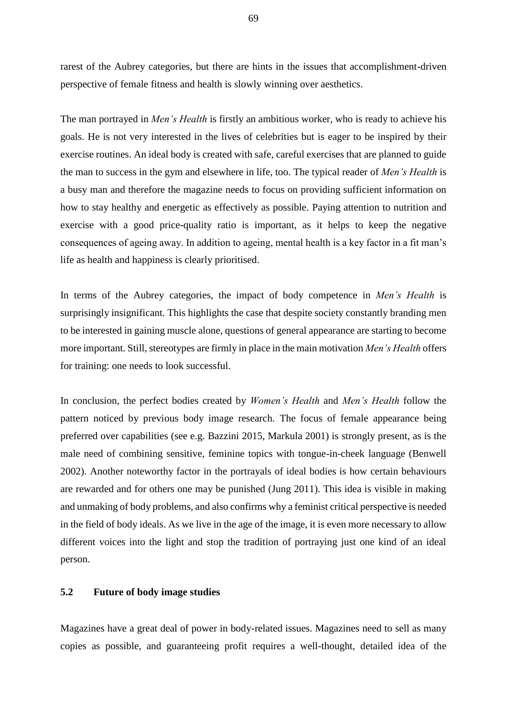rarest of the Aubrey categories, but there are hints in the issues that accomplishment-driven perspective of female fitness and health is slowly winning over aesthetics.

The man portrayed in *Men's Health* is firstly an ambitious worker, who is ready to achieve his goals. He is not very interested in the lives of celebrities but is eager to be inspired by their exercise routines. An ideal body is created with safe, careful exercises that are planned to guide the man to success in the gym and elsewhere in life, too. The typical reader of *Men's Health* is a busy man and therefore the magazine needs to focus on providing sufficient information on how to stay healthy and energetic as effectively as possible. Paying attention to nutrition and exercise with a good price-quality ratio is important, as it helps to keep the negative consequences of ageing away. In addition to ageing, mental health is a key factor in a fit man's life as health and happiness is clearly prioritised.

In terms of the Aubrey categories, the impact of body competence in *Men's Health* is surprisingly insignificant. This highlights the case that despite society constantly branding men to be interested in gaining muscle alone, questions of general appearance are starting to become more important. Still, stereotypes are firmly in place in the main motivation *Men's Health* offers for training: one needs to look successful.

In conclusion, the perfect bodies created by *Women's Health* and *Men's Health* follow the pattern noticed by previous body image research. The focus of female appearance being preferred over capabilities (see e.g. Bazzini 2015, Markula 2001) is strongly present, as is the male need of combining sensitive, feminine topics with tongue-in-cheek language (Benwell 2002). Another noteworthy factor in the portrayals of ideal bodies is how certain behaviours are rewarded and for others one may be punished (Jung 2011). This idea is visible in making and unmaking of body problems, and also confirms why a feminist critical perspective is needed in the field of body ideals. As we live in the age of the image, it is even more necessary to allow different voices into the light and stop the tradition of portraying just one kind of an ideal person.

# **5.2 Future of body image studies**

Magazines have a great deal of power in body-related issues. Magazines need to sell as many copies as possible, and guaranteeing profit requires a well-thought, detailed idea of the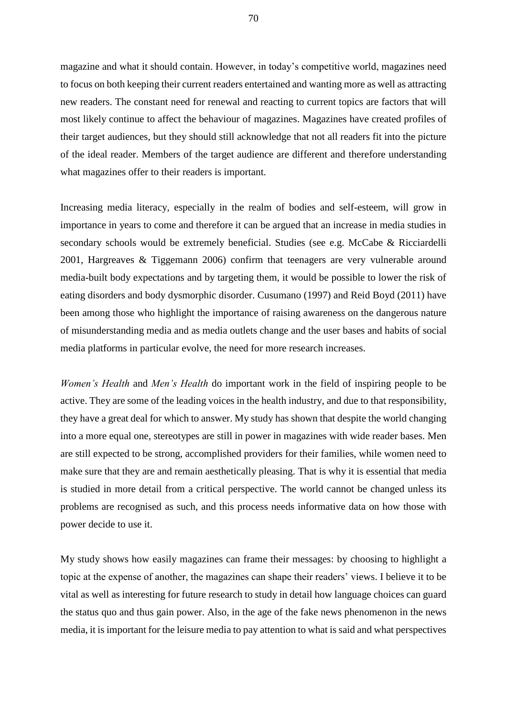magazine and what it should contain. However, in today's competitive world, magazines need to focus on both keeping their current readers entertained and wanting more as well as attracting new readers. The constant need for renewal and reacting to current topics are factors that will most likely continue to affect the behaviour of magazines. Magazines have created profiles of their target audiences, but they should still acknowledge that not all readers fit into the picture of the ideal reader. Members of the target audience are different and therefore understanding what magazines offer to their readers is important.

Increasing media literacy, especially in the realm of bodies and self-esteem, will grow in importance in years to come and therefore it can be argued that an increase in media studies in secondary schools would be extremely beneficial. Studies (see e.g. McCabe & Ricciardelli 2001, Hargreaves & Tiggemann 2006) confirm that teenagers are very vulnerable around media-built body expectations and by targeting them, it would be possible to lower the risk of eating disorders and body dysmorphic disorder. Cusumano (1997) and Reid Boyd (2011) have been among those who highlight the importance of raising awareness on the dangerous nature of misunderstanding media and as media outlets change and the user bases and habits of social media platforms in particular evolve, the need for more research increases.

*Women's Health* and *Men's Health* do important work in the field of inspiring people to be active. They are some of the leading voices in the health industry, and due to that responsibility, they have a great deal for which to answer. My study has shown that despite the world changing into a more equal one, stereotypes are still in power in magazines with wide reader bases. Men are still expected to be strong, accomplished providers for their families, while women need to make sure that they are and remain aesthetically pleasing. That is why it is essential that media is studied in more detail from a critical perspective. The world cannot be changed unless its problems are recognised as such, and this process needs informative data on how those with power decide to use it.

My study shows how easily magazines can frame their messages: by choosing to highlight a topic at the expense of another, the magazines can shape their readers' views. I believe it to be vital as well as interesting for future research to study in detail how language choices can guard the status quo and thus gain power. Also, in the age of the fake news phenomenon in the news media, it is important for the leisure media to pay attention to what is said and what perspectives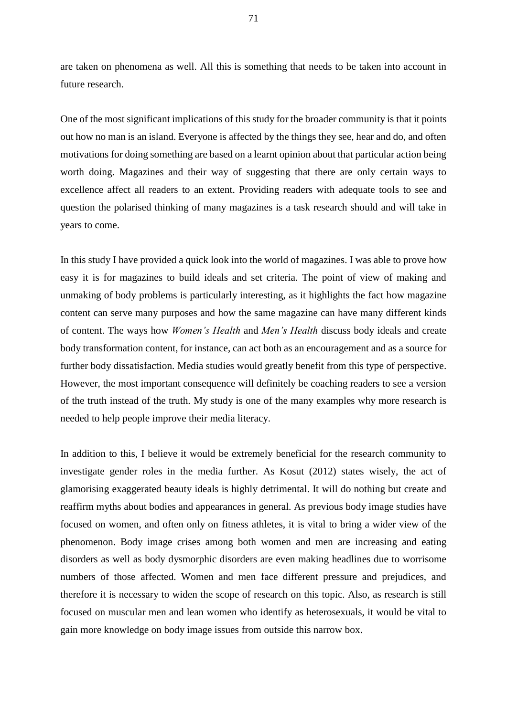are taken on phenomena as well. All this is something that needs to be taken into account in future research.

One of the most significant implications of this study for the broader community is that it points out how no man is an island. Everyone is affected by the things they see, hear and do, and often motivations for doing something are based on a learnt opinion about that particular action being worth doing. Magazines and their way of suggesting that there are only certain ways to excellence affect all readers to an extent. Providing readers with adequate tools to see and question the polarised thinking of many magazines is a task research should and will take in years to come.

In this study I have provided a quick look into the world of magazines. I was able to prove how easy it is for magazines to build ideals and set criteria. The point of view of making and unmaking of body problems is particularly interesting, as it highlights the fact how magazine content can serve many purposes and how the same magazine can have many different kinds of content. The ways how *Women's Health* and *Men's Health* discuss body ideals and create body transformation content, for instance, can act both as an encouragement and as a source for further body dissatisfaction. Media studies would greatly benefit from this type of perspective. However, the most important consequence will definitely be coaching readers to see a version of the truth instead of the truth. My study is one of the many examples why more research is needed to help people improve their media literacy.

In addition to this, I believe it would be extremely beneficial for the research community to investigate gender roles in the media further. As Kosut (2012) states wisely, the act of glamorising exaggerated beauty ideals is highly detrimental. It will do nothing but create and reaffirm myths about bodies and appearances in general. As previous body image studies have focused on women, and often only on fitness athletes, it is vital to bring a wider view of the phenomenon. Body image crises among both women and men are increasing and eating disorders as well as body dysmorphic disorders are even making headlines due to worrisome numbers of those affected. Women and men face different pressure and prejudices, and therefore it is necessary to widen the scope of research on this topic. Also, as research is still focused on muscular men and lean women who identify as heterosexuals, it would be vital to gain more knowledge on body image issues from outside this narrow box.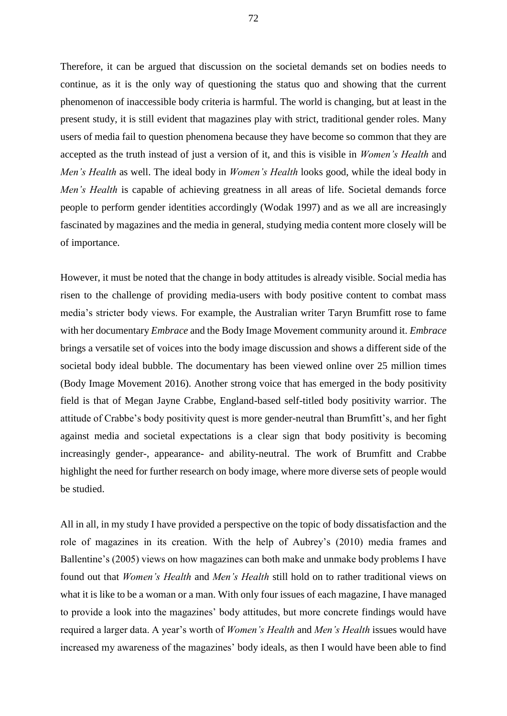Therefore, it can be argued that discussion on the societal demands set on bodies needs to continue, as it is the only way of questioning the status quo and showing that the current phenomenon of inaccessible body criteria is harmful. The world is changing, but at least in the present study, it is still evident that magazines play with strict, traditional gender roles. Many users of media fail to question phenomena because they have become so common that they are accepted as the truth instead of just a version of it, and this is visible in *Women's Health* and *Men's Health* as well. The ideal body in *Women's Health* looks good, while the ideal body in *Men's Health* is capable of achieving greatness in all areas of life. Societal demands force people to perform gender identities accordingly (Wodak 1997) and as we all are increasingly fascinated by magazines and the media in general, studying media content more closely will be of importance.

However, it must be noted that the change in body attitudes is already visible. Social media has risen to the challenge of providing media-users with body positive content to combat mass media's stricter body views. For example, the Australian writer Taryn Brumfitt rose to fame with her documentary *Embrace* and the Body Image Movement community around it. *Embrace* brings a versatile set of voices into the body image discussion and shows a different side of the societal body ideal bubble. The documentary has been viewed online over 25 million times (Body Image Movement 2016). Another strong voice that has emerged in the body positivity field is that of Megan Jayne Crabbe, England-based self-titled body positivity warrior. The attitude of Crabbe's body positivity quest is more gender-neutral than Brumfitt's, and her fight against media and societal expectations is a clear sign that body positivity is becoming increasingly gender-, appearance- and ability-neutral. The work of Brumfitt and Crabbe highlight the need for further research on body image, where more diverse sets of people would be studied.

All in all, in my study I have provided a perspective on the topic of body dissatisfaction and the role of magazines in its creation. With the help of Aubrey's (2010) media frames and Ballentine's (2005) views on how magazines can both make and unmake body problems I have found out that *Women's Health* and *Men's Health* still hold on to rather traditional views on what it is like to be a woman or a man. With only four issues of each magazine, I have managed to provide a look into the magazines' body attitudes, but more concrete findings would have required a larger data. A year's worth of *Women's Health* and *Men's Health* issues would have increased my awareness of the magazines' body ideals, as then I would have been able to find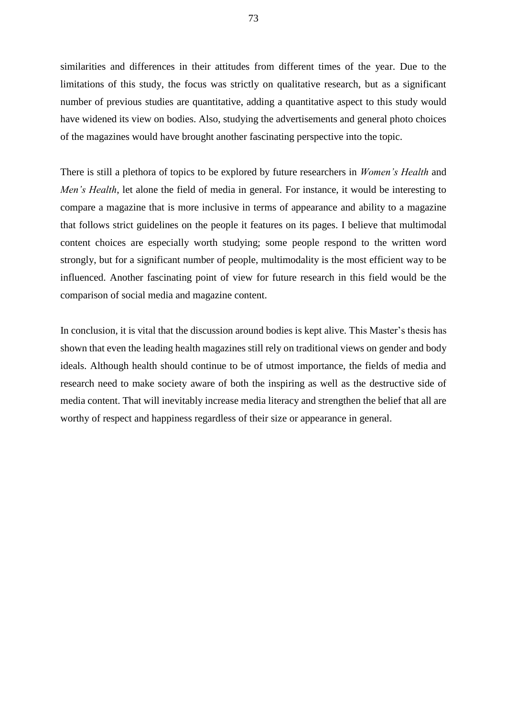similarities and differences in their attitudes from different times of the year. Due to the limitations of this study, the focus was strictly on qualitative research, but as a significant number of previous studies are quantitative, adding a quantitative aspect to this study would have widened its view on bodies. Also, studying the advertisements and general photo choices of the magazines would have brought another fascinating perspective into the topic.

There is still a plethora of topics to be explored by future researchers in *Women's Health* and *Men's Health*, let alone the field of media in general. For instance, it would be interesting to compare a magazine that is more inclusive in terms of appearance and ability to a magazine that follows strict guidelines on the people it features on its pages. I believe that multimodal content choices are especially worth studying; some people respond to the written word strongly, but for a significant number of people, multimodality is the most efficient way to be influenced. Another fascinating point of view for future research in this field would be the comparison of social media and magazine content.

In conclusion, it is vital that the discussion around bodies is kept alive. This Master's thesis has shown that even the leading health magazines still rely on traditional views on gender and body ideals. Although health should continue to be of utmost importance, the fields of media and research need to make society aware of both the inspiring as well as the destructive side of media content. That will inevitably increase media literacy and strengthen the belief that all are worthy of respect and happiness regardless of their size or appearance in general.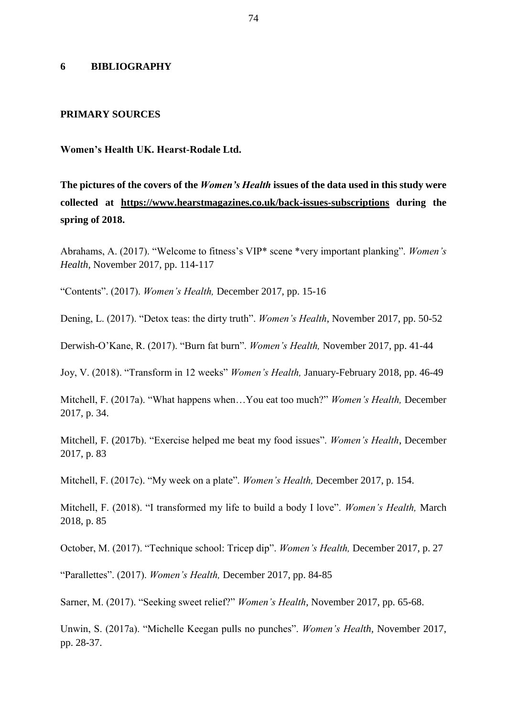## **6 BIBLIOGRAPHY**

#### **PRIMARY SOURCES**

#### **Women's Health UK. Hearst-Rodale Ltd.**

**The pictures of the covers of the** *Women's Health* **issues of the data used in this study were collected at <https://www.hearstmagazines.co.uk/back-issues-subscriptions> during the spring of 2018.**

Abrahams, A. (2017). "Welcome to fitness's VIP\* scene \*very important planking". *Women's Health*, November 2017, pp. 114-117

"Contents". (2017). *Women's Health,* December 2017, pp. 15-16

Dening, L. (2017). "Detox teas: the dirty truth". *Women's Health*, November 2017, pp. 50-52

Derwish-O'Kane, R. (2017). "Burn fat burn". *Women's Health,* November 2017, pp. 41-44

Joy, V. (2018). "Transform in 12 weeks" *Women's Health,* January-February 2018, pp. 46-49

Mitchell, F. (2017a). "What happens when…You eat too much?" *Women's Health,* December 2017, p. 34.

Mitchell, F. (2017b). "Exercise helped me beat my food issues". *Women's Health*, December 2017, p. 83

Mitchell, F. (2017c). "My week on a plate". *Women's Health,* December 2017, p. 154.

Mitchell, F. (2018). "I transformed my life to build a body I love". *Women's Health,* March 2018, p. 85

October, M. (2017). "Technique school: Tricep dip". *Women's Health,* December 2017, p. 27

"Parallettes". (2017). *Women's Health,* December 2017, pp. 84-85

Sarner, M. (2017). "Seeking sweet relief?" *Women's Health*, November 2017, pp. 65-68.

Unwin, S. (2017a). "Michelle Keegan pulls no punches". *Women's Health,* November 2017, pp. 28-37.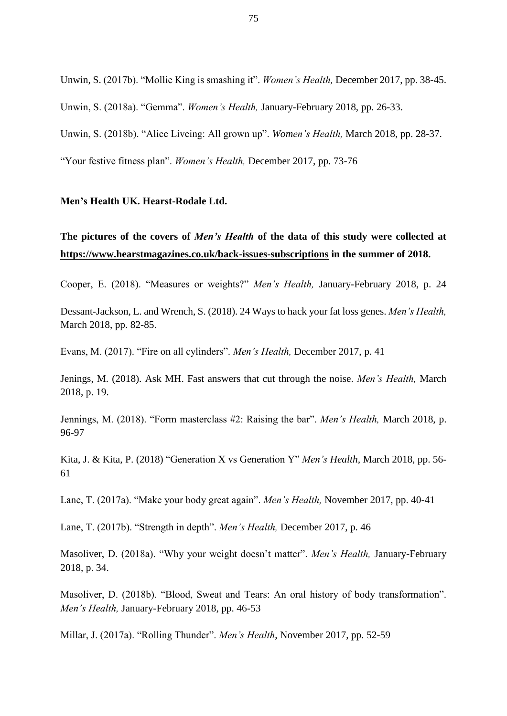Unwin, S. (2017b). "Mollie King is smashing it". *Women's Health,* December 2017, pp. 38-45. Unwin, S. (2018a). "Gemma". *Women's Health,* January-February 2018, pp. 26-33. Unwin, S. (2018b). "Alice Liveing: All grown up". *Women's Health,* March 2018, pp. 28-37. "Your festive fitness plan". *Women's Health,* December 2017, pp. 73-76

## **Men's Health UK. Hearst-Rodale Ltd.**

# **The pictures of the covers of** *Men's Health* **of the data of this study were collected at <https://www.hearstmagazines.co.uk/back-issues-subscriptions> in the summer of 2018.**

Cooper, E. (2018). "Measures or weights?" *Men's Health,* January-February 2018, p. 24

Dessant-Jackson, L. and Wrench, S. (2018). 24 Ways to hack your fat loss genes. *Men's Health,*  March 2018, pp. 82-85.

Evans, M. (2017). "Fire on all cylinders". *Men's Health,* December 2017, p. 41

Jenings, M. (2018). Ask MH. Fast answers that cut through the noise. *Men's Health,* March 2018, p. 19.

Jennings, M. (2018). "Form masterclass #2: Raising the bar". *Men's Health,* March 2018, p. 96-97

Kita, J. & Kita, P. (2018) "Generation X vs Generation Y" *Men's Health,* March 2018, pp. 56- 61

Lane, T. (2017a). "Make your body great again". *Men's Health,* November 2017, pp. 40-41

Lane, T. (2017b). "Strength in depth". *Men's Health,* December 2017, p. 46

Masoliver, D. (2018a). "Why your weight doesn't matter". *Men's Health,* January-February 2018, p. 34.

Masoliver, D. (2018b). "Blood, Sweat and Tears: An oral history of body transformation". *Men's Health,* January-February 2018, pp. 46-53

Millar, J. (2017a). "Rolling Thunder". *Men's Health*, November 2017, pp. 52-59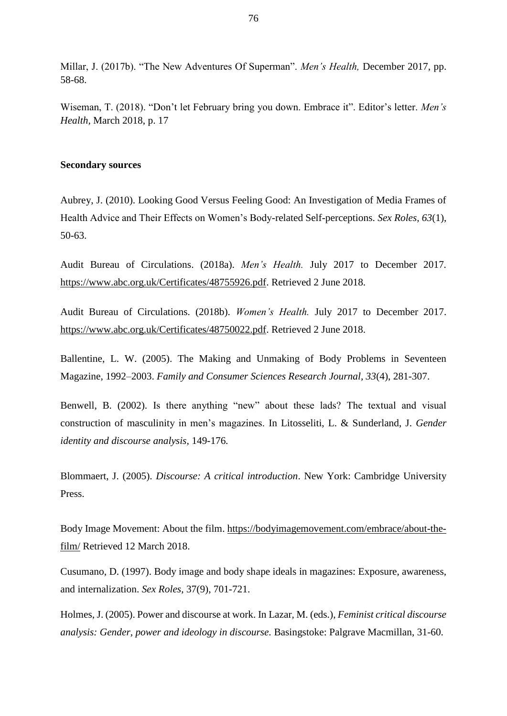Millar, J. (2017b). "The New Adventures Of Superman". *Men's Health,* December 2017, pp. 58-68.

Wiseman, T. (2018). "Don't let February bring you down. Embrace it". Editor's letter. *Men's Health,* March 2018, p. 17

#### **Secondary sources**

Aubrey, J. (2010). Looking Good Versus Feeling Good: An Investigation of Media Frames of Health Advice and Their Effects on Women's Body-related Self-perceptions. *Sex Roles, 63*(1), 50-63.

Audit Bureau of Circulations. (2018a). *Men's Health.* July 2017 to December 2017*.* [https://www.abc.org.uk/Certificates/48755926.pdf.](https://www.abc.org.uk/Certificates/48755926.pdf) Retrieved 2 June 2018.

Audit Bureau of Circulations. (2018b). *Women's Health.* July 2017 to December 2017. [https://www.abc.org.uk/Certificates/48750022.pdf.](https://www.abc.org.uk/Certificates/48750022.pdf) Retrieved 2 June 2018.

Ballentine, L. W. (2005). The Making and Unmaking of Body Problems in Seventeen Magazine, 1992–2003. *Family and Consumer Sciences Research Journal, 33*(4), 281-307.

Benwell, B. (2002). Is there anything "new" about these lads? The textual and visual construction of masculinity in men's magazines. In Litosseliti, L. & Sunderland, J. *Gender identity and discourse analysis,* 149-176*.* 

Blommaert, J. (2005). *Discourse: A critical introduction*. New York: Cambridge University Press.

Body Image Movement: About the film. [https://bodyimagemovement.com/embrace/about-the](https://bodyimagemovement.com/embrace/about-the-film/)[film/](https://bodyimagemovement.com/embrace/about-the-film/) Retrieved 12 March 2018.

Cusumano, D. (1997). Body image and body shape ideals in magazines: Exposure, awareness, and internalization. *Sex Roles*, 37(9), 701-721.

Holmes, J. (2005). Power and discourse at work. In Lazar, M. (eds.), *Feminist critical discourse analysis: Gender, power and ideology in discourse.* Basingstoke: Palgrave Macmillan, 31-60.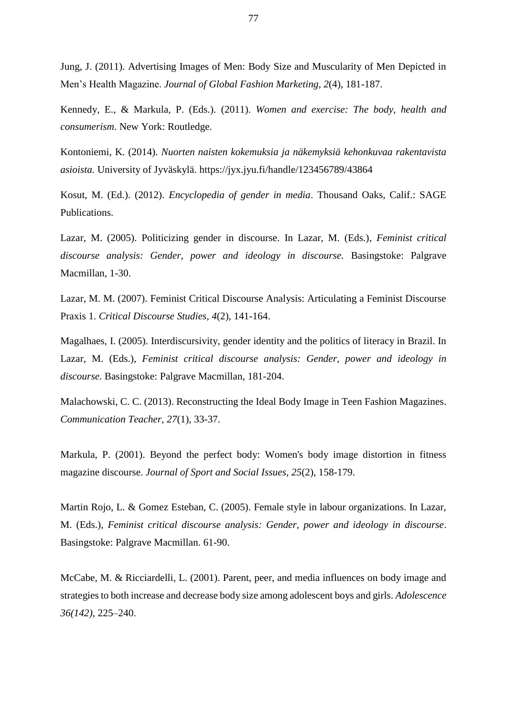Jung, J. (2011). Advertising Images of Men: Body Size and Muscularity of Men Depicted in Men's Health Magazine. *Journal of Global Fashion Marketing, 2*(4), 181-187.

Kennedy, E., & Markula, P. (Eds.). (2011). *Women and exercise: The body, health and consumerism*. New York: Routledge.

Kontoniemi, K. (2014). *Nuorten naisten kokemuksia ja näkemyksiä kehonkuvaa rakentavista asioista.* University of Jyväskylä. https://jyx.jyu.fi/handle/123456789/4386[4](https://jyx.jyu.fi/dspace/handle/123456789/43864)

Kosut, M. (Ed.). (2012). *Encyclopedia of gender in media*. Thousand Oaks, Calif.: SAGE Publications.

Lazar, M. (2005). Politicizing gender in discourse. In Lazar, M. (Eds.), *Feminist critical discourse analysis: Gender, power and ideology in discourse.* Basingstoke: Palgrave Macmillan, 1-30.

Lazar, M. M. (2007). Feminist Critical Discourse Analysis: Articulating a Feminist Discourse Praxis 1. *Critical Discourse Studies, 4*(2), 141-164.

Magalhaes, I. (2005). Interdiscursivity, gender identity and the politics of literacy in Brazil. In Lazar, M. (Eds.), *Feminist critical discourse analysis: Gender, power and ideology in discourse.* Basingstoke: Palgrave Macmillan, 181-204.

Malachowski, C. C. (2013). Reconstructing the Ideal Body Image in Teen Fashion Magazines. *Communication Teacher, 27*(1), 33-37.

Markula, P. (2001). Beyond the perfect body: Women's body image distortion in fitness magazine discourse. *Journal of Sport and Social Issues, 25*(2), 158-179.

Martin Rojo, L. & Gomez Esteban, C. (2005). Female style in labour organizations. In Lazar, M. (Eds.), *Feminist critical discourse analysis: Gender, power and ideology in discourse*. Basingstoke: Palgrave Macmillan. 61-90.

McCabe, M. & Ricciardelli, L. (2001). Parent, peer, and media influences on body image and strategies to both increase and decrease body size among adolescent boys and girls. *Adolescence 36(142)*, 225–240.